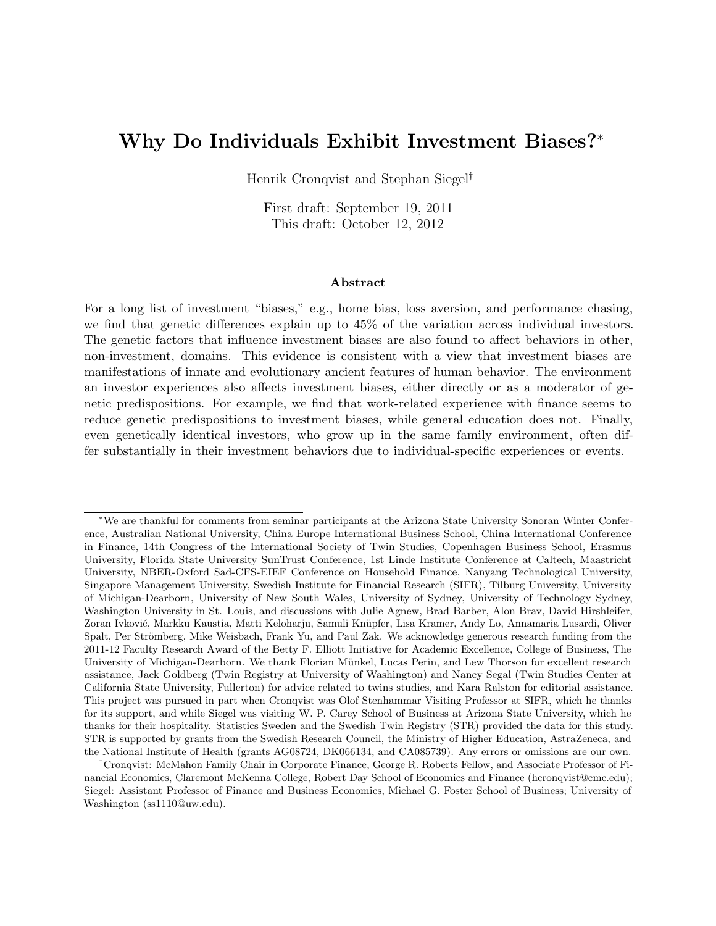# Why Do Individuals Exhibit Investment Biases?<sup>∗</sup>

Henrik Cronqvist and Stephan Siegel†

First draft: September 19, 2011 This draft: October 12, 2012

#### Abstract

For a long list of investment "biases," e.g., home bias, loss aversion, and performance chasing, we find that genetic differences explain up to 45% of the variation across individual investors. The genetic factors that influence investment biases are also found to affect behaviors in other, non-investment, domains. This evidence is consistent with a view that investment biases are manifestations of innate and evolutionary ancient features of human behavior. The environment an investor experiences also affects investment biases, either directly or as a moderator of genetic predispositions. For example, we find that work-related experience with finance seems to reduce genetic predispositions to investment biases, while general education does not. Finally, even genetically identical investors, who grow up in the same family environment, often differ substantially in their investment behaviors due to individual-specific experiences or events.

<sup>∗</sup>We are thankful for comments from seminar participants at the Arizona State University Sonoran Winter Conference, Australian National University, China Europe International Business School, China International Conference in Finance, 14th Congress of the International Society of Twin Studies, Copenhagen Business School, Erasmus University, Florida State University SunTrust Conference, 1st Linde Institute Conference at Caltech, Maastricht University, NBER-Oxford Sad-CFS-EIEF Conference on Household Finance, Nanyang Technological University, Singapore Management University, Swedish Institute for Financial Research (SIFR), Tilburg University, University of Michigan-Dearborn, University of New South Wales, University of Sydney, University of Technology Sydney, Washington University in St. Louis, and discussions with Julie Agnew, Brad Barber, Alon Brav, David Hirshleifer, Zoran Ivković, Markku Kaustia, Matti Keloharju, Samuli Knüpfer, Lisa Kramer, Andy Lo, Annamaria Lusardi, Oliver Spalt, Per Strömberg, Mike Weisbach, Frank Yu, and Paul Zak. We acknowledge generous research funding from the 2011-12 Faculty Research Award of the Betty F. Elliott Initiative for Academic Excellence, College of Business, The University of Michigan-Dearborn. We thank Florian Münkel, Lucas Perin, and Lew Thorson for excellent research assistance, Jack Goldberg (Twin Registry at University of Washington) and Nancy Segal (Twin Studies Center at California State University, Fullerton) for advice related to twins studies, and Kara Ralston for editorial assistance. This project was pursued in part when Cronqvist was Olof Stenhammar Visiting Professor at SIFR, which he thanks for its support, and while Siegel was visiting W. P. Carey School of Business at Arizona State University, which he thanks for their hospitality. Statistics Sweden and the Swedish Twin Registry (STR) provided the data for this study. STR is supported by grants from the Swedish Research Council, the Ministry of Higher Education, AstraZeneca, and the National Institute of Health (grants AG08724, DK066134, and CA085739). Any errors or omissions are our own.

<sup>†</sup>Cronqvist: McMahon Family Chair in Corporate Finance, George R. Roberts Fellow, and Associate Professor of Financial Economics, Claremont McKenna College, Robert Day School of Economics and Finance (hcronqvist@cmc.edu); Siegel: Assistant Professor of Finance and Business Economics, Michael G. Foster School of Business; University of Washington (ss1110@uw.edu).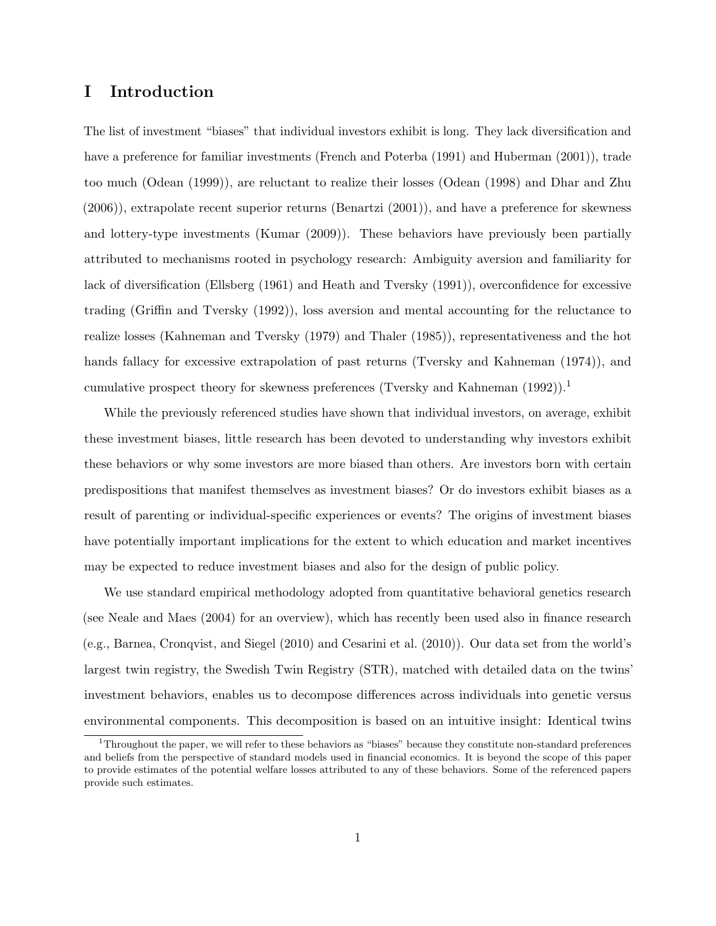# I Introduction

The list of investment "biases" that individual investors exhibit is long. They lack diversification and have a preference for familiar investments (French and Poterba (1991) and Huberman (2001)), trade too much (Odean (1999)), are reluctant to realize their losses (Odean (1998) and Dhar and Zhu (2006)), extrapolate recent superior returns (Benartzi (2001)), and have a preference for skewness and lottery-type investments (Kumar (2009)). These behaviors have previously been partially attributed to mechanisms rooted in psychology research: Ambiguity aversion and familiarity for lack of diversification (Ellsberg (1961) and Heath and Tversky (1991)), overconfidence for excessive trading (Griffin and Tversky (1992)), loss aversion and mental accounting for the reluctance to realize losses (Kahneman and Tversky (1979) and Thaler (1985)), representativeness and the hot hands fallacy for excessive extrapolation of past returns (Tversky and Kahneman (1974)), and cumulative prospect theory for skewness preferences (Tversky and Kahneman  $(1992)$ ).<sup>1</sup>

While the previously referenced studies have shown that individual investors, on average, exhibit these investment biases, little research has been devoted to understanding why investors exhibit these behaviors or why some investors are more biased than others. Are investors born with certain predispositions that manifest themselves as investment biases? Or do investors exhibit biases as a result of parenting or individual-specific experiences or events? The origins of investment biases have potentially important implications for the extent to which education and market incentives may be expected to reduce investment biases and also for the design of public policy.

We use standard empirical methodology adopted from quantitative behavioral genetics research (see Neale and Maes (2004) for an overview), which has recently been used also in finance research (e.g., Barnea, Cronqvist, and Siegel (2010) and Cesarini et al. (2010)). Our data set from the world's largest twin registry, the Swedish Twin Registry (STR), matched with detailed data on the twins' investment behaviors, enables us to decompose differences across individuals into genetic versus environmental components. This decomposition is based on an intuitive insight: Identical twins

<sup>1</sup>Throughout the paper, we will refer to these behaviors as "biases" because they constitute non-standard preferences and beliefs from the perspective of standard models used in financial economics. It is beyond the scope of this paper to provide estimates of the potential welfare losses attributed to any of these behaviors. Some of the referenced papers provide such estimates.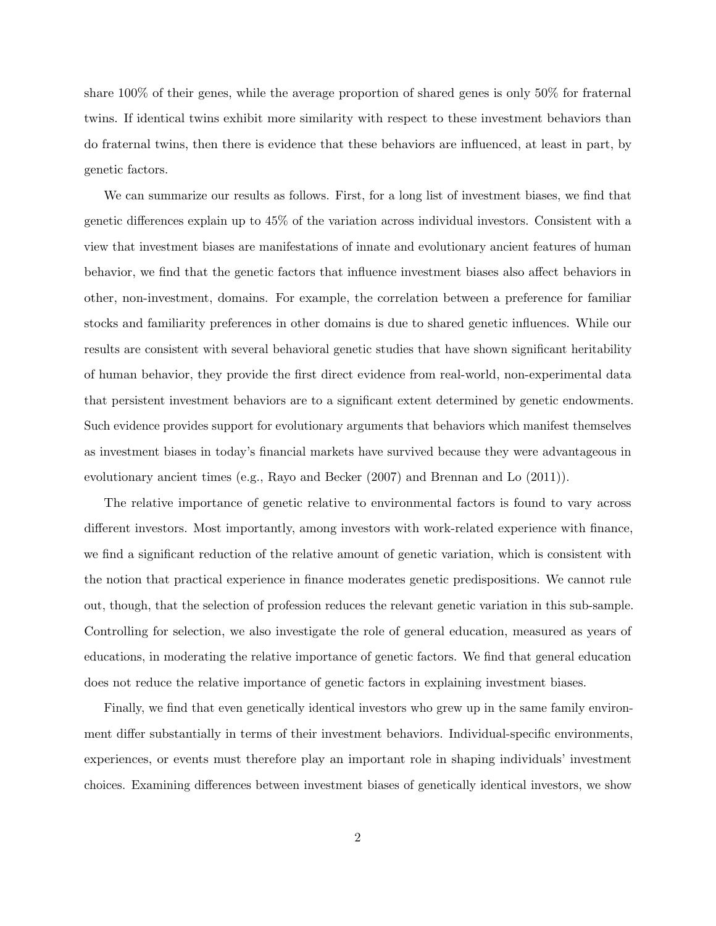share 100% of their genes, while the average proportion of shared genes is only 50% for fraternal twins. If identical twins exhibit more similarity with respect to these investment behaviors than do fraternal twins, then there is evidence that these behaviors are influenced, at least in part, by genetic factors.

We can summarize our results as follows. First, for a long list of investment biases, we find that genetic differences explain up to 45% of the variation across individual investors. Consistent with a view that investment biases are manifestations of innate and evolutionary ancient features of human behavior, we find that the genetic factors that influence investment biases also affect behaviors in other, non-investment, domains. For example, the correlation between a preference for familiar stocks and familiarity preferences in other domains is due to shared genetic influences. While our results are consistent with several behavioral genetic studies that have shown significant heritability of human behavior, they provide the first direct evidence from real-world, non-experimental data that persistent investment behaviors are to a significant extent determined by genetic endowments. Such evidence provides support for evolutionary arguments that behaviors which manifest themselves as investment biases in today's financial markets have survived because they were advantageous in evolutionary ancient times (e.g., Rayo and Becker (2007) and Brennan and Lo (2011)).

The relative importance of genetic relative to environmental factors is found to vary across different investors. Most importantly, among investors with work-related experience with finance, we find a significant reduction of the relative amount of genetic variation, which is consistent with the notion that practical experience in finance moderates genetic predispositions. We cannot rule out, though, that the selection of profession reduces the relevant genetic variation in this sub-sample. Controlling for selection, we also investigate the role of general education, measured as years of educations, in moderating the relative importance of genetic factors. We find that general education does not reduce the relative importance of genetic factors in explaining investment biases.

Finally, we find that even genetically identical investors who grew up in the same family environment differ substantially in terms of their investment behaviors. Individual-specific environments, experiences, or events must therefore play an important role in shaping individuals' investment choices. Examining differences between investment biases of genetically identical investors, we show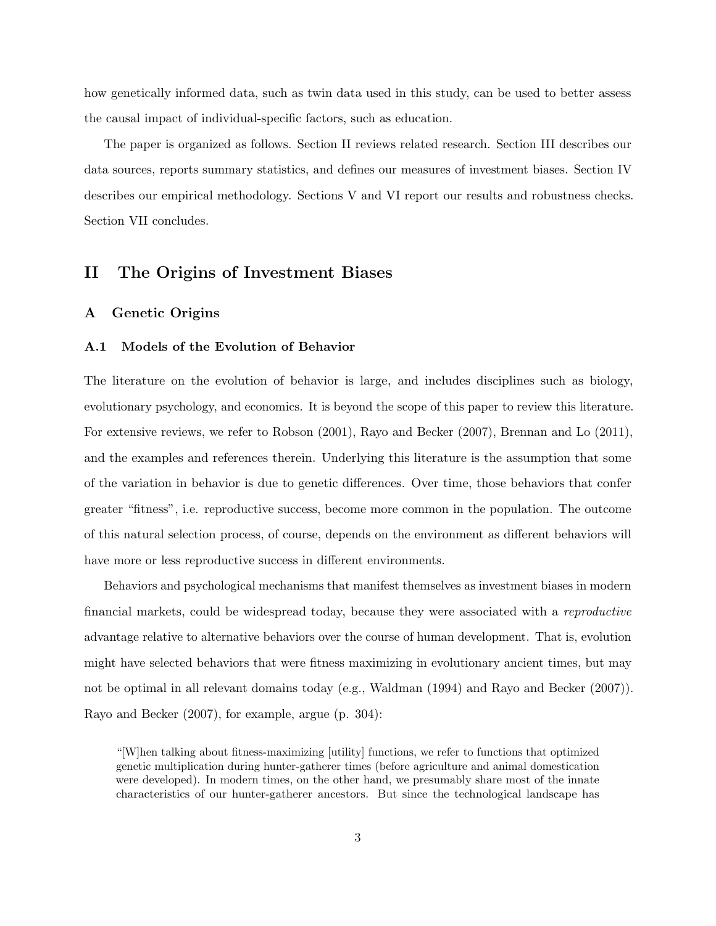how genetically informed data, such as twin data used in this study, can be used to better assess the causal impact of individual-specific factors, such as education.

The paper is organized as follows. Section II reviews related research. Section III describes our data sources, reports summary statistics, and defines our measures of investment biases. Section IV describes our empirical methodology. Sections V and VI report our results and robustness checks. Section VII concludes.

# II The Origins of Investment Biases

### A Genetic Origins

### A.1 Models of the Evolution of Behavior

The literature on the evolution of behavior is large, and includes disciplines such as biology, evolutionary psychology, and economics. It is beyond the scope of this paper to review this literature. For extensive reviews, we refer to Robson (2001), Rayo and Becker (2007), Brennan and Lo (2011), and the examples and references therein. Underlying this literature is the assumption that some of the variation in behavior is due to genetic differences. Over time, those behaviors that confer greater "fitness", i.e. reproductive success, become more common in the population. The outcome of this natural selection process, of course, depends on the environment as different behaviors will have more or less reproductive success in different environments.

Behaviors and psychological mechanisms that manifest themselves as investment biases in modern financial markets, could be widespread today, because they were associated with a reproductive advantage relative to alternative behaviors over the course of human development. That is, evolution might have selected behaviors that were fitness maximizing in evolutionary ancient times, but may not be optimal in all relevant domains today (e.g., Waldman (1994) and Rayo and Becker (2007)). Rayo and Becker (2007), for example, argue (p. 304):

<sup>&</sup>quot;[W]hen talking about fitness-maximizing [utility] functions, we refer to functions that optimized genetic multiplication during hunter-gatherer times (before agriculture and animal domestication were developed). In modern times, on the other hand, we presumably share most of the innate characteristics of our hunter-gatherer ancestors. But since the technological landscape has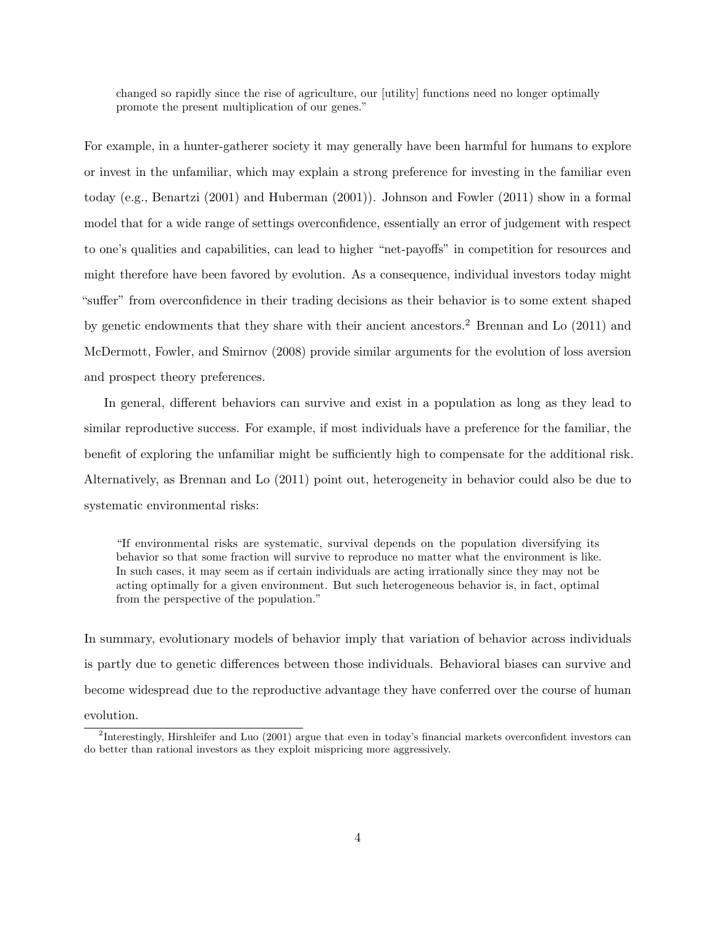changed so rapidly since the rise of agriculture, our [utility] functions need no longer optimally promote the present multiplication of our genes."

For example, in a hunter-gatherer society it may generally have been harmful for humans to explore or invest in the unfamiliar, which may explain a strong preference for investing in the familiar even today (e.g., Benartzi (2001) and Huberman (2001)). Johnson and Fowler (2011) show in a formal model that for a wide range of settings overconfidence, essentially an error of judgement with respect to one's qualities and capabilities, can lead to higher "net-payoffs" in competition for resources and might therefore have been favored by evolution. As a consequence, individual investors today might "suffer" from overconfidence in their trading decisions as their behavior is to some extent shaped by genetic endowments that they share with their ancient ancestors.<sup>2</sup> Brennan and Lo  $(2011)$  and McDermott, Fowler, and Smirnov (2008) provide similar arguments for the evolution of loss aversion and prospect theory preferences.

In general, different behaviors can survive and exist in a population as long as they lead to similar reproductive success. For example, if most individuals have a preference for the familiar, the benefit of exploring the unfamiliar might be sufficiently high to compensate for the additional risk. Alternatively, as Brennan and Lo (2011) point out, heterogeneity in behavior could also be due to systematic environmental risks:

"If environmental risks are systematic, survival depends on the population diversifying its behavior so that some fraction will survive to reproduce no matter what the environment is like. In such cases, it may seem as if certain individuals are acting irrationally since they may not be acting optimally for a given environment. But such heterogeneous behavior is, in fact, optimal from the perspective of the population."

In summary, evolutionary models of behavior imply that variation of behavior across individuals is partly due to genetic differences between those individuals. Behavioral biases can survive and become widespread due to the reproductive advantage they have conferred over the course of human

evolution.

<sup>&</sup>lt;sup>2</sup>Interestingly, Hirshleifer and Luo (2001) argue that even in today's financial markets overconfident investors can do better than rational investors as they exploit mispricing more aggressively.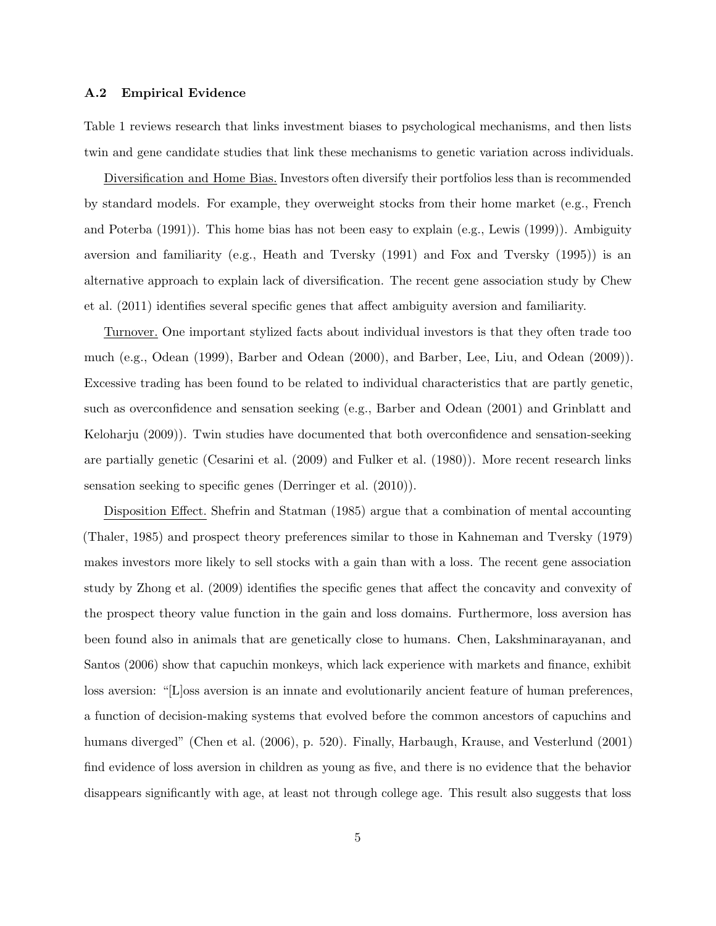### A.2 Empirical Evidence

Table 1 reviews research that links investment biases to psychological mechanisms, and then lists twin and gene candidate studies that link these mechanisms to genetic variation across individuals.

Diversification and Home Bias. Investors often diversify their portfolios less than is recommended by standard models. For example, they overweight stocks from their home market (e.g., French and Poterba (1991)). This home bias has not been easy to explain (e.g., Lewis (1999)). Ambiguity aversion and familiarity (e.g., Heath and Tversky (1991) and Fox and Tversky (1995)) is an alternative approach to explain lack of diversification. The recent gene association study by Chew et al. (2011) identifies several specific genes that affect ambiguity aversion and familiarity.

Turnover. One important stylized facts about individual investors is that they often trade too much (e.g., Odean (1999), Barber and Odean (2000), and Barber, Lee, Liu, and Odean (2009)). Excessive trading has been found to be related to individual characteristics that are partly genetic, such as overconfidence and sensation seeking (e.g., Barber and Odean (2001) and Grinblatt and Keloharju (2009)). Twin studies have documented that both overconfidence and sensation-seeking are partially genetic (Cesarini et al. (2009) and Fulker et al. (1980)). More recent research links sensation seeking to specific genes (Derringer et al. (2010)).

Disposition Effect. Shefrin and Statman (1985) argue that a combination of mental accounting (Thaler, 1985) and prospect theory preferences similar to those in Kahneman and Tversky (1979) makes investors more likely to sell stocks with a gain than with a loss. The recent gene association study by Zhong et al. (2009) identifies the specific genes that affect the concavity and convexity of the prospect theory value function in the gain and loss domains. Furthermore, loss aversion has been found also in animals that are genetically close to humans. Chen, Lakshminarayanan, and Santos (2006) show that capuchin monkeys, which lack experience with markets and finance, exhibit loss aversion: "[L]oss aversion is an innate and evolutionarily ancient feature of human preferences, a function of decision-making systems that evolved before the common ancestors of capuchins and humans diverged" (Chen et al. (2006), p. 520). Finally, Harbaugh, Krause, and Vesterlund (2001) find evidence of loss aversion in children as young as five, and there is no evidence that the behavior disappears significantly with age, at least not through college age. This result also suggests that loss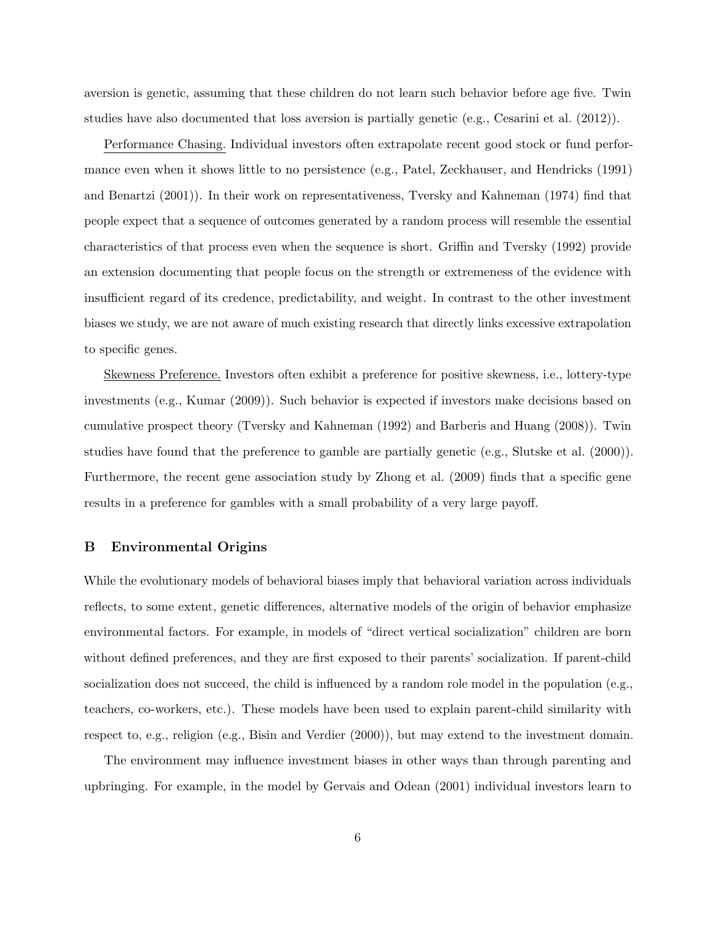aversion is genetic, assuming that these children do not learn such behavior before age five. Twin studies have also documented that loss aversion is partially genetic (e.g., Cesarini et al. (2012)).

Performance Chasing. Individual investors often extrapolate recent good stock or fund performance even when it shows little to no persistence (e.g., Patel, Zeckhauser, and Hendricks (1991) and Benartzi (2001)). In their work on representativeness, Tversky and Kahneman (1974) find that people expect that a sequence of outcomes generated by a random process will resemble the essential characteristics of that process even when the sequence is short. Griffin and Tversky (1992) provide an extension documenting that people focus on the strength or extremeness of the evidence with insufficient regard of its credence, predictability, and weight. In contrast to the other investment biases we study, we are not aware of much existing research that directly links excessive extrapolation to specific genes.

Skewness Preference. Investors often exhibit a preference for positive skewness, i.e., lottery-type investments (e.g., Kumar (2009)). Such behavior is expected if investors make decisions based on cumulative prospect theory (Tversky and Kahneman (1992) and Barberis and Huang (2008)). Twin studies have found that the preference to gamble are partially genetic (e.g., Slutske et al. (2000)). Furthermore, the recent gene association study by Zhong et al. (2009) finds that a specific gene results in a preference for gambles with a small probability of a very large payoff.

### B Environmental Origins

While the evolutionary models of behavioral biases imply that behavioral variation across individuals reflects, to some extent, genetic differences, alternative models of the origin of behavior emphasize environmental factors. For example, in models of "direct vertical socialization" children are born without defined preferences, and they are first exposed to their parents' socialization. If parent-child socialization does not succeed, the child is influenced by a random role model in the population (e.g., teachers, co-workers, etc.). These models have been used to explain parent-child similarity with respect to, e.g., religion (e.g., Bisin and Verdier (2000)), but may extend to the investment domain.

The environment may influence investment biases in other ways than through parenting and upbringing. For example, in the model by Gervais and Odean (2001) individual investors learn to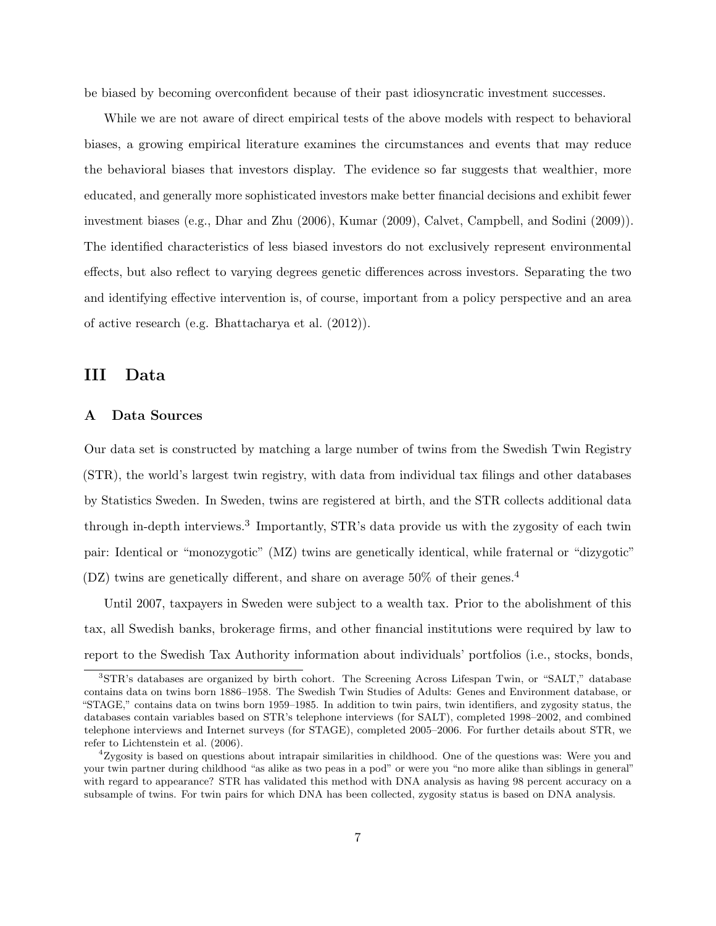be biased by becoming overconfident because of their past idiosyncratic investment successes.

While we are not aware of direct empirical tests of the above models with respect to behavioral biases, a growing empirical literature examines the circumstances and events that may reduce the behavioral biases that investors display. The evidence so far suggests that wealthier, more educated, and generally more sophisticated investors make better financial decisions and exhibit fewer investment biases (e.g., Dhar and Zhu (2006), Kumar (2009), Calvet, Campbell, and Sodini (2009)). The identified characteristics of less biased investors do not exclusively represent environmental effects, but also reflect to varying degrees genetic differences across investors. Separating the two and identifying effective intervention is, of course, important from a policy perspective and an area of active research (e.g. Bhattacharya et al. (2012)).

# III Data

#### A Data Sources

Our data set is constructed by matching a large number of twins from the Swedish Twin Registry (STR), the world's largest twin registry, with data from individual tax filings and other databases by Statistics Sweden. In Sweden, twins are registered at birth, and the STR collects additional data through in-depth interviews.<sup>3</sup> Importantly, STR's data provide us with the zygosity of each twin pair: Identical or "monozygotic" (MZ) twins are genetically identical, while fraternal or "dizygotic" (DZ) twins are genetically different, and share on average 50% of their genes.<sup>4</sup>

Until 2007, taxpayers in Sweden were subject to a wealth tax. Prior to the abolishment of this tax, all Swedish banks, brokerage firms, and other financial institutions were required by law to report to the Swedish Tax Authority information about individuals' portfolios (i.e., stocks, bonds,

<sup>3</sup>STR's databases are organized by birth cohort. The Screening Across Lifespan Twin, or "SALT," database contains data on twins born 1886–1958. The Swedish Twin Studies of Adults: Genes and Environment database, or "STAGE," contains data on twins born 1959–1985. In addition to twin pairs, twin identifiers, and zygosity status, the databases contain variables based on STR's telephone interviews (for SALT), completed 1998–2002, and combined telephone interviews and Internet surveys (for STAGE), completed 2005–2006. For further details about STR, we refer to Lichtenstein et al. (2006).

<sup>4</sup>Zygosity is based on questions about intrapair similarities in childhood. One of the questions was: Were you and your twin partner during childhood "as alike as two peas in a pod" or were you "no more alike than siblings in general" with regard to appearance? STR has validated this method with DNA analysis as having 98 percent accuracy on a subsample of twins. For twin pairs for which DNA has been collected, zygosity status is based on DNA analysis.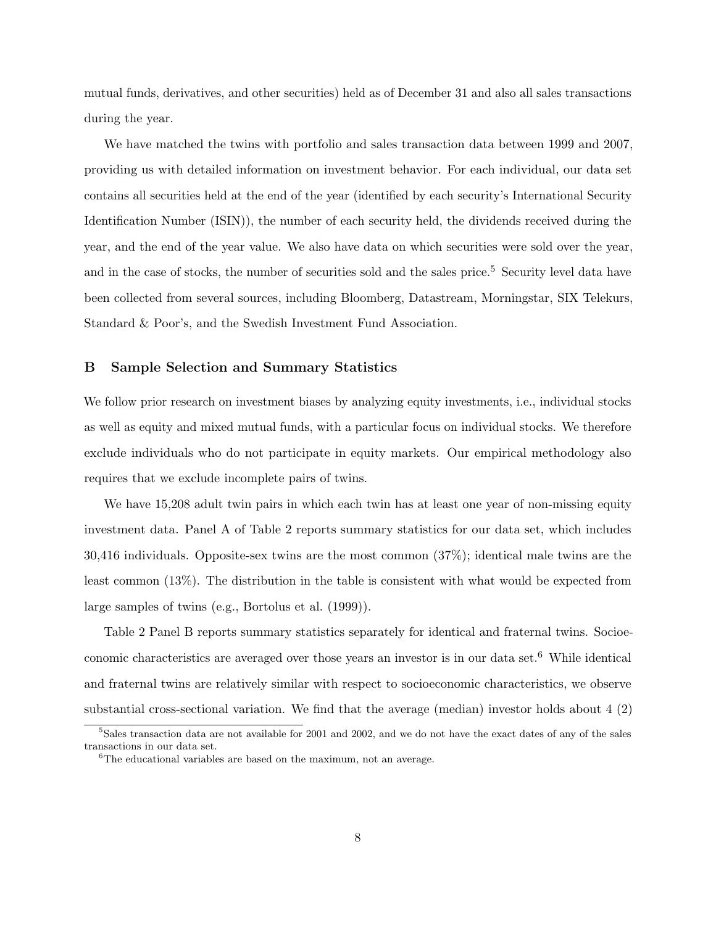mutual funds, derivatives, and other securities) held as of December 31 and also all sales transactions during the year.

We have matched the twins with portfolio and sales transaction data between 1999 and 2007, providing us with detailed information on investment behavior. For each individual, our data set contains all securities held at the end of the year (identified by each security's International Security Identification Number (ISIN)), the number of each security held, the dividends received during the year, and the end of the year value. We also have data on which securities were sold over the year, and in the case of stocks, the number of securities sold and the sales price.<sup>5</sup> Security level data have been collected from several sources, including Bloomberg, Datastream, Morningstar, SIX Telekurs, Standard & Poor's, and the Swedish Investment Fund Association.

### B Sample Selection and Summary Statistics

We follow prior research on investment biases by analyzing equity investments, i.e., individual stocks as well as equity and mixed mutual funds, with a particular focus on individual stocks. We therefore exclude individuals who do not participate in equity markets. Our empirical methodology also requires that we exclude incomplete pairs of twins.

We have  $15,208$  adult twin pairs in which each twin has at least one year of non-missing equity investment data. Panel A of Table 2 reports summary statistics for our data set, which includes 30,416 individuals. Opposite-sex twins are the most common (37%); identical male twins are the least common (13%). The distribution in the table is consistent with what would be expected from large samples of twins (e.g., Bortolus et al. (1999)).

Table 2 Panel B reports summary statistics separately for identical and fraternal twins. Socioeconomic characteristics are averaged over those years an investor is in our data set.<sup>6</sup> While identical and fraternal twins are relatively similar with respect to socioeconomic characteristics, we observe substantial cross-sectional variation. We find that the average (median) investor holds about 4 (2)

<sup>&</sup>lt;sup>5</sup>Sales transaction data are not available for 2001 and 2002, and we do not have the exact dates of any of the sales transactions in our data set.

<sup>&</sup>lt;sup>6</sup>The educational variables are based on the maximum, not an average.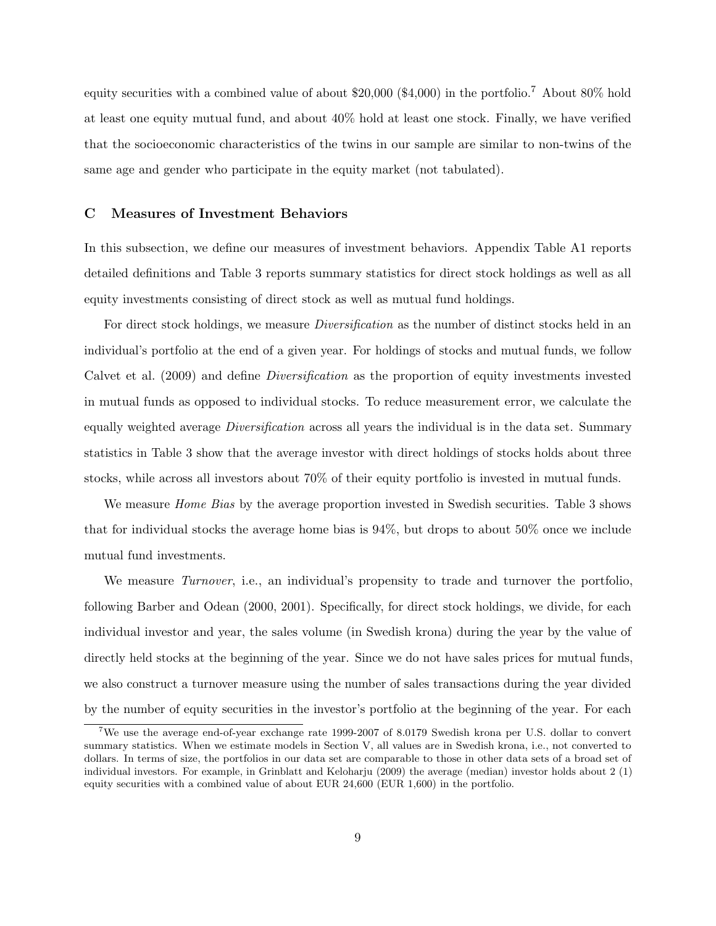equity securities with a combined value of about \$20,000 (\$4,000) in the portfolio.<sup>7</sup> About 80% hold at least one equity mutual fund, and about 40% hold at least one stock. Finally, we have verified that the socioeconomic characteristics of the twins in our sample are similar to non-twins of the same age and gender who participate in the equity market (not tabulated).

### C Measures of Investment Behaviors

In this subsection, we define our measures of investment behaviors. Appendix Table A1 reports detailed definitions and Table 3 reports summary statistics for direct stock holdings as well as all equity investments consisting of direct stock as well as mutual fund holdings.

For direct stock holdings, we measure *Diversification* as the number of distinct stocks held in an individual's portfolio at the end of a given year. For holdings of stocks and mutual funds, we follow Calvet et al. (2009) and define Diversification as the proportion of equity investments invested in mutual funds as opposed to individual stocks. To reduce measurement error, we calculate the equally weighted average *Diversification* across all years the individual is in the data set. Summary statistics in Table 3 show that the average investor with direct holdings of stocks holds about three stocks, while across all investors about 70% of their equity portfolio is invested in mutual funds.

We measure *Home Bias* by the average proportion invested in Swedish securities. Table 3 shows that for individual stocks the average home bias is 94%, but drops to about 50% once we include mutual fund investments.

We measure *Turnover*, i.e., an individual's propensity to trade and turnover the portfolio, following Barber and Odean (2000, 2001). Specifically, for direct stock holdings, we divide, for each individual investor and year, the sales volume (in Swedish krona) during the year by the value of directly held stocks at the beginning of the year. Since we do not have sales prices for mutual funds, we also construct a turnover measure using the number of sales transactions during the year divided by the number of equity securities in the investor's portfolio at the beginning of the year. For each

<sup>7</sup>We use the average end-of-year exchange rate 1999-2007 of 8.0179 Swedish krona per U.S. dollar to convert summary statistics. When we estimate models in Section V, all values are in Swedish krona, i.e., not converted to dollars. In terms of size, the portfolios in our data set are comparable to those in other data sets of a broad set of individual investors. For example, in Grinblatt and Keloharju (2009) the average (median) investor holds about 2 (1) equity securities with a combined value of about EUR 24,600 (EUR 1,600) in the portfolio.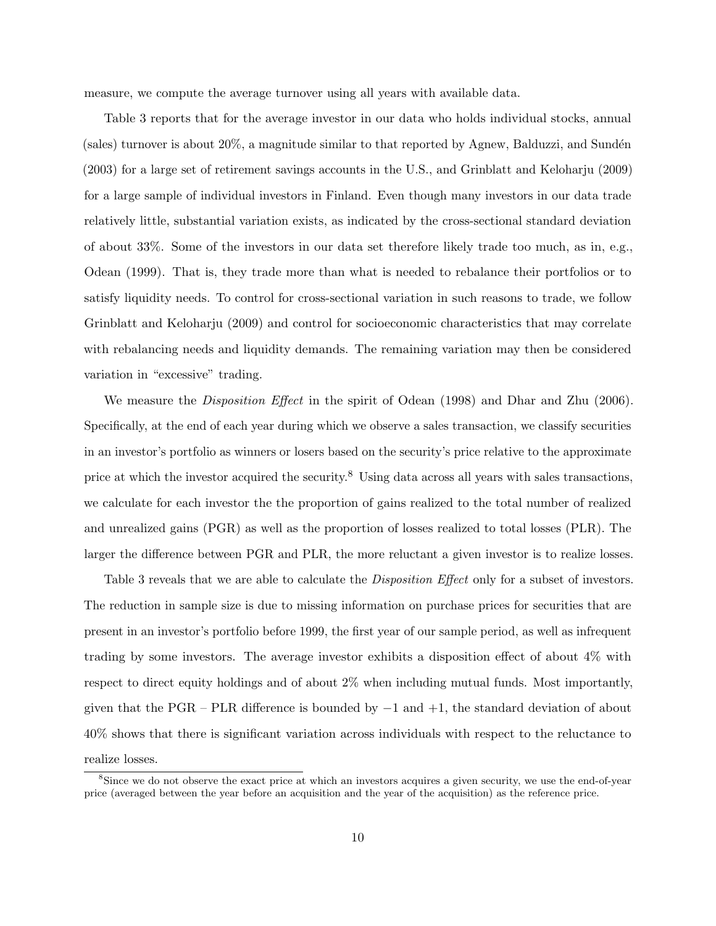measure, we compute the average turnover using all years with available data.

Table 3 reports that for the average investor in our data who holds individual stocks, annual (sales) turnover is about  $20\%$ , a magnitude similar to that reported by Agnew, Balduzzi, and Sundén (2003) for a large set of retirement savings accounts in the U.S., and Grinblatt and Keloharju (2009) for a large sample of individual investors in Finland. Even though many investors in our data trade relatively little, substantial variation exists, as indicated by the cross-sectional standard deviation of about 33%. Some of the investors in our data set therefore likely trade too much, as in, e.g., Odean (1999). That is, they trade more than what is needed to rebalance their portfolios or to satisfy liquidity needs. To control for cross-sectional variation in such reasons to trade, we follow Grinblatt and Keloharju (2009) and control for socioeconomic characteristics that may correlate with rebalancing needs and liquidity demands. The remaining variation may then be considered variation in "excessive" trading.

We measure the *Disposition Effect* in the spirit of Odean (1998) and Dhar and Zhu (2006). Specifically, at the end of each year during which we observe a sales transaction, we classify securities in an investor's portfolio as winners or losers based on the security's price relative to the approximate price at which the investor acquired the security.<sup>8</sup> Using data across all years with sales transactions, we calculate for each investor the the proportion of gains realized to the total number of realized and unrealized gains (PGR) as well as the proportion of losses realized to total losses (PLR). The larger the difference between PGR and PLR, the more reluctant a given investor is to realize losses.

Table 3 reveals that we are able to calculate the *Disposition Effect* only for a subset of investors. The reduction in sample size is due to missing information on purchase prices for securities that are present in an investor's portfolio before 1999, the first year of our sample period, as well as infrequent trading by some investors. The average investor exhibits a disposition effect of about 4% with respect to direct equity holdings and of about 2% when including mutual funds. Most importantly, given that the PGR – PLR difference is bounded by  $-1$  and  $+1$ , the standard deviation of about 40% shows that there is significant variation across individuals with respect to the reluctance to realize losses.

<sup>&</sup>lt;sup>8</sup>Since we do not observe the exact price at which an investors acquires a given security, we use the end-of-year price (averaged between the year before an acquisition and the year of the acquisition) as the reference price.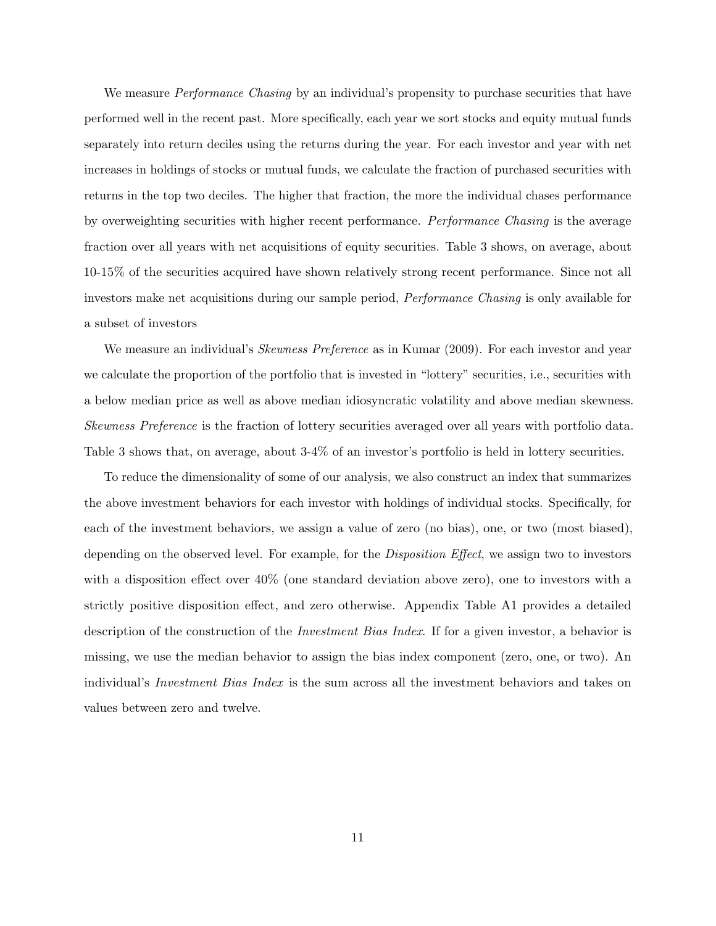We measure *Performance Chasing* by an individual's propensity to purchase securities that have performed well in the recent past. More specifically, each year we sort stocks and equity mutual funds separately into return deciles using the returns during the year. For each investor and year with net increases in holdings of stocks or mutual funds, we calculate the fraction of purchased securities with returns in the top two deciles. The higher that fraction, the more the individual chases performance by overweighting securities with higher recent performance. Performance Chasing is the average fraction over all years with net acquisitions of equity securities. Table 3 shows, on average, about 10-15% of the securities acquired have shown relatively strong recent performance. Since not all investors make net acquisitions during our sample period, Performance Chasing is only available for a subset of investors

We measure an individual's *Skewness Preference* as in Kumar (2009). For each investor and year we calculate the proportion of the portfolio that is invested in "lottery" securities, i.e., securities with a below median price as well as above median idiosyncratic volatility and above median skewness. Skewness Preference is the fraction of lottery securities averaged over all years with portfolio data. Table 3 shows that, on average, about 3-4% of an investor's portfolio is held in lottery securities.

To reduce the dimensionality of some of our analysis, we also construct an index that summarizes the above investment behaviors for each investor with holdings of individual stocks. Specifically, for each of the investment behaviors, we assign a value of zero (no bias), one, or two (most biased), depending on the observed level. For example, for the *Disposition Effect*, we assign two to investors with a disposition effect over 40% (one standard deviation above zero), one to investors with a strictly positive disposition effect, and zero otherwise. Appendix Table A1 provides a detailed description of the construction of the *Investment Bias Index*. If for a given investor, a behavior is missing, we use the median behavior to assign the bias index component (zero, one, or two). An individual's Investment Bias Index is the sum across all the investment behaviors and takes on values between zero and twelve.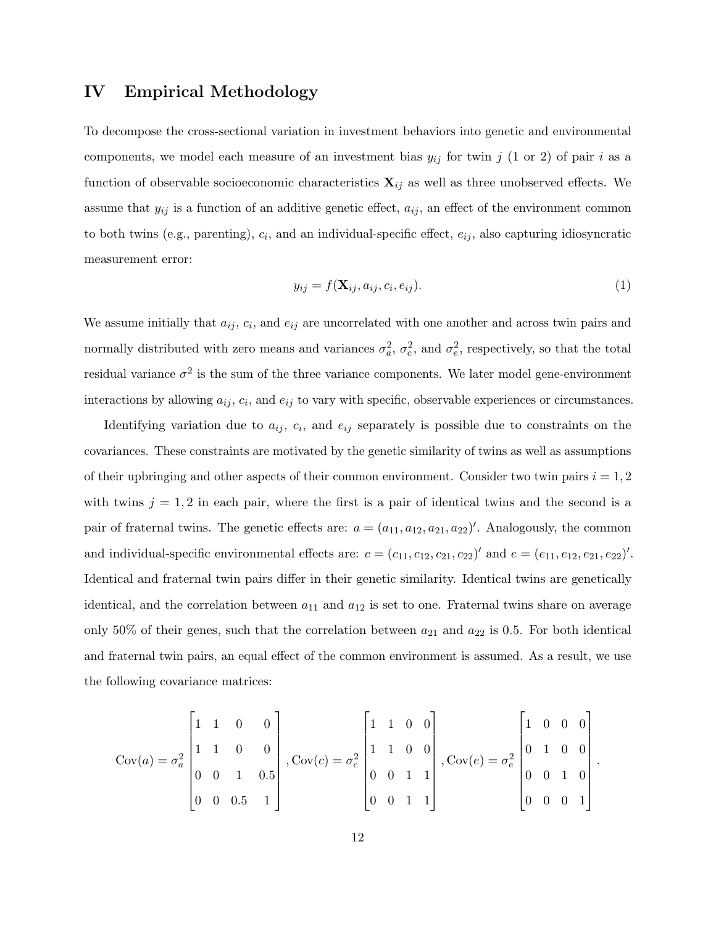# IV Empirical Methodology

To decompose the cross-sectional variation in investment behaviors into genetic and environmental components, we model each measure of an investment bias  $y_{ij}$  for twin j (1 or 2) of pair i as a function of observable socioeconomic characteristics  $\mathbf{X}_{ij}$  as well as three unobserved effects. We assume that  $y_{ij}$  is a function of an additive genetic effect,  $a_{ij}$ , an effect of the environment common to both twins (e.g., parenting),  $c_i$ , and an individual-specific effect,  $e_{ij}$ , also capturing idiosyncratic measurement error:

$$
y_{ij} = f(\mathbf{X}_{ij}, a_{ij}, c_i, e_{ij}).
$$
\n<sup>(1)</sup>

.

We assume initially that  $a_{ij}$ ,  $c_i$ , and  $e_{ij}$  are uncorrelated with one another and across twin pairs and normally distributed with zero means and variances  $\sigma_a^2$ ,  $\sigma_c^2$ , and  $\sigma_e^2$ , respectively, so that the total residual variance  $\sigma^2$  is the sum of the three variance components. We later model gene-environment interactions by allowing  $a_{ij}$ ,  $c_i$ , and  $e_{ij}$  to vary with specific, observable experiences or circumstances.

Identifying variation due to  $a_{ij}$ ,  $c_i$ , and  $e_{ij}$  separately is possible due to constraints on the covariances. These constraints are motivated by the genetic similarity of twins as well as assumptions of their upbringing and other aspects of their common environment. Consider two twin pairs  $i = 1, 2$ with twins  $j = 1, 2$  in each pair, where the first is a pair of identical twins and the second is a pair of fraternal twins. The genetic effects are:  $a = (a_{11}, a_{12}, a_{21}, a_{22})'$ . Analogously, the common and individual-specific environmental effects are:  $c = (c_{11}, c_{12}, c_{21}, c_{22})'$  and  $e = (e_{11}, e_{12}, e_{21}, e_{22})'$ . Identical and fraternal twin pairs differ in their genetic similarity. Identical twins are genetically identical, and the correlation between  $a_{11}$  and  $a_{12}$  is set to one. Fraternal twins share on average only 50% of their genes, such that the correlation between  $a_{21}$  and  $a_{22}$  is 0.5. For both identical and fraternal twin pairs, an equal effect of the common environment is assumed. As a result, we use the following covariance matrices:

$$
Cov(a) = \sigma_a^2 \begin{bmatrix} 1 & 1 & 0 & 0 \\ 1 & 1 & 0 & 0 \\ 0 & 0 & 1 & 0.5 \\ 0 & 0 & 0.5 & 1 \end{bmatrix}, Cov(c) = \sigma_c^2 \begin{bmatrix} 1 & 1 & 0 & 0 \\ 1 & 1 & 0 & 0 \\ 0 & 0 & 1 & 1 \\ 0 & 0 & 1 & 1 \end{bmatrix}, Cov(e) = \sigma_e^2 \begin{bmatrix} 1 & 0 & 0 & 0 \\ 0 & 1 & 0 & 0 \\ 0 & 0 & 1 & 0 \\ 0 & 0 & 0 & 1 \end{bmatrix}
$$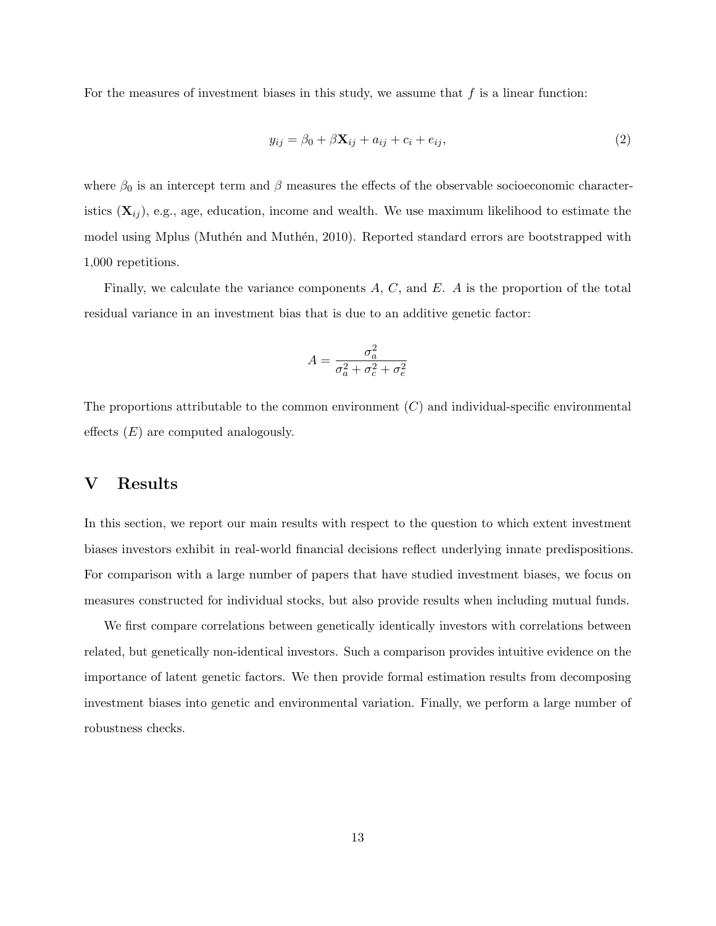For the measures of investment biases in this study, we assume that  $f$  is a linear function:

$$
y_{ij} = \beta_0 + \beta \mathbf{X}_{ij} + a_{ij} + c_i + e_{ij},\tag{2}
$$

where  $\beta_0$  is an intercept term and  $\beta$  measures the effects of the observable socioeconomic characteristics  $(\mathbf{X}_{ij})$ , e.g., age, education, income and wealth. We use maximum likelihood to estimate the model using Mplus (Muthén and Muthén, 2010). Reported standard errors are bootstrapped with 1,000 repetitions.

Finally, we calculate the variance components A, C, and E. A is the proportion of the total residual variance in an investment bias that is due to an additive genetic factor:

$$
A = \frac{\sigma_a^2}{\sigma_a^2 + \sigma_c^2 + \sigma_e^2}
$$

The proportions attributable to the common environment  $(C)$  and individual-specific environmental effects  $(E)$  are computed analogously.

# V Results

In this section, we report our main results with respect to the question to which extent investment biases investors exhibit in real-world financial decisions reflect underlying innate predispositions. For comparison with a large number of papers that have studied investment biases, we focus on measures constructed for individual stocks, but also provide results when including mutual funds.

We first compare correlations between genetically identically investors with correlations between related, but genetically non-identical investors. Such a comparison provides intuitive evidence on the importance of latent genetic factors. We then provide formal estimation results from decomposing investment biases into genetic and environmental variation. Finally, we perform a large number of robustness checks.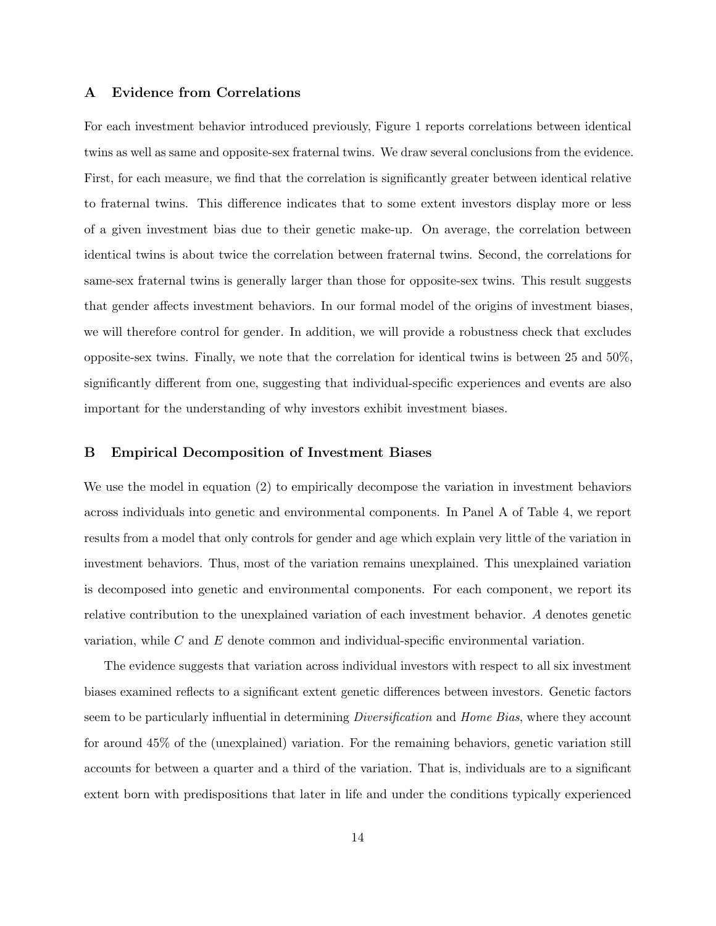### A Evidence from Correlations

For each investment behavior introduced previously, Figure 1 reports correlations between identical twins as well as same and opposite-sex fraternal twins. We draw several conclusions from the evidence. First, for each measure, we find that the correlation is significantly greater between identical relative to fraternal twins. This difference indicates that to some extent investors display more or less of a given investment bias due to their genetic make-up. On average, the correlation between identical twins is about twice the correlation between fraternal twins. Second, the correlations for same-sex fraternal twins is generally larger than those for opposite-sex twins. This result suggests that gender affects investment behaviors. In our formal model of the origins of investment biases, we will therefore control for gender. In addition, we will provide a robustness check that excludes opposite-sex twins. Finally, we note that the correlation for identical twins is between 25 and 50%, significantly different from one, suggesting that individual-specific experiences and events are also important for the understanding of why investors exhibit investment biases.

### B Empirical Decomposition of Investment Biases

We use the model in equation (2) to empirically decompose the variation in investment behaviors across individuals into genetic and environmental components. In Panel A of Table 4, we report results from a model that only controls for gender and age which explain very little of the variation in investment behaviors. Thus, most of the variation remains unexplained. This unexplained variation is decomposed into genetic and environmental components. For each component, we report its relative contribution to the unexplained variation of each investment behavior. A denotes genetic variation, while C and E denote common and individual-specific environmental variation.

The evidence suggests that variation across individual investors with respect to all six investment biases examined reflects to a significant extent genetic differences between investors. Genetic factors seem to be particularly influential in determining *Diversification* and *Home Bias*, where they account for around 45% of the (unexplained) variation. For the remaining behaviors, genetic variation still accounts for between a quarter and a third of the variation. That is, individuals are to a significant extent born with predispositions that later in life and under the conditions typically experienced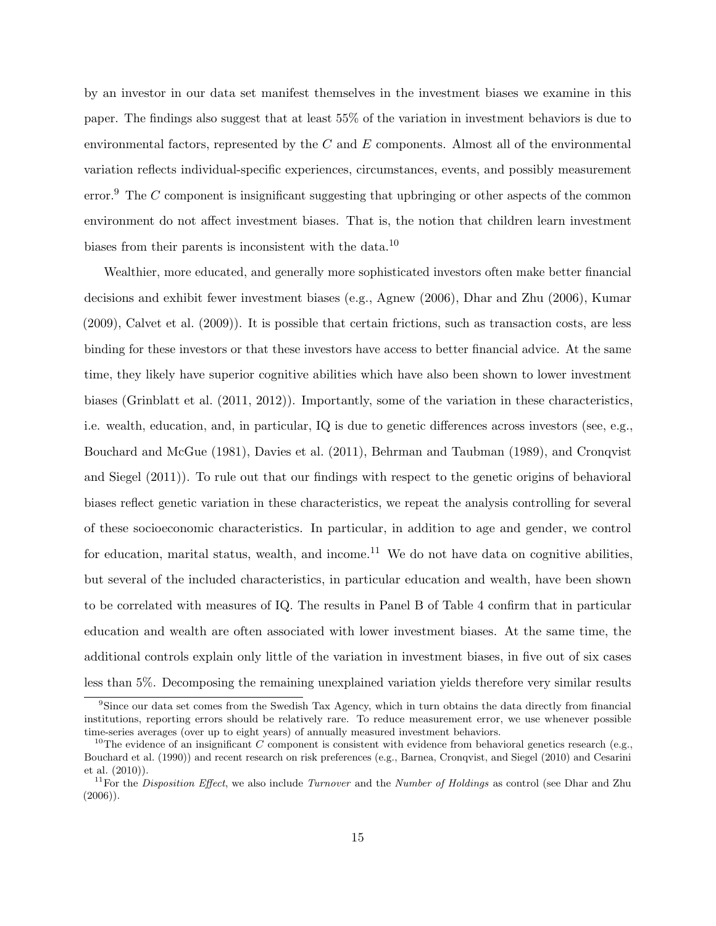by an investor in our data set manifest themselves in the investment biases we examine in this paper. The findings also suggest that at least 55% of the variation in investment behaviors is due to environmental factors, represented by the  $C$  and  $E$  components. Almost all of the environmental variation reflects individual-specific experiences, circumstances, events, and possibly measurement error.<sup>9</sup> The C component is insignificant suggesting that upbringing or other aspects of the common environment do not affect investment biases. That is, the notion that children learn investment biases from their parents is inconsistent with the data.<sup>10</sup>

Wealthier, more educated, and generally more sophisticated investors often make better financial decisions and exhibit fewer investment biases (e.g., Agnew (2006), Dhar and Zhu (2006), Kumar (2009), Calvet et al. (2009)). It is possible that certain frictions, such as transaction costs, are less binding for these investors or that these investors have access to better financial advice. At the same time, they likely have superior cognitive abilities which have also been shown to lower investment biases (Grinblatt et al. (2011, 2012)). Importantly, some of the variation in these characteristics, i.e. wealth, education, and, in particular, IQ is due to genetic differences across investors (see, e.g., Bouchard and McGue (1981), Davies et al. (2011), Behrman and Taubman (1989), and Cronqvist and Siegel (2011)). To rule out that our findings with respect to the genetic origins of behavioral biases reflect genetic variation in these characteristics, we repeat the analysis controlling for several of these socioeconomic characteristics. In particular, in addition to age and gender, we control for education, marital status, wealth, and income.<sup>11</sup> We do not have data on cognitive abilities. but several of the included characteristics, in particular education and wealth, have been shown to be correlated with measures of IQ. The results in Panel B of Table 4 confirm that in particular education and wealth are often associated with lower investment biases. At the same time, the additional controls explain only little of the variation in investment biases, in five out of six cases less than 5%. Decomposing the remaining unexplained variation yields therefore very similar results

<sup>9</sup>Since our data set comes from the Swedish Tax Agency, which in turn obtains the data directly from financial institutions, reporting errors should be relatively rare. To reduce measurement error, we use whenever possible time-series averages (over up to eight years) of annually measured investment behaviors.

<sup>&</sup>lt;sup>10</sup>The evidence of an insignificant C component is consistent with evidence from behavioral genetics research (e.g., Bouchard et al. (1990)) and recent research on risk preferences (e.g., Barnea, Cronqvist, and Siegel (2010) and Cesarini et al. (2010)).

 $11$ For the *Disposition Effect*, we also include *Turnover* and the *Number of Holdings* as control (see Dhar and Zhu  $(2006)$ ).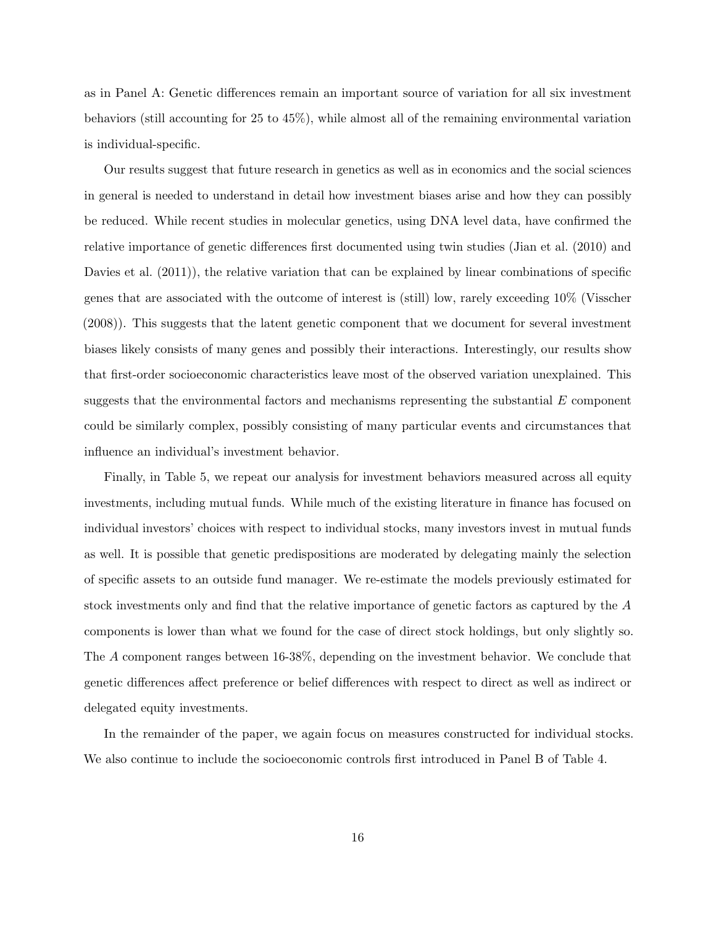as in Panel A: Genetic differences remain an important source of variation for all six investment behaviors (still accounting for 25 to 45%), while almost all of the remaining environmental variation is individual-specific.

Our results suggest that future research in genetics as well as in economics and the social sciences in general is needed to understand in detail how investment biases arise and how they can possibly be reduced. While recent studies in molecular genetics, using DNA level data, have confirmed the relative importance of genetic differences first documented using twin studies (Jian et al. (2010) and Davies et al. (2011)), the relative variation that can be explained by linear combinations of specific genes that are associated with the outcome of interest is (still) low, rarely exceeding 10% (Visscher (2008)). This suggests that the latent genetic component that we document for several investment biases likely consists of many genes and possibly their interactions. Interestingly, our results show that first-order socioeconomic characteristics leave most of the observed variation unexplained. This suggests that the environmental factors and mechanisms representing the substantial  $E$  component could be similarly complex, possibly consisting of many particular events and circumstances that influence an individual's investment behavior.

Finally, in Table 5, we repeat our analysis for investment behaviors measured across all equity investments, including mutual funds. While much of the existing literature in finance has focused on individual investors' choices with respect to individual stocks, many investors invest in mutual funds as well. It is possible that genetic predispositions are moderated by delegating mainly the selection of specific assets to an outside fund manager. We re-estimate the models previously estimated for stock investments only and find that the relative importance of genetic factors as captured by the A components is lower than what we found for the case of direct stock holdings, but only slightly so. The A component ranges between 16-38%, depending on the investment behavior. We conclude that genetic differences affect preference or belief differences with respect to direct as well as indirect or delegated equity investments.

In the remainder of the paper, we again focus on measures constructed for individual stocks. We also continue to include the socioeconomic controls first introduced in Panel B of Table 4.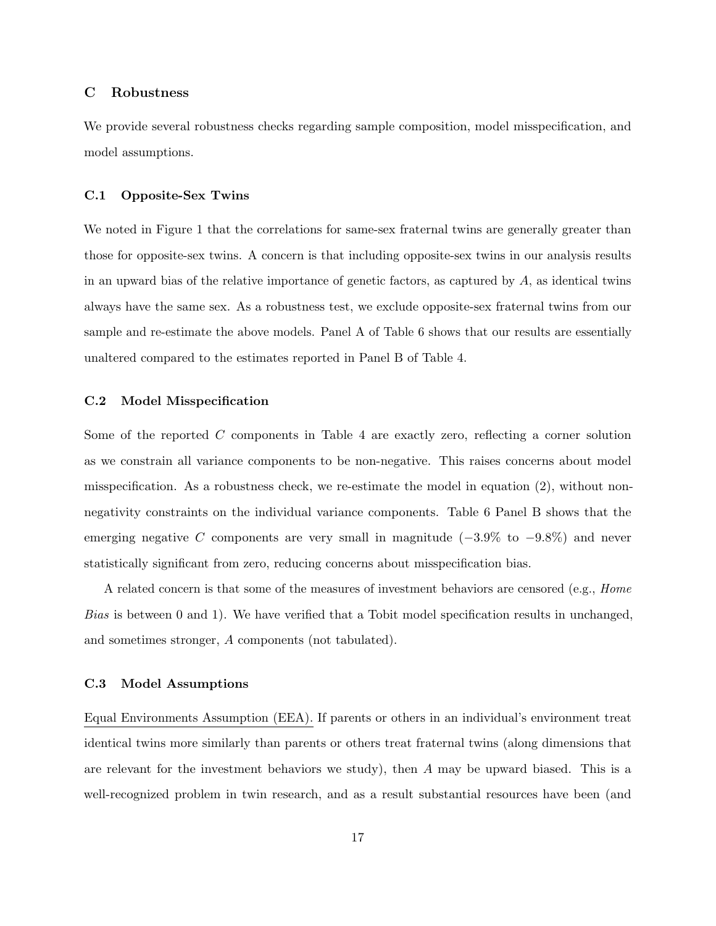### C Robustness

We provide several robustness checks regarding sample composition, model misspecification, and model assumptions.

#### C.1 Opposite-Sex Twins

We noted in Figure 1 that the correlations for same-sex fraternal twins are generally greater than those for opposite-sex twins. A concern is that including opposite-sex twins in our analysis results in an upward bias of the relative importance of genetic factors, as captured by  $A$ , as identical twins always have the same sex. As a robustness test, we exclude opposite-sex fraternal twins from our sample and re-estimate the above models. Panel A of Table 6 shows that our results are essentially unaltered compared to the estimates reported in Panel B of Table 4.

#### C.2 Model Misspecification

Some of the reported C components in Table 4 are exactly zero, reflecting a corner solution as we constrain all variance components to be non-negative. This raises concerns about model misspecification. As a robustness check, we re-estimate the model in equation (2), without nonnegativity constraints on the individual variance components. Table 6 Panel B shows that the emerging negative C components are very small in magnitude  $(-3.9\%$  to  $-9.8\%)$  and never statistically significant from zero, reducing concerns about misspecification bias.

A related concern is that some of the measures of investment behaviors are censored (e.g., Home Bias is between 0 and 1). We have verified that a Tobit model specification results in unchanged, and sometimes stronger, A components (not tabulated).

#### C.3 Model Assumptions

Equal Environments Assumption (EEA). If parents or others in an individual's environment treat identical twins more similarly than parents or others treat fraternal twins (along dimensions that are relevant for the investment behaviors we study), then A may be upward biased. This is a well-recognized problem in twin research, and as a result substantial resources have been (and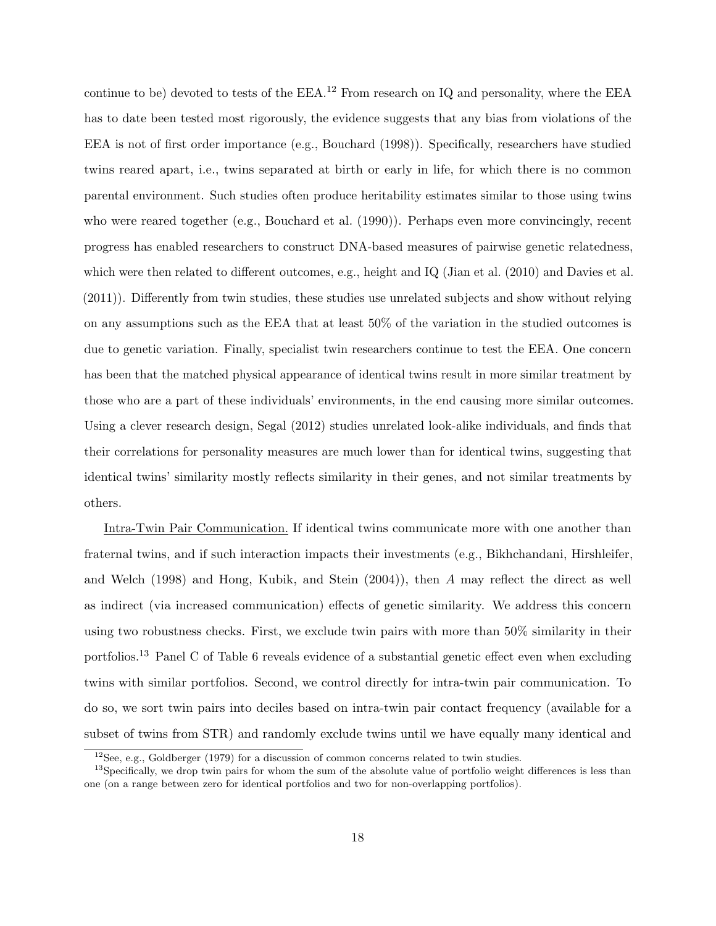continue to be) devoted to tests of the EEA.<sup>12</sup> From research on IQ and personality, where the EEA has to date been tested most rigorously, the evidence suggests that any bias from violations of the EEA is not of first order importance (e.g., Bouchard (1998)). Specifically, researchers have studied twins reared apart, i.e., twins separated at birth or early in life, for which there is no common parental environment. Such studies often produce heritability estimates similar to those using twins who were reared together (e.g., Bouchard et al. (1990)). Perhaps even more convincingly, recent progress has enabled researchers to construct DNA-based measures of pairwise genetic relatedness, which were then related to different outcomes, e.g., height and IQ (Jian et al. (2010) and Davies et al. (2011)). Differently from twin studies, these studies use unrelated subjects and show without relying on any assumptions such as the EEA that at least 50% of the variation in the studied outcomes is due to genetic variation. Finally, specialist twin researchers continue to test the EEA. One concern has been that the matched physical appearance of identical twins result in more similar treatment by those who are a part of these individuals' environments, in the end causing more similar outcomes. Using a clever research design, Segal (2012) studies unrelated look-alike individuals, and finds that their correlations for personality measures are much lower than for identical twins, suggesting that identical twins' similarity mostly reflects similarity in their genes, and not similar treatments by others.

Intra-Twin Pair Communication. If identical twins communicate more with one another than fraternal twins, and if such interaction impacts their investments (e.g., Bikhchandani, Hirshleifer, and Welch (1998) and Hong, Kubik, and Stein (2004)), then A may reflect the direct as well as indirect (via increased communication) effects of genetic similarity. We address this concern using two robustness checks. First, we exclude twin pairs with more than 50% similarity in their portfolios.<sup>13</sup> Panel C of Table 6 reveals evidence of a substantial genetic effect even when excluding twins with similar portfolios. Second, we control directly for intra-twin pair communication. To do so, we sort twin pairs into deciles based on intra-twin pair contact frequency (available for a subset of twins from STR) and randomly exclude twins until we have equally many identical and

 $12$ See, e.g., Goldberger (1979) for a discussion of common concerns related to twin studies.

<sup>&</sup>lt;sup>13</sup>Specifically, we drop twin pairs for whom the sum of the absolute value of portfolio weight differences is less than one (on a range between zero for identical portfolios and two for non-overlapping portfolios).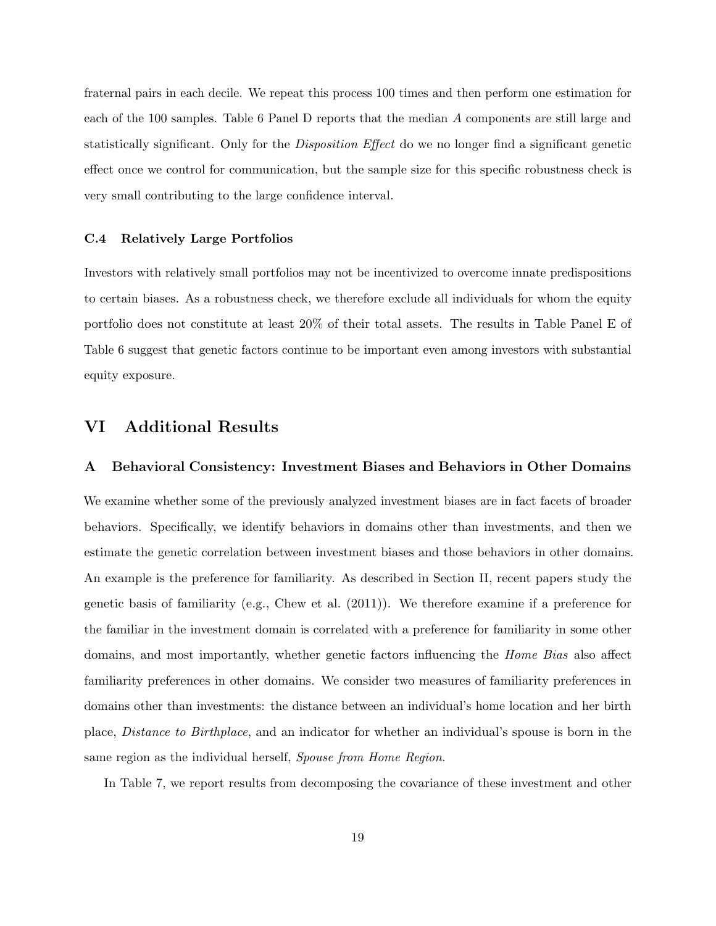fraternal pairs in each decile. We repeat this process 100 times and then perform one estimation for each of the 100 samples. Table 6 Panel D reports that the median A components are still large and statistically significant. Only for the Disposition Effect do we no longer find a significant genetic effect once we control for communication, but the sample size for this specific robustness check is very small contributing to the large confidence interval.

### C.4 Relatively Large Portfolios

Investors with relatively small portfolios may not be incentivized to overcome innate predispositions to certain biases. As a robustness check, we therefore exclude all individuals for whom the equity portfolio does not constitute at least 20% of their total assets. The results in Table Panel E of Table 6 suggest that genetic factors continue to be important even among investors with substantial equity exposure.

# VI Additional Results

#### A Behavioral Consistency: Investment Biases and Behaviors in Other Domains

We examine whether some of the previously analyzed investment biases are in fact facets of broader behaviors. Specifically, we identify behaviors in domains other than investments, and then we estimate the genetic correlation between investment biases and those behaviors in other domains. An example is the preference for familiarity. As described in Section II, recent papers study the genetic basis of familiarity (e.g., Chew et al. (2011)). We therefore examine if a preference for the familiar in the investment domain is correlated with a preference for familiarity in some other domains, and most importantly, whether genetic factors influencing the Home Bias also affect familiarity preferences in other domains. We consider two measures of familiarity preferences in domains other than investments: the distance between an individual's home location and her birth place, Distance to Birthplace, and an indicator for whether an individual's spouse is born in the same region as the individual herself, *Spouse from Home Region*.

In Table 7, we report results from decomposing the covariance of these investment and other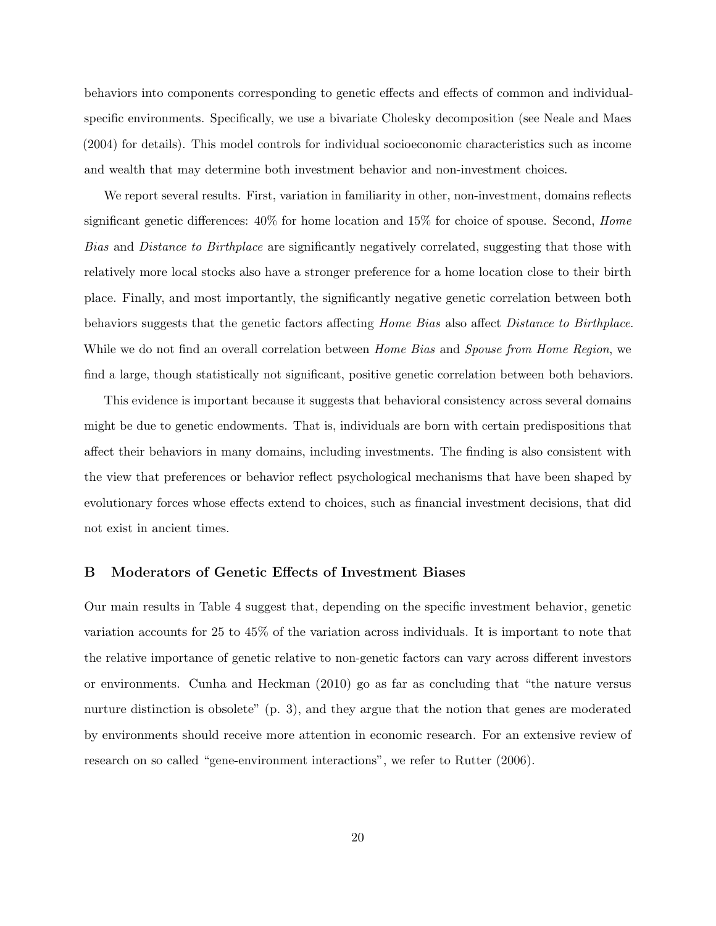behaviors into components corresponding to genetic effects and effects of common and individualspecific environments. Specifically, we use a bivariate Cholesky decomposition (see Neale and Maes (2004) for details). This model controls for individual socioeconomic characteristics such as income and wealth that may determine both investment behavior and non-investment choices.

We report several results. First, variation in familiarity in other, non-investment, domains reflects significant genetic differences: 40% for home location and 15% for choice of spouse. Second, Home Bias and Distance to Birthplace are significantly negatively correlated, suggesting that those with relatively more local stocks also have a stronger preference for a home location close to their birth place. Finally, and most importantly, the significantly negative genetic correlation between both behaviors suggests that the genetic factors affecting Home Bias also affect Distance to Birthplace. While we do not find an overall correlation between *Home Bias* and *Spouse from Home Region*, we find a large, though statistically not significant, positive genetic correlation between both behaviors.

This evidence is important because it suggests that behavioral consistency across several domains might be due to genetic endowments. That is, individuals are born with certain predispositions that affect their behaviors in many domains, including investments. The finding is also consistent with the view that preferences or behavior reflect psychological mechanisms that have been shaped by evolutionary forces whose effects extend to choices, such as financial investment decisions, that did not exist in ancient times.

### B Moderators of Genetic Effects of Investment Biases

Our main results in Table 4 suggest that, depending on the specific investment behavior, genetic variation accounts for 25 to 45% of the variation across individuals. It is important to note that the relative importance of genetic relative to non-genetic factors can vary across different investors or environments. Cunha and Heckman (2010) go as far as concluding that "the nature versus nurture distinction is obsolete" (p. 3), and they argue that the notion that genes are moderated by environments should receive more attention in economic research. For an extensive review of research on so called "gene-environment interactions", we refer to Rutter (2006).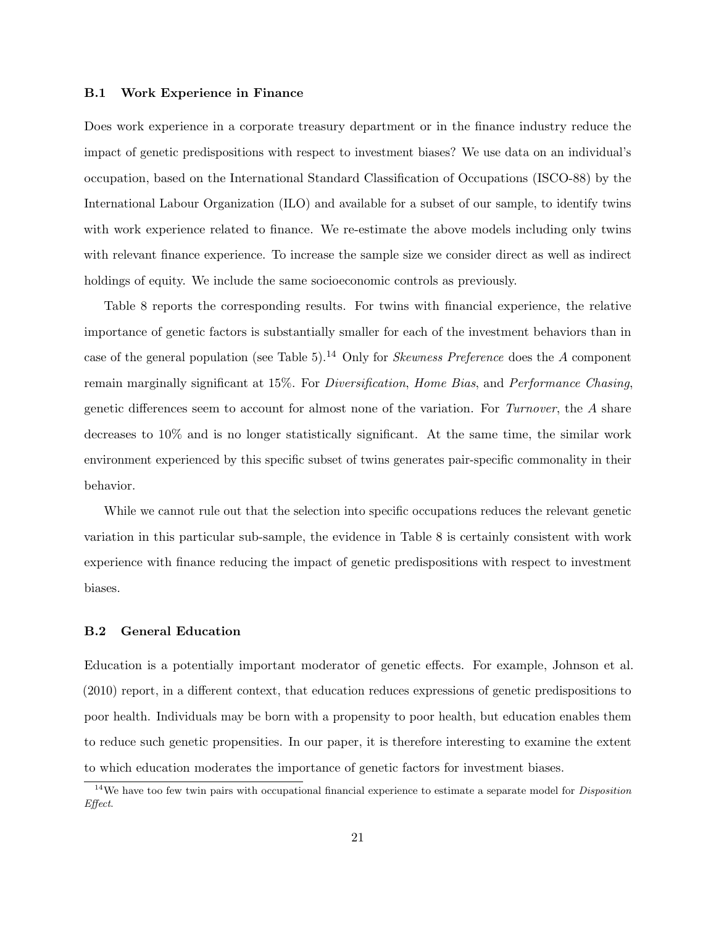#### B.1 Work Experience in Finance

Does work experience in a corporate treasury department or in the finance industry reduce the impact of genetic predispositions with respect to investment biases? We use data on an individual's occupation, based on the International Standard Classification of Occupations (ISCO-88) by the International Labour Organization (ILO) and available for a subset of our sample, to identify twins with work experience related to finance. We re-estimate the above models including only twins with relevant finance experience. To increase the sample size we consider direct as well as indirect holdings of equity. We include the same socioeconomic controls as previously.

Table 8 reports the corresponding results. For twins with financial experience, the relative importance of genetic factors is substantially smaller for each of the investment behaviors than in case of the general population (see Table 5).<sup>14</sup> Only for *Skewness Preference* does the A component remain marginally significant at 15%. For Diversification, Home Bias, and Performance Chasing, genetic differences seem to account for almost none of the variation. For Turnover, the A share decreases to 10% and is no longer statistically significant. At the same time, the similar work environment experienced by this specific subset of twins generates pair-specific commonality in their behavior.

While we cannot rule out that the selection into specific occupations reduces the relevant genetic variation in this particular sub-sample, the evidence in Table 8 is certainly consistent with work experience with finance reducing the impact of genetic predispositions with respect to investment biases.

#### B.2 General Education

Education is a potentially important moderator of genetic effects. For example, Johnson et al. (2010) report, in a different context, that education reduces expressions of genetic predispositions to poor health. Individuals may be born with a propensity to poor health, but education enables them to reduce such genetic propensities. In our paper, it is therefore interesting to examine the extent to which education moderates the importance of genetic factors for investment biases.

 $14$ We have too few twin pairs with occupational financial experience to estimate a separate model for *Disposition* Effect.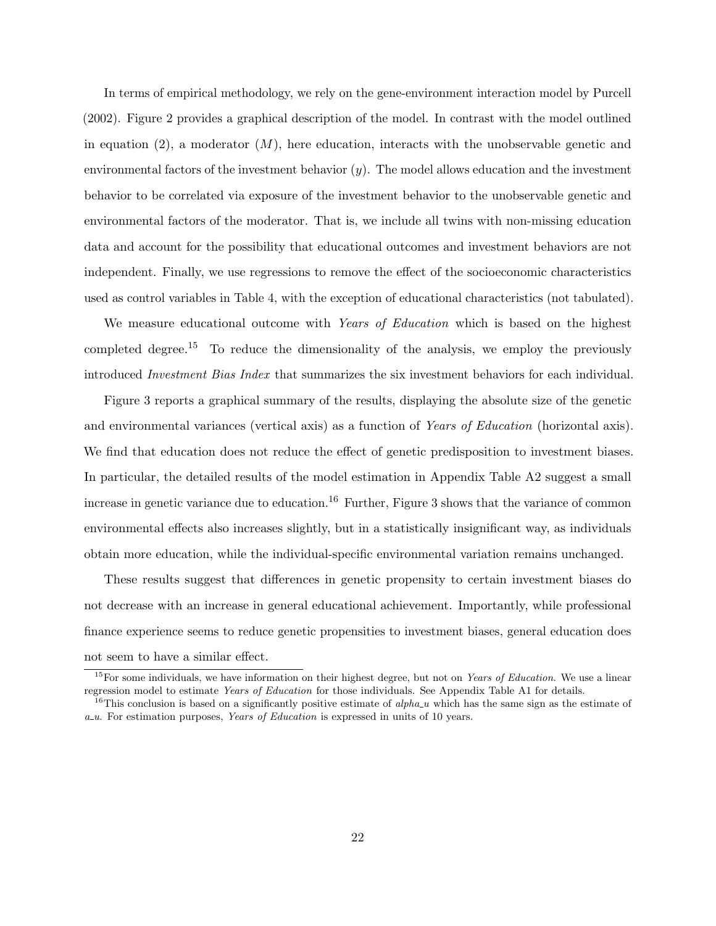In terms of empirical methodology, we rely on the gene-environment interaction model by Purcell (2002). Figure 2 provides a graphical description of the model. In contrast with the model outlined in equation (2), a moderator  $(M)$ , here education, interacts with the unobservable genetic and environmental factors of the investment behavior  $(y)$ . The model allows education and the investment behavior to be correlated via exposure of the investment behavior to the unobservable genetic and environmental factors of the moderator. That is, we include all twins with non-missing education data and account for the possibility that educational outcomes and investment behaviors are not independent. Finally, we use regressions to remove the effect of the socioeconomic characteristics used as control variables in Table 4, with the exception of educational characteristics (not tabulated).

We measure educational outcome with Years of Education which is based on the highest completed degree.<sup>15</sup> To reduce the dimensionality of the analysis, we employ the previously introduced Investment Bias Index that summarizes the six investment behaviors for each individual.

Figure 3 reports a graphical summary of the results, displaying the absolute size of the genetic and environmental variances (vertical axis) as a function of Years of Education (horizontal axis). We find that education does not reduce the effect of genetic predisposition to investment biases. In particular, the detailed results of the model estimation in Appendix Table A2 suggest a small increase in genetic variance due to education.<sup>16</sup> Further, Figure 3 shows that the variance of common environmental effects also increases slightly, but in a statistically insignificant way, as individuals obtain more education, while the individual-specific environmental variation remains unchanged.

These results suggest that differences in genetic propensity to certain investment biases do not decrease with an increase in general educational achievement. Importantly, while professional finance experience seems to reduce genetic propensities to investment biases, general education does not seem to have a similar effect.

 $15$ For some individuals, we have information on their highest degree, but not on *Years of Education*. We use a linear regression model to estimate Years of Education for those individuals. See Appendix Table A1 for details.

<sup>&</sup>lt;sup>16</sup>This conclusion is based on a significantly positive estimate of *alpha\_u* which has the same sign as the estimate of  $a<sub>u</sub>$ . For estimation purposes, Years of Education is expressed in units of 10 years.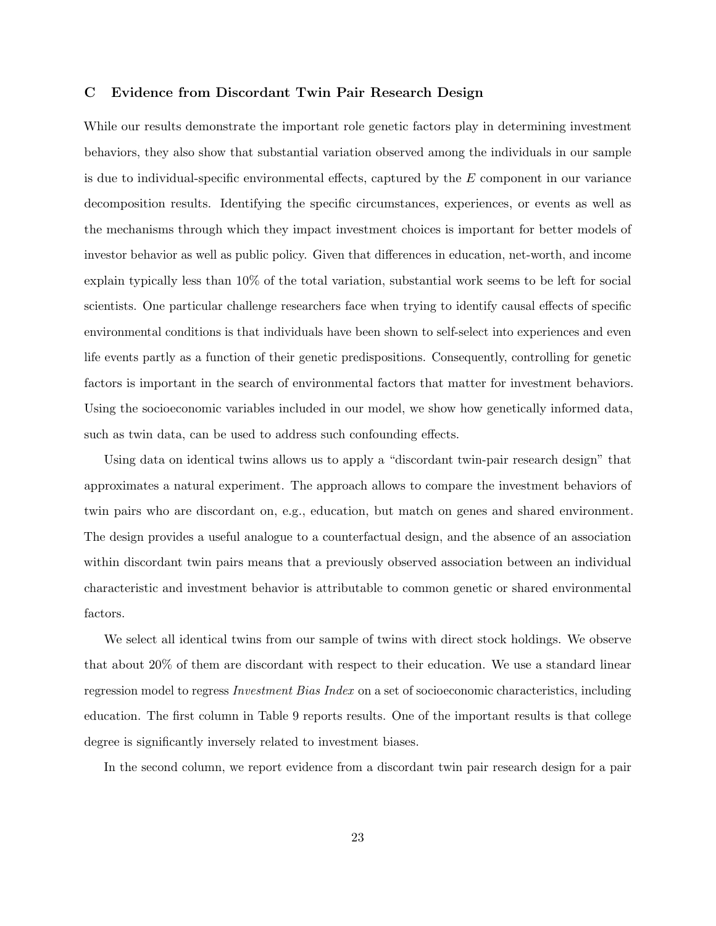### C Evidence from Discordant Twin Pair Research Design

While our results demonstrate the important role genetic factors play in determining investment behaviors, they also show that substantial variation observed among the individuals in our sample is due to individual-specific environmental effects, captured by the  $E$  component in our variance decomposition results. Identifying the specific circumstances, experiences, or events as well as the mechanisms through which they impact investment choices is important for better models of investor behavior as well as public policy. Given that differences in education, net-worth, and income explain typically less than 10% of the total variation, substantial work seems to be left for social scientists. One particular challenge researchers face when trying to identify causal effects of specific environmental conditions is that individuals have been shown to self-select into experiences and even life events partly as a function of their genetic predispositions. Consequently, controlling for genetic factors is important in the search of environmental factors that matter for investment behaviors. Using the socioeconomic variables included in our model, we show how genetically informed data, such as twin data, can be used to address such confounding effects.

Using data on identical twins allows us to apply a "discordant twin-pair research design" that approximates a natural experiment. The approach allows to compare the investment behaviors of twin pairs who are discordant on, e.g., education, but match on genes and shared environment. The design provides a useful analogue to a counterfactual design, and the absence of an association within discordant twin pairs means that a previously observed association between an individual characteristic and investment behavior is attributable to common genetic or shared environmental factors.

We select all identical twins from our sample of twins with direct stock holdings. We observe that about 20% of them are discordant with respect to their education. We use a standard linear regression model to regress Investment Bias Index on a set of socioeconomic characteristics, including education. The first column in Table 9 reports results. One of the important results is that college degree is significantly inversely related to investment biases.

In the second column, we report evidence from a discordant twin pair research design for a pair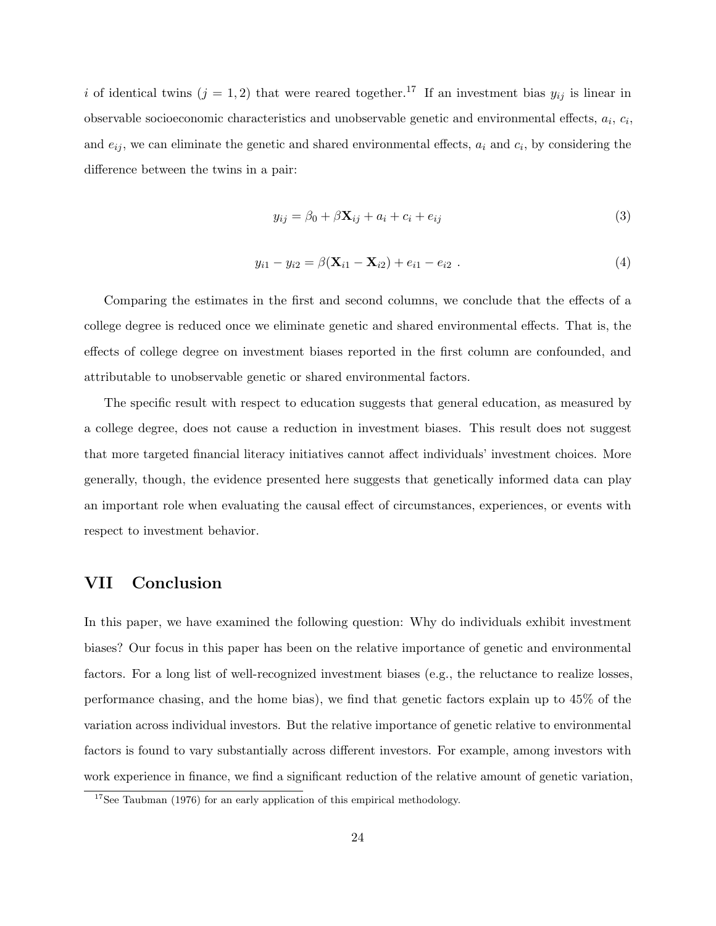i of identical twins  $(j = 1, 2)$  that were reared together.<sup>17</sup> If an investment bias  $y_{ij}$  is linear in observable socioeconomic characteristics and unobservable genetic and environmental effects,  $a_i$ ,  $c_i$ , and  $e_{ij}$ , we can eliminate the genetic and shared environmental effects,  $a_i$  and  $c_i$ , by considering the difference between the twins in a pair:

$$
y_{ij} = \beta_0 + \beta \mathbf{X}_{ij} + a_i + c_i + e_{ij}
$$
\n
$$
\tag{3}
$$

$$
y_{i1} - y_{i2} = \beta(\mathbf{X}_{i1} - \mathbf{X}_{i2}) + e_{i1} - e_{i2} . \qquad (4)
$$

Comparing the estimates in the first and second columns, we conclude that the effects of a college degree is reduced once we eliminate genetic and shared environmental effects. That is, the effects of college degree on investment biases reported in the first column are confounded, and attributable to unobservable genetic or shared environmental factors.

The specific result with respect to education suggests that general education, as measured by a college degree, does not cause a reduction in investment biases. This result does not suggest that more targeted financial literacy initiatives cannot affect individuals' investment choices. More generally, though, the evidence presented here suggests that genetically informed data can play an important role when evaluating the causal effect of circumstances, experiences, or events with respect to investment behavior.

# VII Conclusion

In this paper, we have examined the following question: Why do individuals exhibit investment biases? Our focus in this paper has been on the relative importance of genetic and environmental factors. For a long list of well-recognized investment biases (e.g., the reluctance to realize losses, performance chasing, and the home bias), we find that genetic factors explain up to 45% of the variation across individual investors. But the relative importance of genetic relative to environmental factors is found to vary substantially across different investors. For example, among investors with work experience in finance, we find a significant reduction of the relative amount of genetic variation,

 $17$ See Taubman (1976) for an early application of this empirical methodology.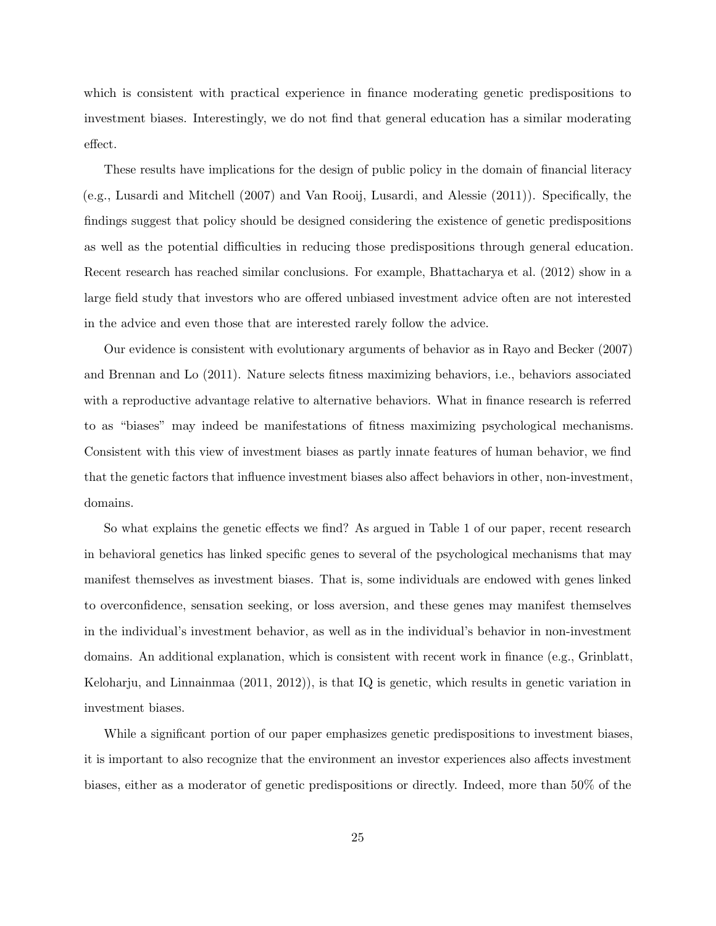which is consistent with practical experience in finance moderating genetic predispositions to investment biases. Interestingly, we do not find that general education has a similar moderating effect.

These results have implications for the design of public policy in the domain of financial literacy (e.g., Lusardi and Mitchell (2007) and Van Rooij, Lusardi, and Alessie (2011)). Specifically, the findings suggest that policy should be designed considering the existence of genetic predispositions as well as the potential difficulties in reducing those predispositions through general education. Recent research has reached similar conclusions. For example, Bhattacharya et al. (2012) show in a large field study that investors who are offered unbiased investment advice often are not interested in the advice and even those that are interested rarely follow the advice.

Our evidence is consistent with evolutionary arguments of behavior as in Rayo and Becker (2007) and Brennan and Lo (2011). Nature selects fitness maximizing behaviors, i.e., behaviors associated with a reproductive advantage relative to alternative behaviors. What in finance research is referred to as "biases" may indeed be manifestations of fitness maximizing psychological mechanisms. Consistent with this view of investment biases as partly innate features of human behavior, we find that the genetic factors that influence investment biases also affect behaviors in other, non-investment, domains.

So what explains the genetic effects we find? As argued in Table 1 of our paper, recent research in behavioral genetics has linked specific genes to several of the psychological mechanisms that may manifest themselves as investment biases. That is, some individuals are endowed with genes linked to overconfidence, sensation seeking, or loss aversion, and these genes may manifest themselves in the individual's investment behavior, as well as in the individual's behavior in non-investment domains. An additional explanation, which is consistent with recent work in finance (e.g., Grinblatt, Keloharju, and Linnainmaa (2011, 2012)), is that IQ is genetic, which results in genetic variation in investment biases.

While a significant portion of our paper emphasizes genetic predispositions to investment biases, it is important to also recognize that the environment an investor experiences also affects investment biases, either as a moderator of genetic predispositions or directly. Indeed, more than 50% of the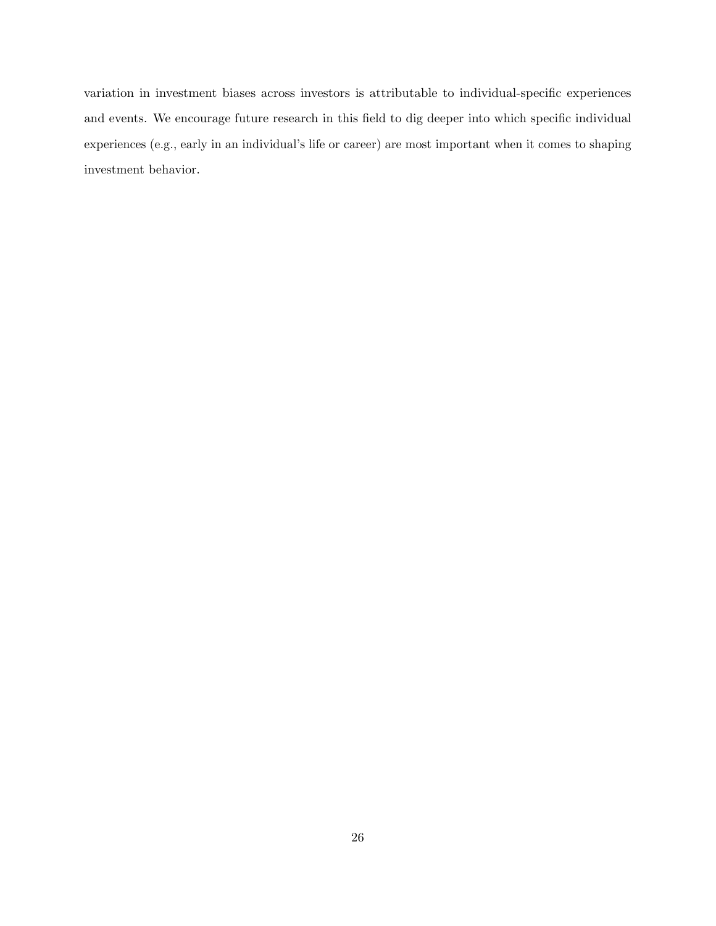variation in investment biases across investors is attributable to individual-specific experiences and events. We encourage future research in this field to dig deeper into which specific individual experiences (e.g., early in an individual's life or career) are most important when it comes to shaping investment behavior.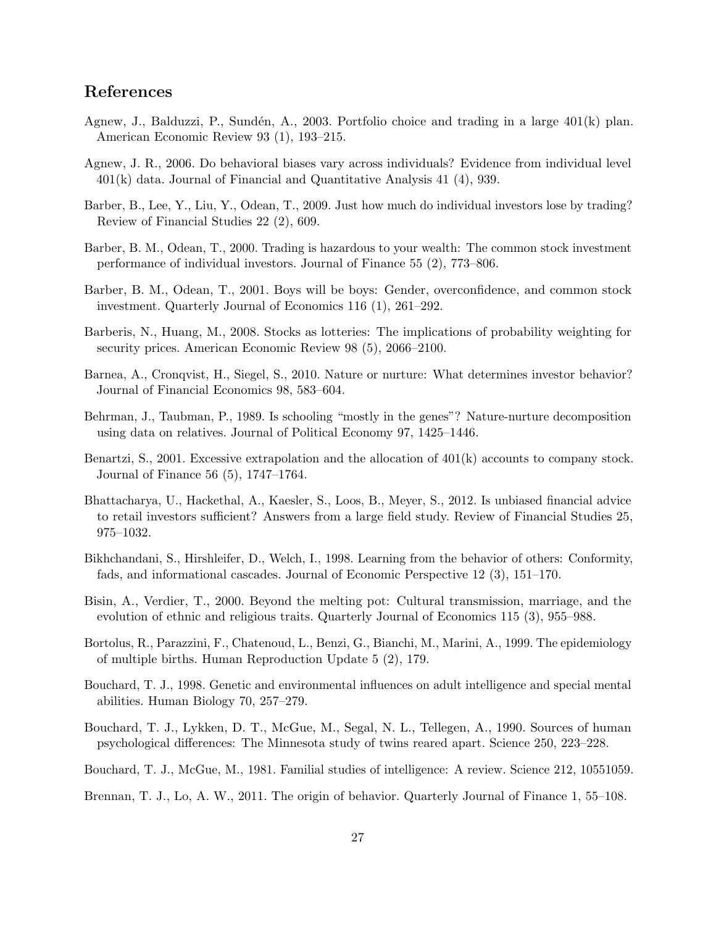# References

- Agnew, J., Balduzzi, P., Sundén, A., 2003. Portfolio choice and trading in a large 401(k) plan. American Economic Review 93 (1), 193–215.
- Agnew, J. R., 2006. Do behavioral biases vary across individuals? Evidence from individual level 401(k) data. Journal of Financial and Quantitative Analysis 41 (4), 939.
- Barber, B., Lee, Y., Liu, Y., Odean, T., 2009. Just how much do individual investors lose by trading? Review of Financial Studies 22 (2), 609.
- Barber, B. M., Odean, T., 2000. Trading is hazardous to your wealth: The common stock investment performance of individual investors. Journal of Finance 55 (2), 773–806.
- Barber, B. M., Odean, T., 2001. Boys will be boys: Gender, overconfidence, and common stock investment. Quarterly Journal of Economics 116 (1), 261–292.
- Barberis, N., Huang, M., 2008. Stocks as lotteries: The implications of probability weighting for security prices. American Economic Review 98 (5), 2066–2100.
- Barnea, A., Cronqvist, H., Siegel, S., 2010. Nature or nurture: What determines investor behavior? Journal of Financial Economics 98, 583–604.
- Behrman, J., Taubman, P., 1989. Is schooling "mostly in the genes"? Nature-nurture decomposition using data on relatives. Journal of Political Economy 97, 1425–1446.
- Benartzi, S., 2001. Excessive extrapolation and the allocation of  $401(k)$  accounts to company stock. Journal of Finance 56 (5), 1747–1764.
- Bhattacharya, U., Hackethal, A., Kaesler, S., Loos, B., Meyer, S., 2012. Is unbiased financial advice to retail investors sufficient? Answers from a large field study. Review of Financial Studies 25, 975–1032.
- Bikhchandani, S., Hirshleifer, D., Welch, I., 1998. Learning from the behavior of others: Conformity, fads, and informational cascades. Journal of Economic Perspective 12 (3), 151–170.
- Bisin, A., Verdier, T., 2000. Beyond the melting pot: Cultural transmission, marriage, and the evolution of ethnic and religious traits. Quarterly Journal of Economics 115 (3), 955–988.
- Bortolus, R., Parazzini, F., Chatenoud, L., Benzi, G., Bianchi, M., Marini, A., 1999. The epidemiology of multiple births. Human Reproduction Update 5 (2), 179.
- Bouchard, T. J., 1998. Genetic and environmental influences on adult intelligence and special mental abilities. Human Biology 70, 257–279.
- Bouchard, T. J., Lykken, D. T., McGue, M., Segal, N. L., Tellegen, A., 1990. Sources of human psychological differences: The Minnesota study of twins reared apart. Science 250, 223–228.
- Bouchard, T. J., McGue, M., 1981. Familial studies of intelligence: A review. Science 212, 10551059.
- Brennan, T. J., Lo, A. W., 2011. The origin of behavior. Quarterly Journal of Finance 1, 55–108.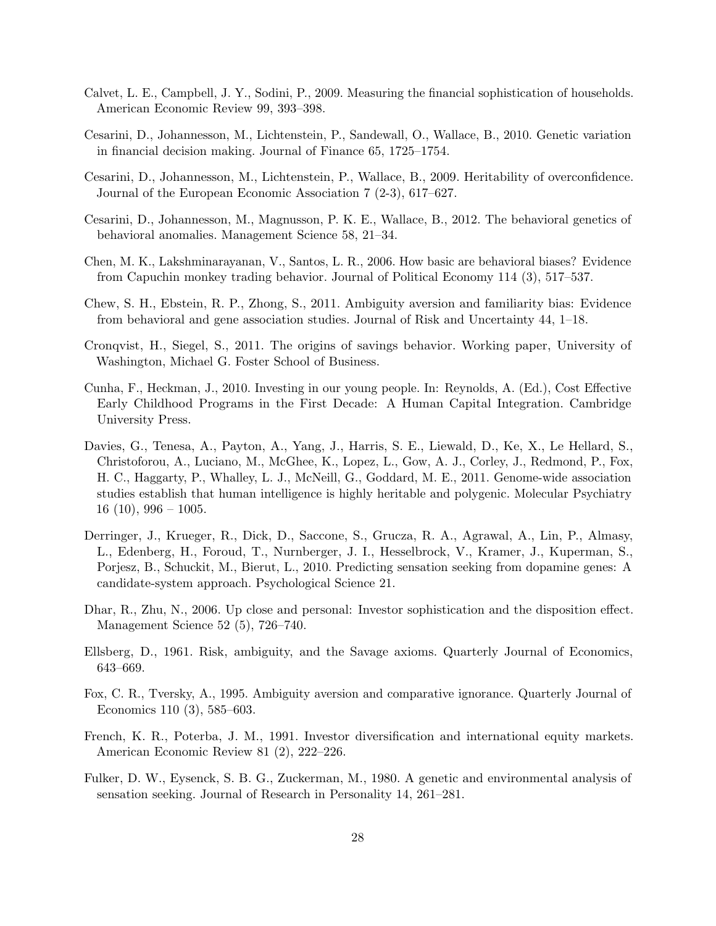- Calvet, L. E., Campbell, J. Y., Sodini, P., 2009. Measuring the financial sophistication of households. American Economic Review 99, 393–398.
- Cesarini, D., Johannesson, M., Lichtenstein, P., Sandewall, O., Wallace, B., 2010. Genetic variation in financial decision making. Journal of Finance 65, 1725–1754.
- Cesarini, D., Johannesson, M., Lichtenstein, P., Wallace, B., 2009. Heritability of overconfidence. Journal of the European Economic Association 7 (2-3), 617–627.
- Cesarini, D., Johannesson, M., Magnusson, P. K. E., Wallace, B., 2012. The behavioral genetics of behavioral anomalies. Management Science 58, 21–34.
- Chen, M. K., Lakshminarayanan, V., Santos, L. R., 2006. How basic are behavioral biases? Evidence from Capuchin monkey trading behavior. Journal of Political Economy 114 (3), 517–537.
- Chew, S. H., Ebstein, R. P., Zhong, S., 2011. Ambiguity aversion and familiarity bias: Evidence from behavioral and gene association studies. Journal of Risk and Uncertainty 44, 1–18.
- Cronqvist, H., Siegel, S., 2011. The origins of savings behavior. Working paper, University of Washington, Michael G. Foster School of Business.
- Cunha, F., Heckman, J., 2010. Investing in our young people. In: Reynolds, A. (Ed.), Cost Effective Early Childhood Programs in the First Decade: A Human Capital Integration. Cambridge University Press.
- Davies, G., Tenesa, A., Payton, A., Yang, J., Harris, S. E., Liewald, D., Ke, X., Le Hellard, S., Christoforou, A., Luciano, M., McGhee, K., Lopez, L., Gow, A. J., Corley, J., Redmond, P., Fox, H. C., Haggarty, P., Whalley, L. J., McNeill, G., Goddard, M. E., 2011. Genome-wide association studies establish that human intelligence is highly heritable and polygenic. Molecular Psychiatry  $16$  (10),  $996 - 1005$ .
- Derringer, J., Krueger, R., Dick, D., Saccone, S., Grucza, R. A., Agrawal, A., Lin, P., Almasy, L., Edenberg, H., Foroud, T., Nurnberger, J. I., Hesselbrock, V., Kramer, J., Kuperman, S., Porjesz, B., Schuckit, M., Bierut, L., 2010. Predicting sensation seeking from dopamine genes: A candidate-system approach. Psychological Science 21.
- Dhar, R., Zhu, N., 2006. Up close and personal: Investor sophistication and the disposition effect. Management Science 52 (5), 726–740.
- Ellsberg, D., 1961. Risk, ambiguity, and the Savage axioms. Quarterly Journal of Economics, 643–669.
- Fox, C. R., Tversky, A., 1995. Ambiguity aversion and comparative ignorance. Quarterly Journal of Economics 110 (3), 585–603.
- French, K. R., Poterba, J. M., 1991. Investor diversification and international equity markets. American Economic Review 81 (2), 222–226.
- Fulker, D. W., Eysenck, S. B. G., Zuckerman, M., 1980. A genetic and environmental analysis of sensation seeking. Journal of Research in Personality 14, 261–281.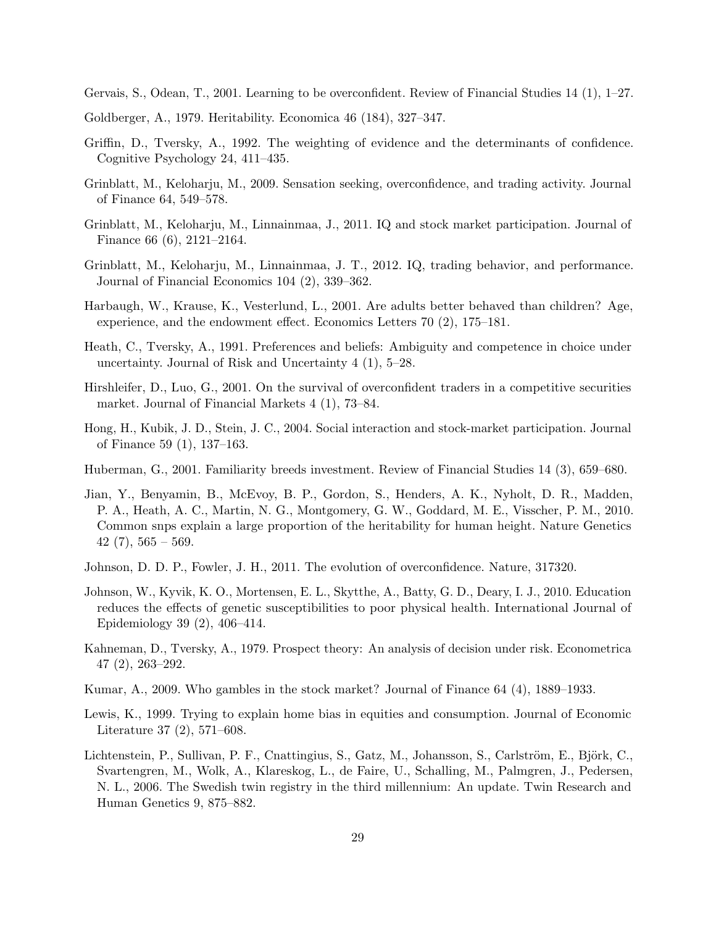Gervais, S., Odean, T., 2001. Learning to be overconfident. Review of Financial Studies 14 (1), 1–27.

- Goldberger, A., 1979. Heritability. Economica 46 (184), 327–347.
- Griffin, D., Tversky, A., 1992. The weighting of evidence and the determinants of confidence. Cognitive Psychology 24, 411–435.
- Grinblatt, M., Keloharju, M., 2009. Sensation seeking, overconfidence, and trading activity. Journal of Finance 64, 549–578.
- Grinblatt, M., Keloharju, M., Linnainmaa, J., 2011. IQ and stock market participation. Journal of Finance 66 (6), 2121–2164.
- Grinblatt, M., Keloharju, M., Linnainmaa, J. T., 2012. IQ, trading behavior, and performance. Journal of Financial Economics 104 (2), 339–362.
- Harbaugh, W., Krause, K., Vesterlund, L., 2001. Are adults better behaved than children? Age, experience, and the endowment effect. Economics Letters 70 (2), 175–181.
- Heath, C., Tversky, A., 1991. Preferences and beliefs: Ambiguity and competence in choice under uncertainty. Journal of Risk and Uncertainty 4 (1), 5–28.
- Hirshleifer, D., Luo, G., 2001. On the survival of overconfident traders in a competitive securities market. Journal of Financial Markets 4 (1), 73–84.
- Hong, H., Kubik, J. D., Stein, J. C., 2004. Social interaction and stock-market participation. Journal of Finance 59 (1), 137–163.
- Huberman, G., 2001. Familiarity breeds investment. Review of Financial Studies 14 (3), 659–680.
- Jian, Y., Benyamin, B., McEvoy, B. P., Gordon, S., Henders, A. K., Nyholt, D. R., Madden, P. A., Heath, A. C., Martin, N. G., Montgomery, G. W., Goddard, M. E., Visscher, P. M., 2010. Common snps explain a large proportion of the heritability for human height. Nature Genetics  $42(7), 565 - 569.$
- Johnson, D. D. P., Fowler, J. H., 2011. The evolution of overconfidence. Nature, 317320.
- Johnson, W., Kyvik, K. O., Mortensen, E. L., Skytthe, A., Batty, G. D., Deary, I. J., 2010. Education reduces the effects of genetic susceptibilities to poor physical health. International Journal of Epidemiology 39 (2), 406–414.
- Kahneman, D., Tversky, A., 1979. Prospect theory: An analysis of decision under risk. Econometrica 47 (2), 263–292.
- Kumar, A., 2009. Who gambles in the stock market? Journal of Finance 64 (4), 1889–1933.
- Lewis, K., 1999. Trying to explain home bias in equities and consumption. Journal of Economic Literature 37 (2), 571–608.
- Lichtenstein, P., Sullivan, P. F., Cnattingius, S., Gatz, M., Johansson, S., Carlström, E., Björk, C., Svartengren, M., Wolk, A., Klareskog, L., de Faire, U., Schalling, M., Palmgren, J., Pedersen, N. L., 2006. The Swedish twin registry in the third millennium: An update. Twin Research and Human Genetics 9, 875–882.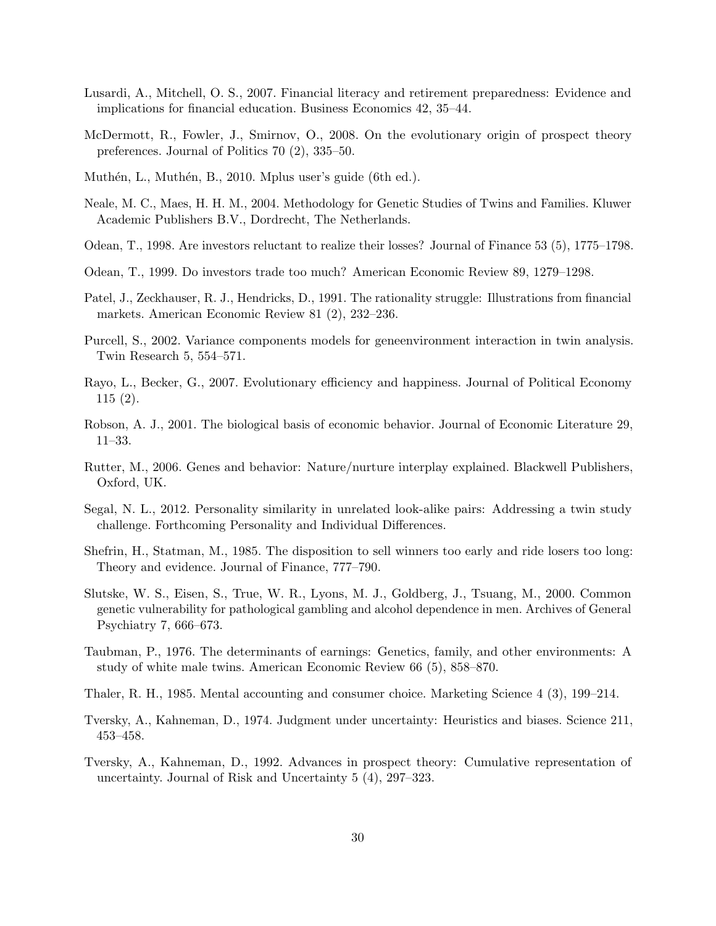- Lusardi, A., Mitchell, O. S., 2007. Financial literacy and retirement preparedness: Evidence and implications for financial education. Business Economics 42, 35–44.
- McDermott, R., Fowler, J., Smirnov, O., 2008. On the evolutionary origin of prospect theory preferences. Journal of Politics 70 (2), 335–50.
- Muthén, L., Muthén, B., 2010. Mplus user's guide (6th ed.).
- Neale, M. C., Maes, H. H. M., 2004. Methodology for Genetic Studies of Twins and Families. Kluwer Academic Publishers B.V., Dordrecht, The Netherlands.
- Odean, T., 1998. Are investors reluctant to realize their losses? Journal of Finance 53 (5), 1775–1798.
- Odean, T., 1999. Do investors trade too much? American Economic Review 89, 1279–1298.
- Patel, J., Zeckhauser, R. J., Hendricks, D., 1991. The rationality struggle: Illustrations from financial markets. American Economic Review 81 (2), 232–236.
- Purcell, S., 2002. Variance components models for geneenvironment interaction in twin analysis. Twin Research 5, 554–571.
- Rayo, L., Becker, G., 2007. Evolutionary efficiency and happiness. Journal of Political Economy 115 (2).
- Robson, A. J., 2001. The biological basis of economic behavior. Journal of Economic Literature 29, 11–33.
- Rutter, M., 2006. Genes and behavior: Nature/nurture interplay explained. Blackwell Publishers, Oxford, UK.
- Segal, N. L., 2012. Personality similarity in unrelated look-alike pairs: Addressing a twin study challenge. Forthcoming Personality and Individual Differences.
- Shefrin, H., Statman, M., 1985. The disposition to sell winners too early and ride losers too long: Theory and evidence. Journal of Finance, 777–790.
- Slutske, W. S., Eisen, S., True, W. R., Lyons, M. J., Goldberg, J., Tsuang, M., 2000. Common genetic vulnerability for pathological gambling and alcohol dependence in men. Archives of General Psychiatry 7, 666–673.
- Taubman, P., 1976. The determinants of earnings: Genetics, family, and other environments: A study of white male twins. American Economic Review 66 (5), 858–870.
- Thaler, R. H., 1985. Mental accounting and consumer choice. Marketing Science 4 (3), 199–214.
- Tversky, A., Kahneman, D., 1974. Judgment under uncertainty: Heuristics and biases. Science 211, 453–458.
- Tversky, A., Kahneman, D., 1992. Advances in prospect theory: Cumulative representation of uncertainty. Journal of Risk and Uncertainty 5 (4), 297–323.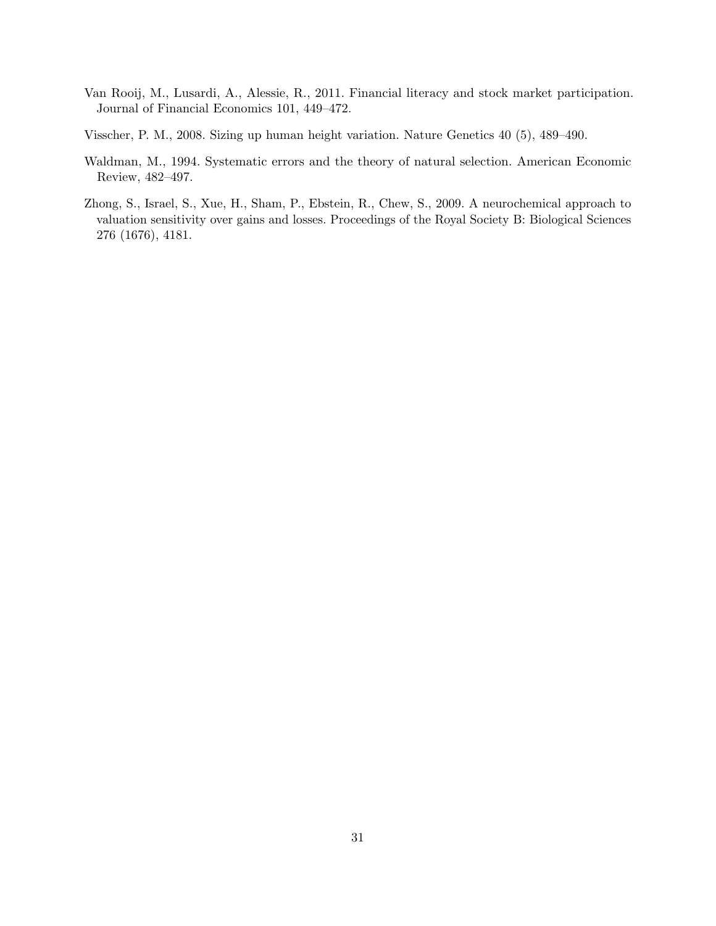- Van Rooij, M., Lusardi, A., Alessie, R., 2011. Financial literacy and stock market participation. Journal of Financial Economics 101, 449–472.
- Visscher, P. M., 2008. Sizing up human height variation. Nature Genetics 40 (5), 489–490.
- Waldman, M., 1994. Systematic errors and the theory of natural selection. American Economic Review, 482–497.
- Zhong, S., Israel, S., Xue, H., Sham, P., Ebstein, R., Chew, S., 2009. A neurochemical approach to valuation sensitivity over gains and losses. Proceedings of the Royal Society B: Biological Sciences 276 (1676), 4181.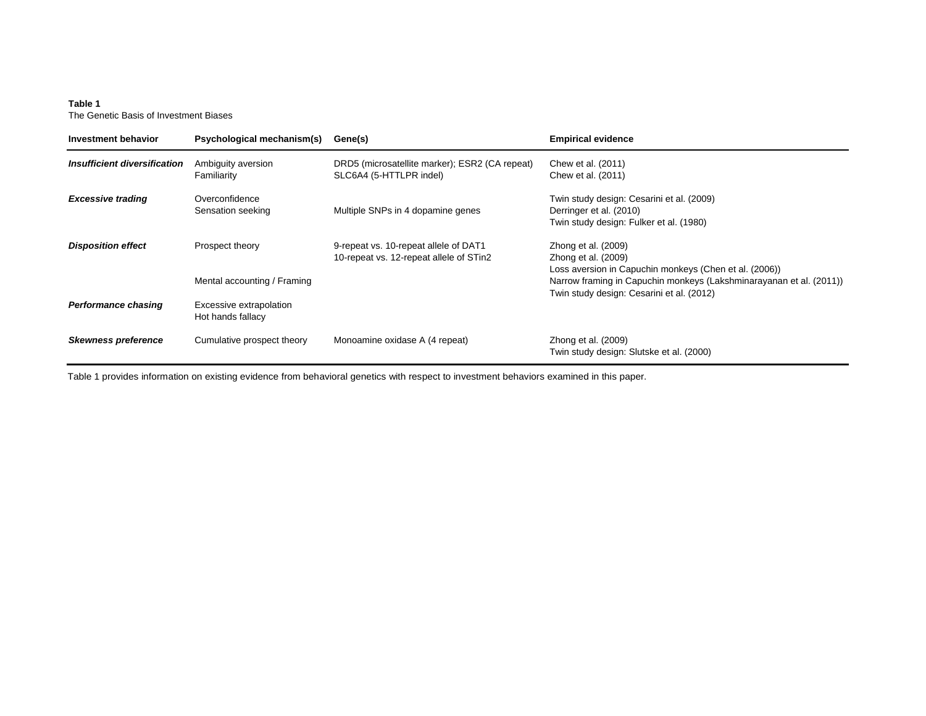### **Table 1**

The Genetic Basis of Investment Biases

| <b>Investment behavior</b>   | Psychological mechanism(s)                     | Gene(s)                                                                          | <b>Empirical evidence</b>                                                                                                                                                                                                |
|------------------------------|------------------------------------------------|----------------------------------------------------------------------------------|--------------------------------------------------------------------------------------------------------------------------------------------------------------------------------------------------------------------------|
| Insufficient diversification | Ambiguity aversion<br>Familiarity              | DRD5 (microsatellite marker); ESR2 (CA repeat)<br>SLC6A4 (5-HTTLPR indel)        | Chew et al. (2011)<br>Chew et al. (2011)                                                                                                                                                                                 |
| <b>Excessive trading</b>     | Overconfidence<br>Sensation seeking            | Multiple SNPs in 4 dopamine genes                                                | Twin study design: Cesarini et al. (2009)<br>Derringer et al. (2010)<br>Twin study design: Fulker et al. (1980)                                                                                                          |
| <b>Disposition effect</b>    | Prospect theory<br>Mental accounting / Framing | 9-repeat vs. 10-repeat allele of DAT1<br>10-repeat vs. 12-repeat allele of STin2 | Zhong et al. (2009)<br>Zhong et al. (2009)<br>Loss aversion in Capuchin monkeys (Chen et al. (2006))<br>Narrow framing in Capuchin monkeys (Lakshminarayanan et al. (2011))<br>Twin study design: Cesarini et al. (2012) |
| Performance chasing          | Excessive extrapolation<br>Hot hands fallacy   |                                                                                  |                                                                                                                                                                                                                          |
| <b>Skewness preference</b>   | Cumulative prospect theory                     | Monoamine oxidase A (4 repeat)                                                   | Zhong et al. (2009)<br>Twin study design: Slutske et al. (2000)                                                                                                                                                          |

Table 1 provides information on existing evidence from behavioral genetics with respect to investment behaviors examined in this paper.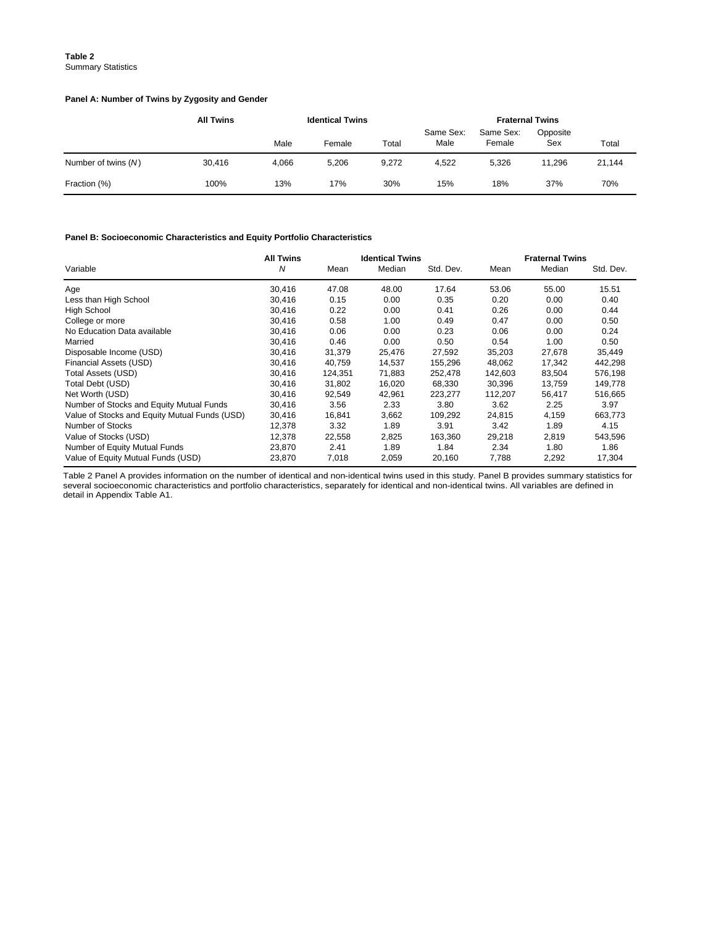#### **Table 2** Summary Statistics

#### **Panel A: Number of Twins by Zygosity and Gender**

|                     | <b>All Twins</b> | <b>Identical Twins</b> |        | <b>Fraternal Twins</b> |                   |                     |                 |        |
|---------------------|------------------|------------------------|--------|------------------------|-------------------|---------------------|-----------------|--------|
|                     |                  | Male                   | Female | Total                  | Same Sex:<br>Male | Same Sex:<br>Female | Opposite<br>Sex | Total  |
| Number of twins (N) | 30.416           | 4.066                  | 5.206  | 9,272                  | 4,522             | 5,326               | 11,296          | 21,144 |
| Fraction (%)        | 100%             | 13%                    | 17%    | 30%                    | 15%               | 18%                 | 37%             | 70%    |

#### **Panel B: Socioeconomic Characteristics and Equity Portfolio Characteristics**

|                                               | <b>All Twins</b> |         | <b>Identical Twins</b> |           | <b>Fraternal Twins</b> |        |           |
|-----------------------------------------------|------------------|---------|------------------------|-----------|------------------------|--------|-----------|
| Variable                                      | N                | Mean    | Median                 | Std. Dev. | Mean                   | Median | Std. Dev. |
| Age                                           | 30,416           | 47.08   | 48.00                  | 17.64     | 53.06                  | 55.00  | 15.51     |
| Less than High School                         | 30,416           | 0.15    | 0.00                   | 0.35      | 0.20                   | 0.00   | 0.40      |
| <b>High School</b>                            | 30,416           | 0.22    | 0.00                   | 0.41      | 0.26                   | 0.00   | 0.44      |
| College or more                               | 30,416           | 0.58    | 1.00                   | 0.49      | 0.47                   | 0.00   | 0.50      |
| No Education Data available                   | 30,416           | 0.06    | 0.00                   | 0.23      | 0.06                   | 0.00   | 0.24      |
| Married                                       | 30,416           | 0.46    | 0.00                   | 0.50      | 0.54                   | 1.00   | 0.50      |
| Disposable Income (USD)                       | 30,416           | 31,379  | 25,476                 | 27,592    | 35,203                 | 27,678 | 35,449    |
| Financial Assets (USD)                        | 30,416           | 40,759  | 14,537                 | 155,296   | 48,062                 | 17,342 | 442,298   |
| Total Assets (USD)                            | 30,416           | 124,351 | 71,883                 | 252,478   | 142,603                | 83,504 | 576,198   |
| Total Debt (USD)                              | 30,416           | 31,802  | 16,020                 | 68,330    | 30,396                 | 13,759 | 149,778   |
| Net Worth (USD)                               | 30,416           | 92,549  | 42,961                 | 223,277   | 112,207                | 56,417 | 516,665   |
| Number of Stocks and Equity Mutual Funds      | 30,416           | 3.56    | 2.33                   | 3.80      | 3.62                   | 2.25   | 3.97      |
| Value of Stocks and Equity Mutual Funds (USD) | 30,416           | 16,841  | 3,662                  | 109,292   | 24,815                 | 4,159  | 663,773   |
| Number of Stocks                              | 12,378           | 3.32    | 1.89                   | 3.91      | 3.42                   | 1.89   | 4.15      |
| Value of Stocks (USD)                         | 12,378           | 22,558  | 2,825                  | 163,360   | 29,218                 | 2,819  | 543,596   |
| Number of Equity Mutual Funds                 | 23,870           | 2.41    | 1.89                   | 1.84      | 2.34                   | 1.80   | 1.86      |
| Value of Equity Mutual Funds (USD)            | 23,870           | 7,018   | 2,059                  | 20,160    | 7,788                  | 2,292  | 17,304    |

Table 2 Panel A provides information on the number of identical and non-identical twins used in this study. Panel B provides summary statistics for several socioeconomic characteristics and portfolio characteristics, separately for identical and non-identical twins. All variables are defined in detail in Appendix Table A1.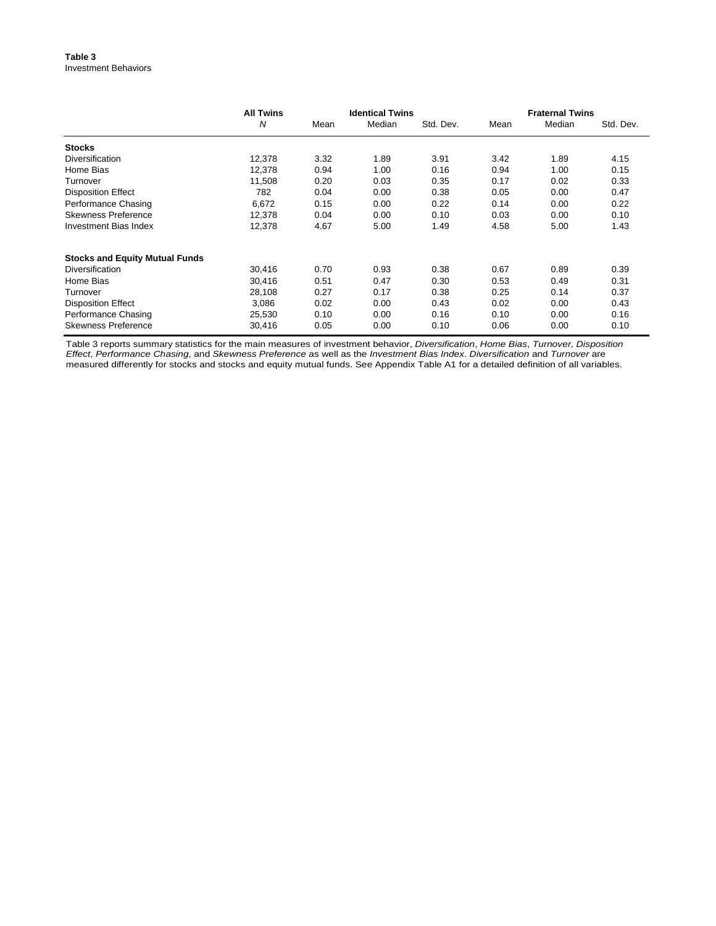#### **Table 3** Investment Behaviors

|                                       | <b>All Twins</b> | <b>Identical Twins</b> |        |           |      | <b>Fraternal Twins</b> |           |  |
|---------------------------------------|------------------|------------------------|--------|-----------|------|------------------------|-----------|--|
|                                       | N                | Mean                   | Median | Std. Dev. | Mean | Median                 | Std. Dev. |  |
| <b>Stocks</b>                         |                  |                        |        |           |      |                        |           |  |
| <b>Diversification</b>                | 12,378           | 3.32                   | 1.89   | 3.91      | 3.42 | 1.89                   | 4.15      |  |
| Home Bias                             | 12,378           | 0.94                   | 1.00   | 0.16      | 0.94 | 1.00                   | 0.15      |  |
| Turnover                              | 11,508           | 0.20                   | 0.03   | 0.35      | 0.17 | 0.02                   | 0.33      |  |
| <b>Disposition Effect</b>             | 782              | 0.04                   | 0.00   | 0.38      | 0.05 | 0.00                   | 0.47      |  |
| Performance Chasing                   | 6,672            | 0.15                   | 0.00   | 0.22      | 0.14 | 0.00                   | 0.22      |  |
| <b>Skewness Preference</b>            | 12,378           | 0.04                   | 0.00   | 0.10      | 0.03 | 0.00                   | 0.10      |  |
| Investment Bias Index                 | 12,378           | 4.67                   | 5.00   | 1.49      | 4.58 | 5.00                   | 1.43      |  |
| <b>Stocks and Equity Mutual Funds</b> |                  |                        |        |           |      |                        |           |  |
| Diversification                       | 30,416           | 0.70                   | 0.93   | 0.38      | 0.67 | 0.89                   | 0.39      |  |
| Home Bias                             | 30,416           | 0.51                   | 0.47   | 0.30      | 0.53 | 0.49                   | 0.31      |  |
| Turnover                              | 28,108           | 0.27                   | 0.17   | 0.38      | 0.25 | 0.14                   | 0.37      |  |
| <b>Disposition Effect</b>             | 3,086            | 0.02                   | 0.00   | 0.43      | 0.02 | 0.00                   | 0.43      |  |
| Performance Chasing                   | 25,530           | 0.10                   | 0.00   | 0.16      | 0.10 | 0.00                   | 0.16      |  |
| <b>Skewness Preference</b>            | 30,416           | 0.05                   | 0.00   | 0.10      | 0.06 | 0.00                   | 0.10      |  |

Table 3 reports summary statistics for the main measures of investment behavior, *Diversification*, *Home Bias*, *Turnover, Disposition Effect*, *Performance Chasing*, and *Skewness Preference* as well as the *Investment Bias Index*. *Diversification* and *Turnover* are measured differently for stocks and stocks and equity mutual funds. See Appendix Table A1 for a detailed definition of all variables.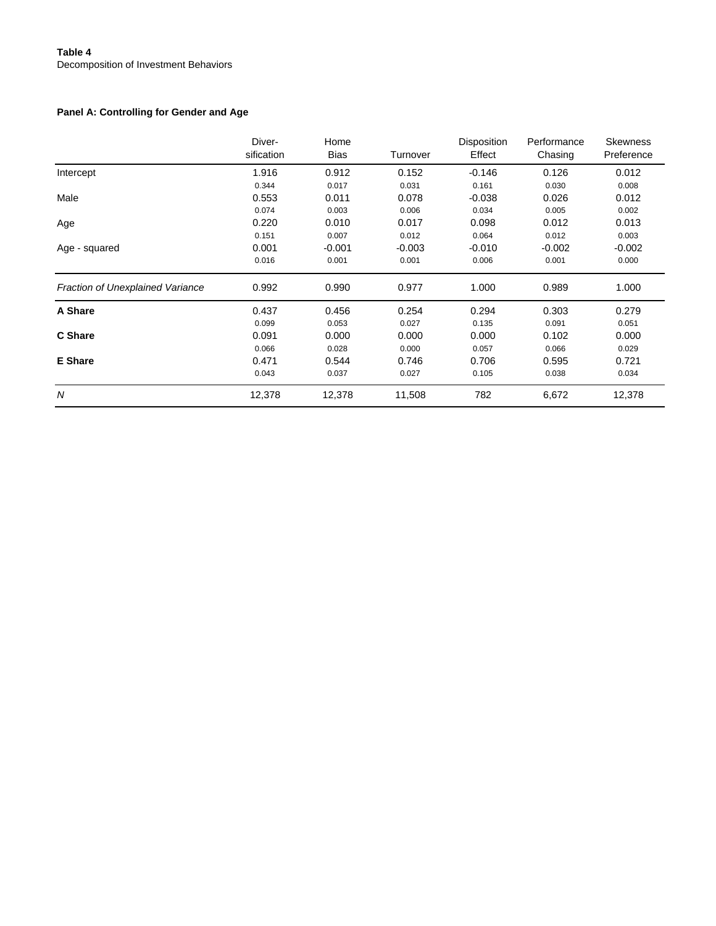### **Panel A: Controlling for Gender and Age**

|                                         | Diver-<br>sification | Home<br><b>Bias</b> | Turnover | Disposition<br>Effect | Performance<br>Chasing | <b>Skewness</b><br>Preference |
|-----------------------------------------|----------------------|---------------------|----------|-----------------------|------------------------|-------------------------------|
| Intercept                               | 1.916                | 0.912               | 0.152    | $-0.146$              | 0.126                  | 0.012                         |
|                                         | 0.344                | 0.017               | 0.031    | 0.161                 | 0.030                  | 0.008                         |
| Male                                    | 0.553                | 0.011               | 0.078    | $-0.038$              | 0.026                  | 0.012                         |
|                                         | 0.074                | 0.003               | 0.006    | 0.034                 | 0.005                  | 0.002                         |
| Age                                     | 0.220                | 0.010               | 0.017    | 0.098                 | 0.012                  | 0.013                         |
|                                         | 0.151                | 0.007               | 0.012    | 0.064                 | 0.012                  | 0.003                         |
| Age - squared                           | 0.001                | $-0.001$            | $-0.003$ | $-0.010$              | $-0.002$               | $-0.002$                      |
|                                         | 0.016                | 0.001               | 0.001    | 0.006                 | 0.001                  | 0.000                         |
| <b>Fraction of Unexplained Variance</b> | 0.992                | 0.990               | 0.977    | 1.000                 | 0.989                  | 1.000                         |
| A Share                                 | 0.437                | 0.456               | 0.254    | 0.294                 | 0.303                  | 0.279                         |
|                                         | 0.099                | 0.053               | 0.027    | 0.135                 | 0.091                  | 0.051                         |
| C Share                                 | 0.091                | 0.000               | 0.000    | 0.000                 | 0.102                  | 0.000                         |
|                                         | 0.066                | 0.028               | 0.000    | 0.057                 | 0.066                  | 0.029                         |
| <b>E</b> Share                          | 0.471                | 0.544               | 0.746    | 0.706                 | 0.595                  | 0.721                         |
|                                         | 0.043                | 0.037               | 0.027    | 0.105                 | 0.038                  | 0.034                         |
| N                                       | 12,378               | 12,378              | 11,508   | 782                   | 6,672                  | 12,378                        |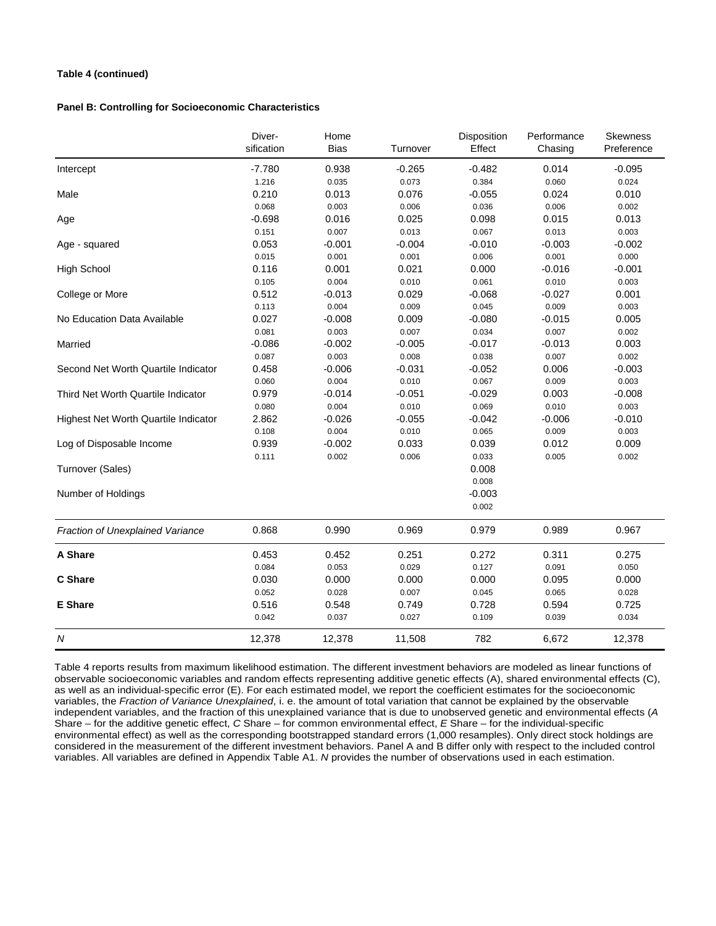#### **Table 4 (continued)**

#### **Panel B: Controlling for Socioeconomic Characteristics**

|                                      | Diver-<br>sification | Home<br><b>Bias</b> | Turnover | Disposition<br>Effect | Performance<br>Chasing | <b>Skewness</b><br>Preference |
|--------------------------------------|----------------------|---------------------|----------|-----------------------|------------------------|-------------------------------|
| Intercept                            | $-7.780$             | 0.938               | $-0.265$ | $-0.482$              | 0.014                  | $-0.095$                      |
|                                      | 1.216                | 0.035               | 0.073    | 0.384                 | 0.060                  | 0.024                         |
| Male                                 | 0.210                | 0.013               | 0.076    | $-0.055$              | 0.024                  | 0.010                         |
|                                      | 0.068                | 0.003               | 0.006    | 0.036                 | 0.006                  | 0.002                         |
| Age                                  | $-0.698$             | 0.016               | 0.025    | 0.098                 | 0.015                  | 0.013                         |
|                                      | 0.151                | 0.007               | 0.013    | 0.067                 | 0.013                  | 0.003                         |
| Age - squared                        | 0.053                | $-0.001$            | $-0.004$ | $-0.010$              | $-0.003$               | $-0.002$                      |
|                                      | 0.015                | 0.001               | 0.001    | 0.006                 | 0.001                  | 0.000                         |
| <b>High School</b>                   | 0.116                | 0.001               | 0.021    | 0.000                 | $-0.016$               | $-0.001$                      |
|                                      | 0.105                | 0.004               | 0.010    | 0.061                 | 0.010                  | 0.003                         |
| College or More                      | 0.512                | $-0.013$            | 0.029    | $-0.068$              | $-0.027$               | 0.001                         |
|                                      | 0.113                | 0.004               | 0.009    | 0.045                 | 0.009                  | 0.003                         |
| No Education Data Available          | 0.027                | $-0.008$            | 0.009    | $-0.080$              | $-0.015$               | 0.005                         |
|                                      | 0.081                | 0.003               | 0.007    | 0.034                 | 0.007                  | 0.002                         |
| Married                              | $-0.086$             | $-0.002$            | $-0.005$ | $-0.017$              | $-0.013$               | 0.003                         |
|                                      | 0.087                | 0.003               | 0.008    | 0.038                 | 0.007                  | 0.002                         |
| Second Net Worth Quartile Indicator  | 0.458                | $-0.006$            | $-0.031$ | $-0.052$              | 0.006                  | $-0.003$                      |
|                                      | 0.060                | 0.004               | 0.010    | 0.067                 | 0.009                  | 0.003                         |
| Third Net Worth Quartile Indicator   | 0.979                | $-0.014$            | $-0.051$ | $-0.029$              | 0.003                  | $-0.008$                      |
|                                      | 0.080                | 0.004               | 0.010    | 0.069                 | 0.010                  | 0.003                         |
| Highest Net Worth Quartile Indicator | 2.862                | $-0.026$            | $-0.055$ | $-0.042$              | $-0.006$               | $-0.010$                      |
|                                      | 0.108                | 0.004               | 0.010    | 0.065                 | 0.009                  | 0.003                         |
| Log of Disposable Income             | 0.939                | $-0.002$            | 0.033    | 0.039                 | 0.012                  | 0.009                         |
|                                      | 0.111                | 0.002               | 0.006    | 0.033                 | 0.005                  | 0.002                         |
| Turnover (Sales)                     |                      |                     |          | 0.008                 |                        |                               |
|                                      |                      |                     |          | 0.008                 |                        |                               |
| Number of Holdings                   |                      |                     |          | $-0.003$              |                        |                               |
|                                      |                      |                     |          | 0.002                 |                        |                               |
| Fraction of Unexplained Variance     | 0.868                | 0.990               | 0.969    | 0.979                 | 0.989                  | 0.967                         |
| A Share                              | 0.453                | 0.452               | 0.251    | 0.272                 | 0.311                  | 0.275                         |
|                                      | 0.084                | 0.053               | 0.029    | 0.127                 | 0.091                  | 0.050                         |
| C Share                              | 0.030                | 0.000               | 0.000    | 0.000                 | 0.095                  | 0.000                         |
|                                      | 0.052                | 0.028               | 0.007    | 0.045                 | 0.065                  | 0.028                         |
| <b>E</b> Share                       | 0.516                | 0.548               | 0.749    | 0.728                 | 0.594                  | 0.725                         |
|                                      | 0.042                | 0.037               | 0.027    | 0.109                 | 0.039                  | 0.034                         |
| N                                    | 12,378               | 12,378              | 11,508   | 782                   | 6,672                  | 12,378                        |

Table 4 reports results from maximum likelihood estimation. The different investment behaviors are modeled as linear functions of observable socioeconomic variables and random effects representing additive genetic effects (A), shared environmental effects (C), as well as an individual-specific error (E). For each estimated model, we report the coefficient estimates for the socioeconomic variables, the *Fraction of Variance Unexplained*, i. e. the amount of total variation that cannot be explained by the observable independent variables, and the fraction of this unexplained variance that is due to unobserved genetic and environmental effects (*A* Share – for the additive genetic effect, *C* Share – for common environmental effect, *E* Share – for the individual-specific environmental effect) as well as the corresponding bootstrapped standard errors (1,000 resamples). Only direct stock holdings are considered in the measurement of the different investment behaviors. Panel A and B differ only with respect to the included control variables. All variables are defined in Appendix Table A1. *N* provides the number of observations used in each estimation.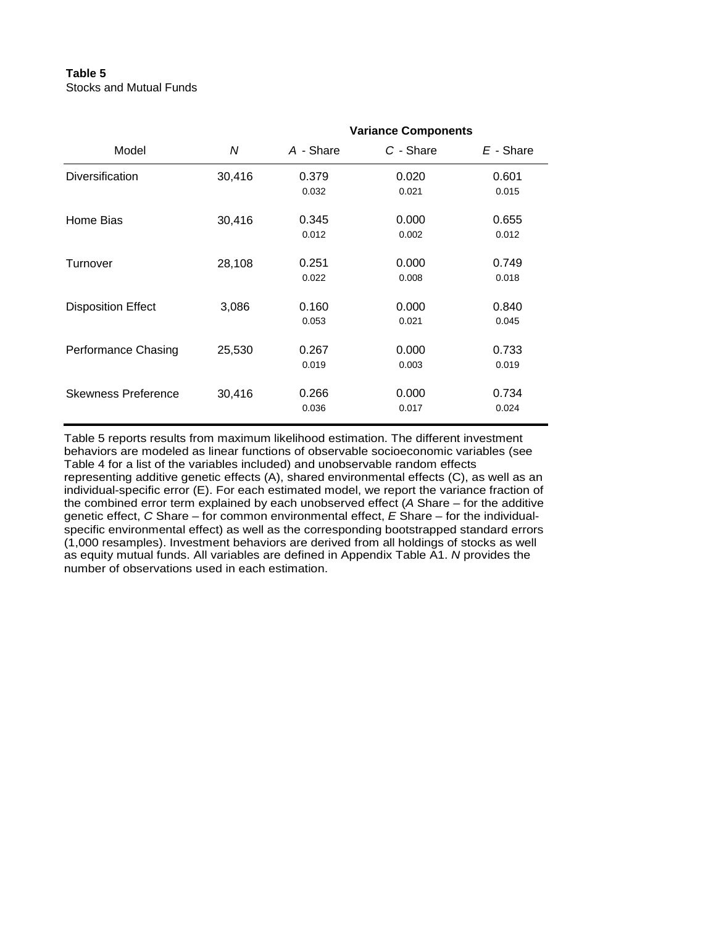## **Table 5** Stocks and Mutual Funds

|                            |                  | <b>Variance Components</b> |           |             |  |  |
|----------------------------|------------------|----------------------------|-----------|-------------|--|--|
| Model                      | $\boldsymbol{N}$ | A - Share                  | C - Share | $E$ - Share |  |  |
| Diversification            | 30,416           | 0.379                      | 0.020     | 0.601       |  |  |
|                            |                  | 0.032                      | 0.021     | 0.015       |  |  |
| Home Bias                  | 30,416           | 0.345                      | 0.000     | 0.655       |  |  |
|                            |                  | 0.012                      | 0.002     | 0.012       |  |  |
| Turnover                   | 28,108           | 0.251                      | 0.000     | 0.749       |  |  |
|                            |                  | 0.022                      | 0.008     | 0.018       |  |  |
| <b>Disposition Effect</b>  | 3,086            | 0.160                      | 0.000     | 0.840       |  |  |
|                            |                  | 0.053                      | 0.021     | 0.045       |  |  |
| Performance Chasing        | 25,530           | 0.267                      | 0.000     | 0.733       |  |  |
|                            |                  | 0.019                      | 0.003     | 0.019       |  |  |
| <b>Skewness Preference</b> | 30,416           | 0.266                      | 0.000     | 0.734       |  |  |
|                            |                  | 0.036                      | 0.017     | 0.024       |  |  |

Table 5 reports results from maximum likelihood estimation. The different investment behaviors are modeled as linear functions of observable socioeconomic variables (see Table 4 for a list of the variables included) and unobservable random effects representing additive genetic effects (A), shared environmental effects (C), as well as an individual-specific error (E). For each estimated model, we report the variance fraction of the combined error term explained by each unobserved effect (*A* Share – for the additive genetic effect, *C* Share – for common environmental effect, *E* Share – for the individualspecific environmental effect) as well as the corresponding bootstrapped standard errors (1,000 resamples). Investment behaviors are derived from all holdings of stocks as well as equity mutual funds. All variables are defined in Appendix Table A1. *N* provides the number of observations used in each estimation.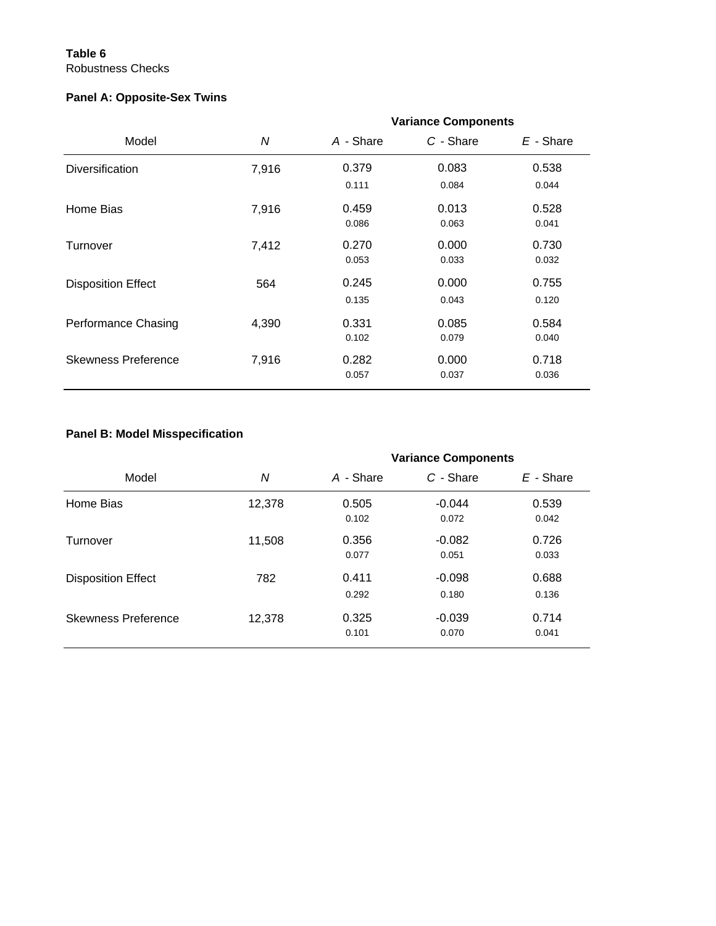# **Table 6**

Robustness Checks

# **Panel A: Opposite-Sex Twins**

|                            |       | <b>Variance Components</b> |                |                |  |  |
|----------------------------|-------|----------------------------|----------------|----------------|--|--|
| Model                      | N     | A - Share                  | C - Share      | $E$ - Share    |  |  |
| Diversification            | 7,916 | 0.379<br>0.111             | 0.083<br>0.084 | 0.538<br>0.044 |  |  |
| Home Bias                  | 7,916 | 0.459<br>0.086             | 0.013<br>0.063 | 0.528<br>0.041 |  |  |
| Turnover                   | 7,412 | 0.270<br>0.053             | 0.000<br>0.033 | 0.730<br>0.032 |  |  |
| <b>Disposition Effect</b>  | 564   | 0.245<br>0.135             | 0.000<br>0.043 | 0.755<br>0.120 |  |  |
| <b>Performance Chasing</b> | 4,390 | 0.331<br>0.102             | 0.085<br>0.079 | 0.584<br>0.040 |  |  |
| <b>Skewness Preference</b> | 7,916 | 0.282<br>0.057             | 0.000<br>0.037 | 0.718<br>0.036 |  |  |

# **Panel B: Model Misspecification**

|                            |        | <b>Variance Components</b> |                   |                |  |  |
|----------------------------|--------|----------------------------|-------------------|----------------|--|--|
| Model                      | N      | A - Share                  | C - Share         | $E$ - Share    |  |  |
| Home Bias                  | 12,378 | 0.505<br>0.102             | $-0.044$<br>0.072 | 0.539<br>0.042 |  |  |
| Turnover                   | 11,508 | 0.356<br>0.077             | $-0.082$<br>0.051 | 0.726<br>0.033 |  |  |
| <b>Disposition Effect</b>  | 782    | 0.411<br>0.292             | $-0.098$<br>0.180 | 0.688<br>0.136 |  |  |
| <b>Skewness Preference</b> | 12,378 | 0.325<br>0.101             | $-0.039$<br>0.070 | 0.714<br>0.041 |  |  |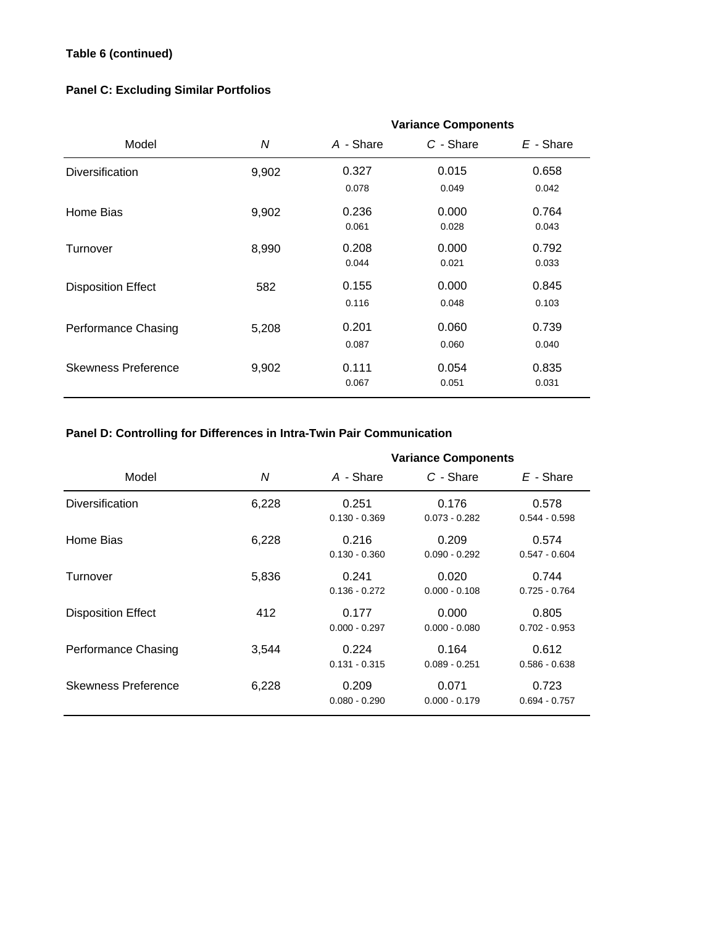# **Table 6 (continued)**

# **Panel C: Excluding Similar Portfolios**

|                            |       | <b>Variance Components</b> |           |             |  |  |
|----------------------------|-------|----------------------------|-----------|-------------|--|--|
| Model                      | N     | A - Share                  | C - Share | $E$ - Share |  |  |
| <b>Diversification</b>     | 9,902 | 0.327                      | 0.015     | 0.658       |  |  |
|                            |       | 0.078                      | 0.049     | 0.042       |  |  |
| Home Bias                  | 9,902 | 0.236                      | 0.000     | 0.764       |  |  |
|                            |       | 0.061                      | 0.028     | 0.043       |  |  |
| Turnover                   | 8,990 | 0.208                      | 0.000     | 0.792       |  |  |
|                            |       | 0.044                      | 0.021     | 0.033       |  |  |
| <b>Disposition Effect</b>  | 582   | 0.155                      | 0.000     | 0.845       |  |  |
|                            |       | 0.116                      | 0.048     | 0.103       |  |  |
| <b>Performance Chasing</b> | 5,208 | 0.201                      | 0.060     | 0.739       |  |  |
|                            |       | 0.087                      | 0.060     | 0.040       |  |  |
| <b>Skewness Preference</b> | 9,902 | 0.111                      | 0.054     | 0.835       |  |  |
|                            |       | 0.067                      | 0.051     | 0.031       |  |  |

# **Panel D: Controlling for Differences in Intra-Twin Pair Communication**

|                            |       | <b>Variance Components</b> |                          |                          |  |  |  |
|----------------------------|-------|----------------------------|--------------------------|--------------------------|--|--|--|
| Model                      | N     | A - Share                  | C - Share                | $E$ - Share              |  |  |  |
| <b>Diversification</b>     | 6,228 | 0.251<br>$0.130 - 0.369$   | 0.176<br>$0.073 - 0.282$ | 0.578<br>$0.544 - 0.598$ |  |  |  |
| Home Bias                  | 6,228 | 0.216<br>$0.130 - 0.360$   | 0.209<br>$0.090 - 0.292$ | 0.574<br>$0.547 - 0.604$ |  |  |  |
| Turnover                   | 5,836 | 0.241<br>$0.136 - 0.272$   | 0.020<br>$0.000 - 0.108$ | 0.744<br>$0.725 - 0.764$ |  |  |  |
| <b>Disposition Effect</b>  | 412   | 0.177<br>$0.000 - 0.297$   | 0.000<br>$0.000 - 0.080$ | 0.805<br>$0.702 - 0.953$ |  |  |  |
| <b>Performance Chasing</b> | 3,544 | 0.224<br>$0.131 - 0.315$   | 0.164<br>$0.089 - 0.251$ | 0.612<br>$0.586 - 0.638$ |  |  |  |
| Skewness Preference        | 6,228 | 0.209<br>$0.080 - 0.290$   | 0.071<br>$0.000 - 0.179$ | 0.723<br>$0.694 - 0.757$ |  |  |  |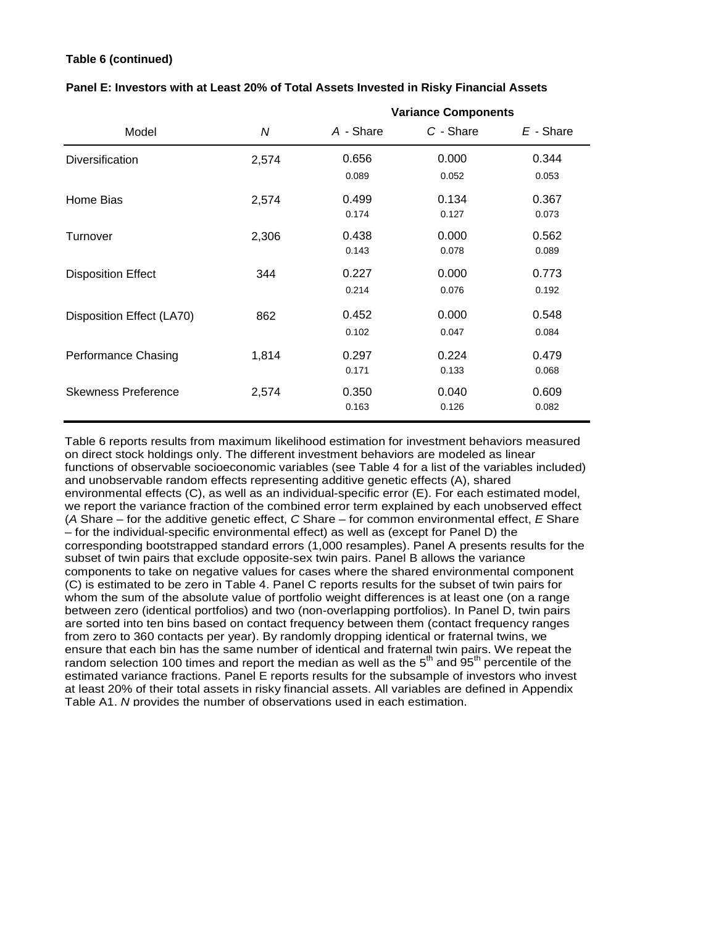## **Table 6 (continued)**

|                            |                | <b>Variance Components</b> |           |             |  |  |
|----------------------------|----------------|----------------------------|-----------|-------------|--|--|
| Model                      | $\overline{N}$ | A - Share                  | C - Share | $E$ - Share |  |  |
| Diversification            | 2,574          | 0.656                      | 0.000     | 0.344       |  |  |
|                            |                | 0.089                      | 0.052     | 0.053       |  |  |
| Home Bias                  | 2,574          | 0.499                      | 0.134     | 0.367       |  |  |
|                            |                | 0.174                      | 0.127     | 0.073       |  |  |
| Turnover                   | 2,306          | 0.438                      | 0.000     | 0.562       |  |  |
|                            |                | 0.143                      | 0.078     | 0.089       |  |  |
| <b>Disposition Effect</b>  | 344            | 0.227                      | 0.000     | 0.773       |  |  |
|                            |                | 0.214                      | 0.076     | 0.192       |  |  |
| Disposition Effect (LA70)  | 862            | 0.452                      | 0.000     | 0.548       |  |  |
|                            |                | 0.102                      | 0.047     | 0.084       |  |  |
| Performance Chasing        | 1,814          | 0.297                      | 0.224     | 0.479       |  |  |
|                            |                | 0.171                      | 0.133     | 0.068       |  |  |
| <b>Skewness Preference</b> | 2,574          | 0.350                      | 0.040     | 0.609       |  |  |
|                            |                | 0.163                      | 0.126     | 0.082       |  |  |

### **Panel E: Investors with at Least 20% of Total Assets Invested in Risky Financial Assets**

Table 6 reports results from maximum likelihood estimation for investment behaviors measured on direct stock holdings only. The different investment behaviors are modeled as linear functions of observable socioeconomic variables (see Table 4 for a list of the variables included) and unobservable random effects representing additive genetic effects (A), shared environmental effects (C), as well as an individual-specific error (E). For each estimated model, we report the variance fraction of the combined error term explained by each unobserved effect (*A* Share – for the additive genetic effect, *C* Share – for common environmental effect, *E* Share – for the individual-specific environmental effect) as well as (except for Panel D) the corresponding bootstrapped standard errors (1,000 resamples). Panel A presents results for the subset of twin pairs that exclude opposite-sex twin pairs. Panel B allows the variance components to take on negative values for cases where the shared environmental component (C) is estimated to be zero in Table 4. Panel C reports results for the subset of twin pairs for whom the sum of the absolute value of portfolio weight differences is at least one (on a range between zero (identical portfolios) and two (non-overlapping portfolios). In Panel D, twin pairs are sorted into ten bins based on contact frequency between them (contact frequency ranges from zero to 360 contacts per year). By randomly dropping identical or fraternal twins, we ensure that each bin has the same number of identical and fraternal twin pairs. We repeat the random selection 100 times and report the median as well as the  $5<sup>th</sup>$  and  $95<sup>th</sup>$  percentile of the estimated variance fractions. Panel E reports results for the subsample of investors who invest at least 20% of their total assets in risky financial assets. All variables are defined in Appendix Table A1. *N* provides the number of observations used in each estimation.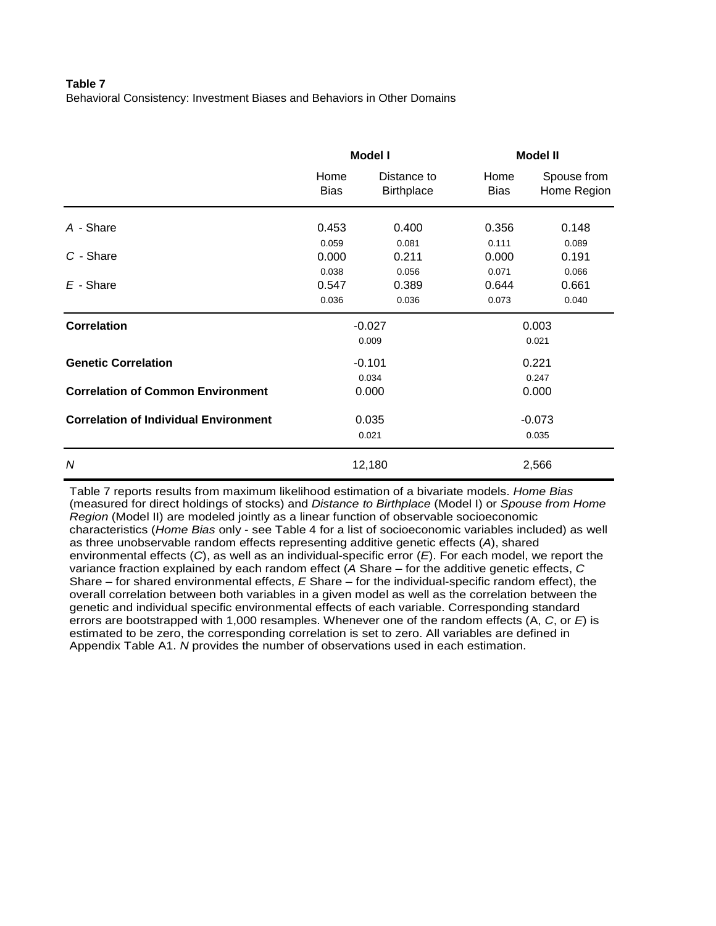# **Table 7** Behavioral Consistency: Investment Biases and Behaviors in Other Domains

|                                              | <b>Model I</b>      |                                  | <b>Model II</b>     |                            |
|----------------------------------------------|---------------------|----------------------------------|---------------------|----------------------------|
|                                              | Home<br><b>Bias</b> | Distance to<br><b>Birthplace</b> | Home<br><b>Bias</b> | Spouse from<br>Home Region |
| A - Share                                    | 0.453               | 0.400                            | 0.356               | 0.148                      |
| C - Share                                    | 0.059<br>0.000      | 0.081<br>0.211                   | 0.111<br>0.000      | 0.089<br>0.191             |
| $E$ - Share                                  | 0.038<br>0.547      | 0.056<br>0.389                   | 0.071<br>0.644      | 0.066<br>0.661             |
|                                              | 0.036               | 0.036                            | 0.073               | 0.040                      |
| <b>Correlation</b>                           | $-0.027$<br>0.009   |                                  | 0.003<br>0.021      |                            |
| <b>Genetic Correlation</b>                   | $-0.101$            |                                  | 0.221               |                            |
| <b>Correlation of Common Environment</b>     | 0.034<br>0.000      |                                  | 0.247<br>0.000      |                            |
| <b>Correlation of Individual Environment</b> | 0.035<br>0.021      |                                  | $-0.073$<br>0.035   |                            |
| N                                            | 12,180              |                                  | 2,566               |                            |

Table 7 reports results from maximum likelihood estimation of a bivariate models. *Home Bias*  (measured for direct holdings of stocks) and *Distance to Birthplace* (Model I) or *Spouse from Home Region* (Model II) are modeled jointly as a linear function of observable socioeconomic characteristics (*Home Bias* only - see Table 4 for a list of socioeconomic variables included) as well as three unobservable random effects representing additive genetic effects (*A*), shared environmental effects (*C*), as well as an individual-specific error (*E*). For each model, we report the variance fraction explained by each random effect (*A* Share – for the additive genetic effects, *C* Share – for shared environmental effects, *E* Share – for the individual-specific random effect), the overall correlation between both variables in a given model as well as the correlation between the genetic and individual specific environmental effects of each variable. Corresponding standard errors are bootstrapped with 1,000 resamples. Whenever one of the random effects (A, *C*, or *E*) is estimated to be zero, the corresponding correlation is set to zero. All variables are defined in Appendix Table A1. *N* provides the number of observations used in each estimation.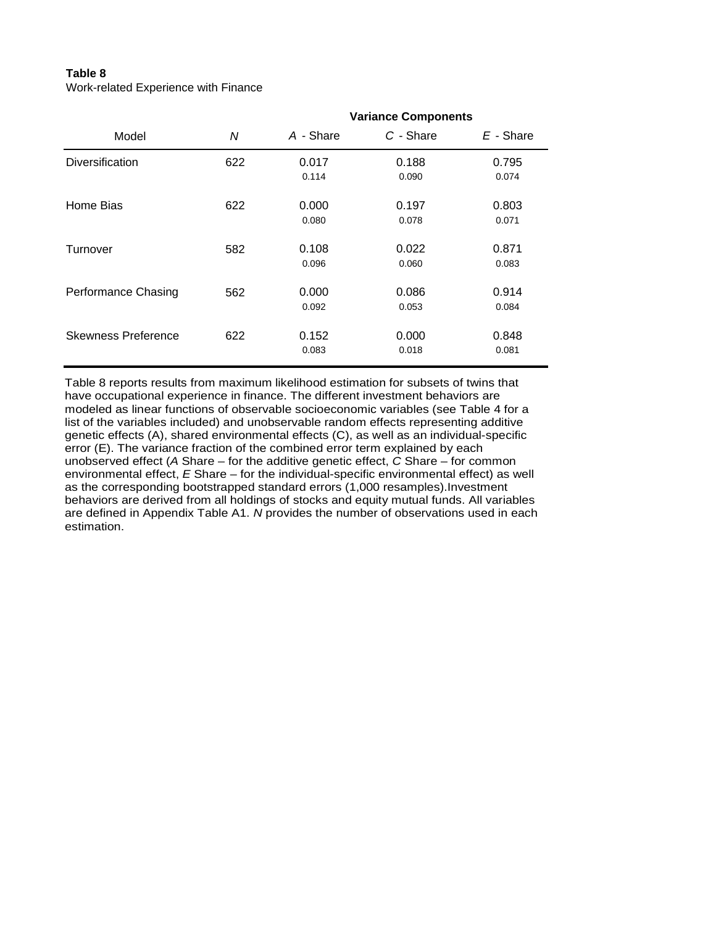### **Table 8**

Work-related Experience with Finance

|                        |     | <b>Variance Components</b> |                |                |  |
|------------------------|-----|----------------------------|----------------|----------------|--|
| Model                  | N   | A - Share                  | C - Share      | $E$ - Share    |  |
| <b>Diversification</b> | 622 | 0.017<br>0.114             | 0.188<br>0.090 | 0.795<br>0.074 |  |
| Home Bias              | 622 | 0.000<br>0.080             | 0.197<br>0.078 | 0.803<br>0.071 |  |
| Turnover               | 582 | 0.108<br>0.096             | 0.022<br>0.060 | 0.871<br>0.083 |  |
| Performance Chasing    | 562 | 0.000<br>0.092             | 0.086<br>0.053 | 0.914<br>0.084 |  |
| Skewness Preference    | 622 | 0.152<br>0.083             | 0.000<br>0.018 | 0.848<br>0.081 |  |

Table 8 reports results from maximum likelihood estimation for subsets of twins that have occupational experience in finance. The different investment behaviors are modeled as linear functions of observable socioeconomic variables (see Table 4 for a list of the variables included) and unobservable random effects representing additive genetic effects (A), shared environmental effects (C), as well as an individual-specific error (E). The variance fraction of the combined error term explained by each unobserved effect (*A* Share – for the additive genetic effect, *C* Share – for common environmental effect, *E* Share – for the individual-specific environmental effect) as well as the corresponding bootstrapped standard errors (1,000 resamples).Investment behaviors are derived from all holdings of stocks and equity mutual funds. All variables are defined in Appendix Table A1. *N* provides the number of observations used in each estimation.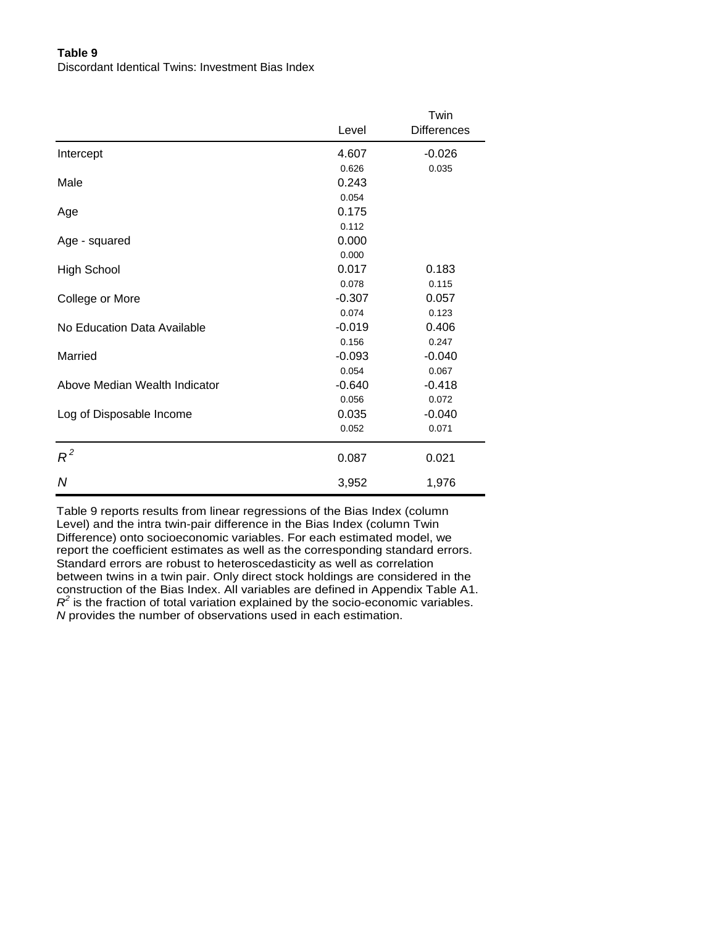|                               | Level    | Twin<br><b>Differences</b> |
|-------------------------------|----------|----------------------------|
| Intercept                     | 4.607    | $-0.026$                   |
|                               | 0.626    | 0.035                      |
| Male                          | 0.243    |                            |
|                               | 0.054    |                            |
| Age                           | 0.175    |                            |
|                               | 0.112    |                            |
| Age - squared                 | 0.000    |                            |
|                               | 0.000    |                            |
| <b>High School</b>            | 0.017    | 0.183                      |
|                               | 0.078    | 0.115                      |
| College or More               | $-0.307$ | 0.057                      |
|                               | 0.074    | 0.123                      |
| No Education Data Available   | $-0.019$ | 0.406                      |
|                               | 0.156    | 0.247                      |
| Married                       | $-0.093$ | $-0.040$                   |
|                               | 0.054    | 0.067                      |
| Above Median Wealth Indicator | $-0.640$ | $-0.418$                   |
|                               | 0.056    | 0.072                      |
| Log of Disposable Income      | 0.035    | $-0.040$                   |
|                               | 0.052    | 0.071                      |
| $R^2$                         | 0.087    | 0.021                      |
| N                             | 3,952    | 1,976                      |

Table 9 reports results from linear regressions of the Bias Index (column Level) and the intra twin-pair difference in the Bias Index (column Twin Difference) onto socioeconomic variables. For each estimated model, we report the coefficient estimates as well as the corresponding standard errors. Standard errors are robust to heteroscedasticity as well as correlation between twins in a twin pair. Only direct stock holdings are considered in the construction of the Bias Index. All variables are defined in Appendix Table A1.  $R^2$  is the fraction of total variation explained by the socio-economic variables. *N* provides the number of observations used in each estimation.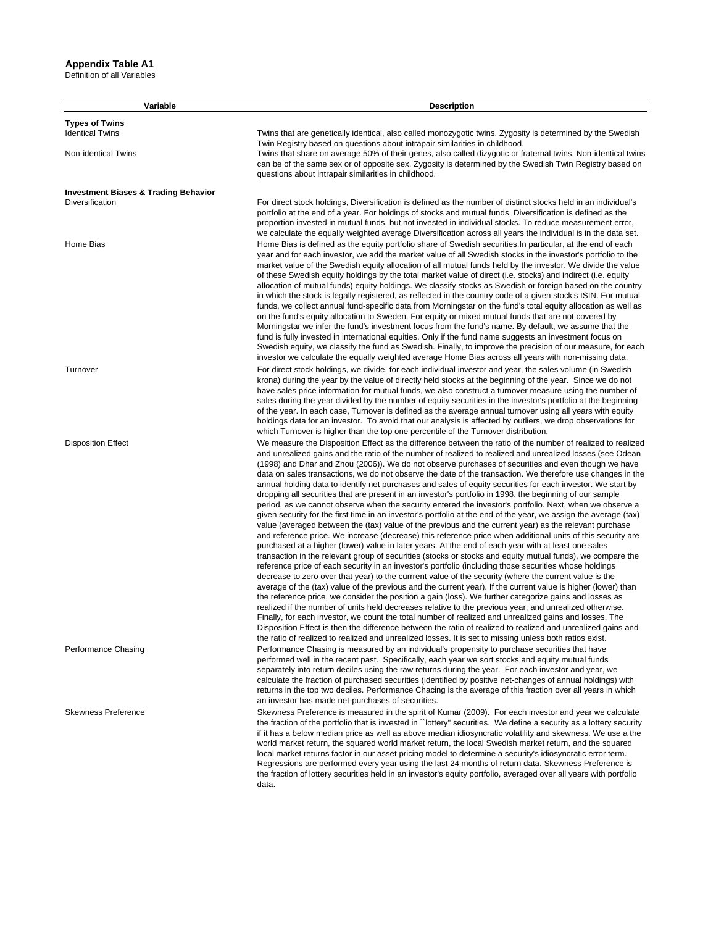| Variable                                                           | <b>Description</b>                                                                                                                                                                                                                                                                                                                                                                                                                                                                                                                                                                                                                                                                                                                                                                                                                                                                                                                                                                                                                                                                                                                                                                                                                                                                                                                                                                                                                                                                                                                                                                                                                                                                                                                                                                                                                                                                                                                                                                                                                                                                                                                         |  |  |
|--------------------------------------------------------------------|--------------------------------------------------------------------------------------------------------------------------------------------------------------------------------------------------------------------------------------------------------------------------------------------------------------------------------------------------------------------------------------------------------------------------------------------------------------------------------------------------------------------------------------------------------------------------------------------------------------------------------------------------------------------------------------------------------------------------------------------------------------------------------------------------------------------------------------------------------------------------------------------------------------------------------------------------------------------------------------------------------------------------------------------------------------------------------------------------------------------------------------------------------------------------------------------------------------------------------------------------------------------------------------------------------------------------------------------------------------------------------------------------------------------------------------------------------------------------------------------------------------------------------------------------------------------------------------------------------------------------------------------------------------------------------------------------------------------------------------------------------------------------------------------------------------------------------------------------------------------------------------------------------------------------------------------------------------------------------------------------------------------------------------------------------------------------------------------------------------------------------------------|--|--|
| <b>Types of Twins</b>                                              |                                                                                                                                                                                                                                                                                                                                                                                                                                                                                                                                                                                                                                                                                                                                                                                                                                                                                                                                                                                                                                                                                                                                                                                                                                                                                                                                                                                                                                                                                                                                                                                                                                                                                                                                                                                                                                                                                                                                                                                                                                                                                                                                            |  |  |
| <b>Identical Twins</b><br>Non-identical Twins                      | Twins that are genetically identical, also called monozygotic twins. Zygosity is determined by the Swedish<br>Twin Registry based on questions about intrapair similarities in childhood.<br>Twins that share on average 50% of their genes, also called dizygotic or fraternal twins. Non-identical twins<br>can be of the same sex or of opposite sex. Zygosity is determined by the Swedish Twin Registry based on<br>questions about intrapair similarities in childhood.                                                                                                                                                                                                                                                                                                                                                                                                                                                                                                                                                                                                                                                                                                                                                                                                                                                                                                                                                                                                                                                                                                                                                                                                                                                                                                                                                                                                                                                                                                                                                                                                                                                              |  |  |
|                                                                    |                                                                                                                                                                                                                                                                                                                                                                                                                                                                                                                                                                                                                                                                                                                                                                                                                                                                                                                                                                                                                                                                                                                                                                                                                                                                                                                                                                                                                                                                                                                                                                                                                                                                                                                                                                                                                                                                                                                                                                                                                                                                                                                                            |  |  |
| <b>Investment Biases &amp; Trading Behavior</b><br>Diversification | For direct stock holdings, Diversification is defined as the number of distinct stocks held in an individual's<br>portfolio at the end of a year. For holdings of stocks and mutual funds, Diversification is defined as the<br>proportion invested in mutual funds, but not invested in individual stocks. To reduce measurement error,<br>we calculate the equally weighted average Diversification across all years the individual is in the data set.                                                                                                                                                                                                                                                                                                                                                                                                                                                                                                                                                                                                                                                                                                                                                                                                                                                                                                                                                                                                                                                                                                                                                                                                                                                                                                                                                                                                                                                                                                                                                                                                                                                                                  |  |  |
| Home Bias                                                          | Home Bias is defined as the equity portfolio share of Swedish securities. In particular, at the end of each<br>year and for each investor, we add the market value of all Swedish stocks in the investor's portfolio to the<br>market value of the Swedish equity allocation of all mutual funds held by the investor. We divide the value<br>of these Swedish equity holdings by the total market value of direct (i.e. stocks) and indirect (i.e. equity<br>allocation of mutual funds) equity holdings. We classify stocks as Swedish or foreign based on the country<br>in which the stock is legally registered, as reflected in the country code of a given stock's ISIN. For mutual<br>funds, we collect annual fund-specific data from Morningstar on the fund's total equity allocation as well as<br>on the fund's equity allocation to Sweden. For equity or mixed mutual funds that are not covered by<br>Morningstar we infer the fund's investment focus from the fund's name. By default, we assume that the<br>fund is fully invested in international equities. Only if the fund name suggests an investment focus on<br>Swedish equity, we classify the fund as Swedish. Finally, to improve the precision of our measure, for each<br>investor we calculate the equally weighted average Home Bias across all years with non-missing data.                                                                                                                                                                                                                                                                                                                                                                                                                                                                                                                                                                                                                                                                                                                                                                              |  |  |
| Turnover                                                           | For direct stock holdings, we divide, for each individual investor and year, the sales volume (in Swedish<br>krona) during the year by the value of directly held stocks at the beginning of the year. Since we do not<br>have sales price information for mutual funds, we also construct a turnover measure using the number of<br>sales during the year divided by the number of equity securities in the investor's portfolio at the beginning<br>of the year. In each case, Turnover is defined as the average annual turnover using all years with equity<br>holdings data for an investor. To avoid that our analysis is affected by outliers, we drop observations for<br>which Turnover is higher than the top one percentile of the Turnover distribution.                                                                                                                                                                                                                                                                                                                                                                                                                                                                                                                                                                                                                                                                                                                                                                                                                                                                                                                                                                                                                                                                                                                                                                                                                                                                                                                                                                       |  |  |
| <b>Disposition Effect</b>                                          | We measure the Disposition Effect as the difference between the ratio of the number of realized to realized<br>and unrealized gains and the ratio of the number of realized to realized and unrealized losses (see Odean<br>(1998) and Dhar and Zhou (2006)). We do not observe purchases of securities and even though we have<br>data on sales transactions, we do not observe the date of the transaction. We therefore use changes in the<br>annual holding data to identify net purchases and sales of equity securities for each investor. We start by<br>dropping all securities that are present in an investor's portfolio in 1998, the beginning of our sample<br>period, as we cannot observe when the security entered the investor's portfolio. Next, when we observe a<br>given security for the first time in an investor's portfolio at the end of the year, we assign the average (tax)<br>value (averaged between the (tax) value of the previous and the current year) as the relevant purchase<br>and reference price. We increase (decrease) this reference price when additional units of this security are<br>purchased at a higher (lower) value in later years. At the end of each year with at least one sales<br>transaction in the relevant group of securities (stocks or stocks and equity mutual funds), we compare the<br>reference price of each security in an investor's portfolio (including those securities whose holdings<br>decrease to zero over that year) to the currrent value of the security (where the current value is the<br>average of the (tax) value of the previous and the current year). If the current value is higher (lower) than<br>the reference price, we consider the position a gain (loss). We further categorize gains and losses as<br>realized if the number of units held decreases relative to the previous year, and unrealized otherwise.<br>Finally, for each investor, we count the total number of realized and unrealized gains and losses. The<br>Disposition Effect is then the difference between the ratio of realized to realized and unrealized gains and |  |  |
| Performance Chasing                                                | the ratio of realized to realized and unrealized losses. It is set to missing unless both ratios exist.<br>Performance Chasing is measured by an individual's propensity to purchase securities that have<br>performed well in the recent past. Specifically, each year we sort stocks and equity mutual funds<br>separately into return deciles using the raw returns during the year. For each investor and year, we<br>calculate the fraction of purchased securities (identified by positive net-changes of annual holdings) with<br>returns in the top two deciles. Performance Chacing is the average of this fraction over all years in which<br>an investor has made net-purchases of securities.                                                                                                                                                                                                                                                                                                                                                                                                                                                                                                                                                                                                                                                                                                                                                                                                                                                                                                                                                                                                                                                                                                                                                                                                                                                                                                                                                                                                                                  |  |  |
| <b>Skewness Preference</b>                                         | Skewness Preference is measured in the spirit of Kumar (2009). For each investor and year we calculate<br>the fraction of the portfolio that is invested in "lottery" securities. We define a security as a lottery security<br>if it has a below median price as well as above median idiosyncratic volatility and skewness. We use a the<br>world market return, the squared world market return, the local Swedish market return, and the squared                                                                                                                                                                                                                                                                                                                                                                                                                                                                                                                                                                                                                                                                                                                                                                                                                                                                                                                                                                                                                                                                                                                                                                                                                                                                                                                                                                                                                                                                                                                                                                                                                                                                                       |  |  |

local market returns factor in our asset pricing model to determine a security's idiosyncratic error term. Regressions are performed every year using the last 24 months of return data. Skewness Preference is the fraction of lottery securities held in an investor's equity portfolio, averaged over all years with portfolio data.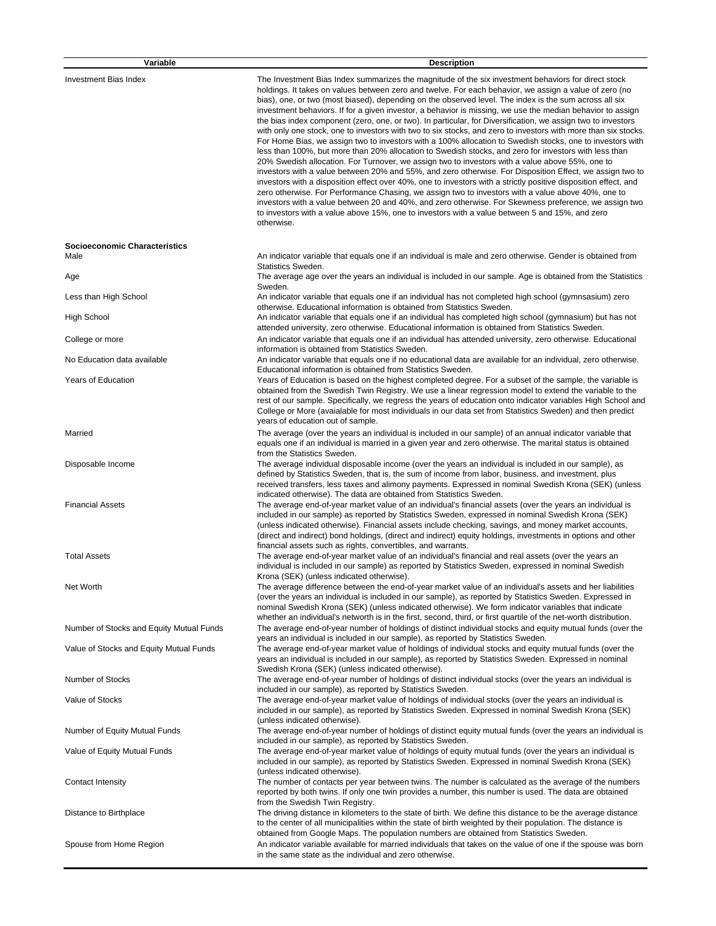| Variable                                 | <b>Description</b>                                                                                                                                                                                                                                                                                                                                                                                                                                                                                                                                                                                                                                                                                                                                                                                                                                                                                                                                                                                                                                                                                                                                                                                                                                                                                                                                                                                                                                                                                                                                             |
|------------------------------------------|----------------------------------------------------------------------------------------------------------------------------------------------------------------------------------------------------------------------------------------------------------------------------------------------------------------------------------------------------------------------------------------------------------------------------------------------------------------------------------------------------------------------------------------------------------------------------------------------------------------------------------------------------------------------------------------------------------------------------------------------------------------------------------------------------------------------------------------------------------------------------------------------------------------------------------------------------------------------------------------------------------------------------------------------------------------------------------------------------------------------------------------------------------------------------------------------------------------------------------------------------------------------------------------------------------------------------------------------------------------------------------------------------------------------------------------------------------------------------------------------------------------------------------------------------------------|
| <b>Investment Bias Index</b>             | The Investment Bias Index summarizes the magnitude of the six investment behaviors for direct stock<br>holdings. It takes on values between zero and twelve. For each behavior, we assign a value of zero (no<br>bias), one, or two (most biased), depending on the observed level. The index is the sum across all six<br>investment behaviors. If for a given investor, a behavior is missing, we use the median behavior to assign<br>the bias index component (zero, one, or two). In particular, for Diversification, we assign two to investors<br>with only one stock, one to investors with two to six stocks, and zero to investors with more than six stocks.<br>For Home Bias, we assign two to investors with a 100% allocation to Swedish stocks, one to investors with<br>less than 100%, but more than 20% allocation to Swedish stocks, and zero for investors with less than<br>20% Swedish allocation. For Turnover, we assign two to investors with a value above 55%, one to<br>investors with a value between 20% and 55%, and zero otherwise. For Disposition Effect, we assign two to<br>investors with a disposition effect over 40%, one to investors with a strictly positive disposition effect, and<br>zero otherwise. For Performance Chasing, we assign two to investors with a value above 40%, one to<br>investors with a value between 20 and 40%, and zero otherwise. For Skewness preference, we assign two<br>to investors with a value above 15%, one to investors with a value between 5 and 15%, and zero<br>otherwise. |
| Socioeconomic Characteristics<br>Male    | An indicator variable that equals one if an individual is male and zero otherwise. Gender is obtained from<br>Statistics Sweden.                                                                                                                                                                                                                                                                                                                                                                                                                                                                                                                                                                                                                                                                                                                                                                                                                                                                                                                                                                                                                                                                                                                                                                                                                                                                                                                                                                                                                               |
| Age                                      | The average age over the years an individual is included in our sample. Age is obtained from the Statistics<br>Sweden.                                                                                                                                                                                                                                                                                                                                                                                                                                                                                                                                                                                                                                                                                                                                                                                                                                                                                                                                                                                                                                                                                                                                                                                                                                                                                                                                                                                                                                         |
| Less than High School                    | An indicator variable that equals one if an individual has not completed high school (gymnsasium) zero<br>otherwise. Educational information is obtained from Statistics Sweden.                                                                                                                                                                                                                                                                                                                                                                                                                                                                                                                                                                                                                                                                                                                                                                                                                                                                                                                                                                                                                                                                                                                                                                                                                                                                                                                                                                               |
| High School                              | An indicator variable that equals one if an individual has completed high school (gymnasium) but has not<br>attended university, zero otherwise. Educational information is obtained from Statistics Sweden.                                                                                                                                                                                                                                                                                                                                                                                                                                                                                                                                                                                                                                                                                                                                                                                                                                                                                                                                                                                                                                                                                                                                                                                                                                                                                                                                                   |
| College or more                          | An indicator variable that equals one if an individual has attended university, zero otherwise. Educational<br>information is obtained from Statistics Sweden.                                                                                                                                                                                                                                                                                                                                                                                                                                                                                                                                                                                                                                                                                                                                                                                                                                                                                                                                                                                                                                                                                                                                                                                                                                                                                                                                                                                                 |
| No Education data available              | An indicator variable that equals one if no educational data are available for an individual, zero otherwise.<br>Educational information is obtained from Statistics Sweden.                                                                                                                                                                                                                                                                                                                                                                                                                                                                                                                                                                                                                                                                                                                                                                                                                                                                                                                                                                                                                                                                                                                                                                                                                                                                                                                                                                                   |
| <b>Years of Education</b>                | Years of Education is based on the highest completed degree. For a subset of the sample, the variable is<br>obtained from the Swedish Twin Registry. We use a linear regression model to extend the variable to the<br>rest of our sample. Specifically, we regress the years of education onto indicator variables High School and<br>College or More (avaialable for most individuals in our data set from Statistics Sweden) and then predict<br>years of education out of sample.                                                                                                                                                                                                                                                                                                                                                                                                                                                                                                                                                                                                                                                                                                                                                                                                                                                                                                                                                                                                                                                                          |
| Married                                  | The average (over the years an individual is included in our sample) of an annual indicator variable that<br>equals one if an individual is married in a given year and zero otherwise. The marital status is obtained<br>from the Statistics Sweden.                                                                                                                                                                                                                                                                                                                                                                                                                                                                                                                                                                                                                                                                                                                                                                                                                                                                                                                                                                                                                                                                                                                                                                                                                                                                                                          |
| Disposable Income                        | The average individual disposable income (over the years an individual is included in our sample), as<br>defined by Statistics Sweden, that is, the sum of income from labor, business, and investment, plus<br>received transfers, less taxes and alimony payments. Expressed in nominal Swedish Krona (SEK) (unless                                                                                                                                                                                                                                                                                                                                                                                                                                                                                                                                                                                                                                                                                                                                                                                                                                                                                                                                                                                                                                                                                                                                                                                                                                          |
| <b>Financial Assets</b>                  | indicated otherwise). The data are obtained from Statistics Sweden.<br>The average end-of-year market value of an individual's financial assets (over the years an individual is<br>included in our sample) as reported by Statistics Sweden, expressed in nominal Swedish Krona (SEK)<br>(unless indicated otherwise). Financial assets include checking, savings, and money market accounts,<br>(direct and indirect) bond holdings, (direct and indirect) equity holdings, investments in options and other                                                                                                                                                                                                                                                                                                                                                                                                                                                                                                                                                                                                                                                                                                                                                                                                                                                                                                                                                                                                                                                 |
| <b>Total Assets</b>                      | financial assets such as rights, convertibles, and warrants.<br>The average end-of-year market value of an individual's financial and real assets (over the years an<br>individual is included in our sample) as reported by Statistics Sweden, expressed in nominal Swedish                                                                                                                                                                                                                                                                                                                                                                                                                                                                                                                                                                                                                                                                                                                                                                                                                                                                                                                                                                                                                                                                                                                                                                                                                                                                                   |
| Net Worth                                | Krona (SEK) (unless indicated otherwise).<br>The average difference between the end-of-year market value of an individual's assets and her liabilities<br>(over the years an individual is included in our sample), as reported by Statistics Sweden. Expressed in<br>nominal Swedish Krona (SEK) (unless indicated otherwise). We form indicator variables that indicate<br>whether an individual's networth is in the first, second, third, or first quartile of the net-worth distribution.                                                                                                                                                                                                                                                                                                                                                                                                                                                                                                                                                                                                                                                                                                                                                                                                                                                                                                                                                                                                                                                                 |
| Number of Stocks and Equity Mutual Funds | The average end-of-year number of holdings of distinct individual stocks and equity mutual funds (over the<br>years an individual is included in our sample), as reported by Statistics Sweden.                                                                                                                                                                                                                                                                                                                                                                                                                                                                                                                                                                                                                                                                                                                                                                                                                                                                                                                                                                                                                                                                                                                                                                                                                                                                                                                                                                |
| Value of Stocks and Equity Mutual Funds  | The average end-of-year market value of holdings of individual stocks and equity mutual funds (over the<br>years an individual is included in our sample), as reported by Statistics Sweden. Expressed in nominal                                                                                                                                                                                                                                                                                                                                                                                                                                                                                                                                                                                                                                                                                                                                                                                                                                                                                                                                                                                                                                                                                                                                                                                                                                                                                                                                              |
| Number of Stocks                         | Swedish Krona (SEK) (unless indicated otherwise).<br>The average end-of-year number of holdings of distinct individual stocks (over the years an individual is                                                                                                                                                                                                                                                                                                                                                                                                                                                                                                                                                                                                                                                                                                                                                                                                                                                                                                                                                                                                                                                                                                                                                                                                                                                                                                                                                                                                 |
| Value of Stocks                          | included in our sample), as reported by Statistics Sweden.<br>The average end-of-year market value of holdings of individual stocks (over the years an individual is<br>included in our sample), as reported by Statistics Sweden. Expressed in nominal Swedish Krona (SEK)<br>(unless indicated otherwise).                                                                                                                                                                                                                                                                                                                                                                                                                                                                                                                                                                                                                                                                                                                                                                                                                                                                                                                                                                                                                                                                                                                                                                                                                                                   |
| Number of Equity Mutual Funds            | The average end-of-year number of holdings of distinct equity mutual funds (over the years an individual is                                                                                                                                                                                                                                                                                                                                                                                                                                                                                                                                                                                                                                                                                                                                                                                                                                                                                                                                                                                                                                                                                                                                                                                                                                                                                                                                                                                                                                                    |
| Value of Equity Mutual Funds             | included in our sample), as reported by Statistics Sweden.<br>The average end-of-year market value of holdings of equity mutual funds (over the years an individual is<br>included in our sample), as reported by Statistics Sweden. Expressed in nominal Swedish Krona (SEK)                                                                                                                                                                                                                                                                                                                                                                                                                                                                                                                                                                                                                                                                                                                                                                                                                                                                                                                                                                                                                                                                                                                                                                                                                                                                                  |
| Contact Intensity                        | (unless indicated otherwise).<br>The number of contacts per year between twins. The number is calculated as the average of the numbers<br>reported by both twins. If only one twin provides a number, this number is used. The data are obtained<br>from the Swedish Twin Registry.                                                                                                                                                                                                                                                                                                                                                                                                                                                                                                                                                                                                                                                                                                                                                                                                                                                                                                                                                                                                                                                                                                                                                                                                                                                                            |
| Distance to Birthplace                   | The driving distance in kilometers to the state of birth. We define this distance to be the average distance<br>to the center of all municipalities within the state of birth weighted by their population. The distance is                                                                                                                                                                                                                                                                                                                                                                                                                                                                                                                                                                                                                                                                                                                                                                                                                                                                                                                                                                                                                                                                                                                                                                                                                                                                                                                                    |
| Spouse from Home Region                  | obtained from Google Maps. The population numbers are obtained from Statistics Sweden.<br>An indicator variable available for married individuals that takes on the value of one if the spouse was born<br>in the same state as the individual and zero otherwise.                                                                                                                                                                                                                                                                                                                                                                                                                                                                                                                                                                                                                                                                                                                                                                                                                                                                                                                                                                                                                                                                                                                                                                                                                                                                                             |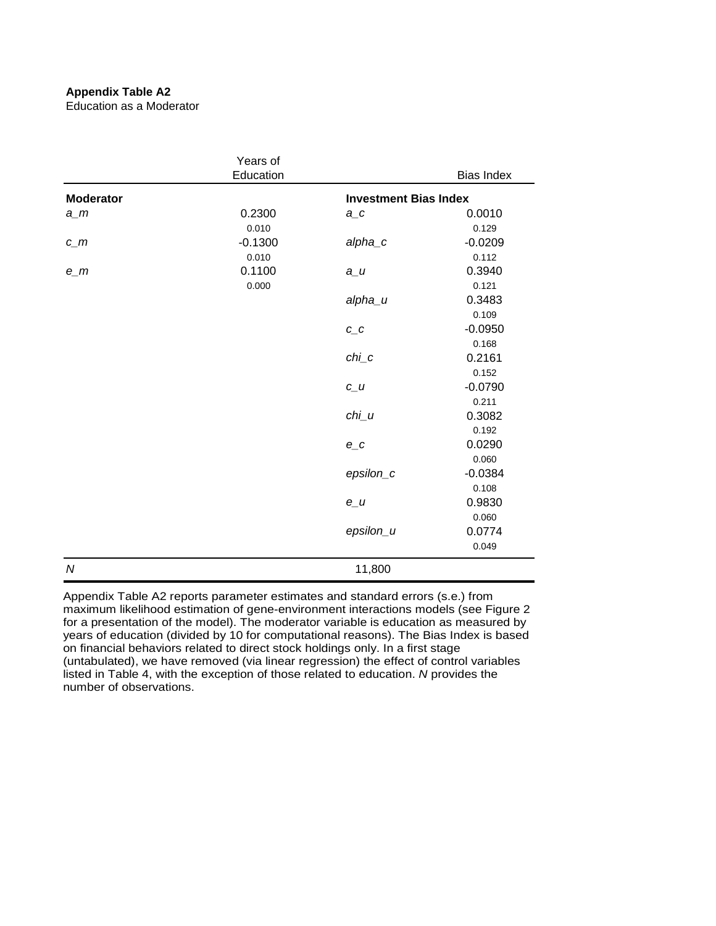# **Appendix Table A2**

Education as a Moderator

|                  | Years of  |                              |                   |
|------------------|-----------|------------------------------|-------------------|
|                  | Education |                              | <b>Bias Index</b> |
| <b>Moderator</b> |           | <b>Investment Bias Index</b> |                   |
| $a_m$            | 0.2300    | $a_{c}$                      | 0.0010            |
|                  | 0.010     |                              | 0.129             |
| $c_{m}$          | $-0.1300$ | alpha_c                      | $-0.0209$         |
|                  | 0.010     |                              | 0.112             |
| $e_{m}$          | 0.1100    | a <sub>u</sub>               | 0.3940            |
|                  | 0.000     |                              | 0.121             |
|                  |           | alpha_u                      | 0.3483            |
|                  |           |                              | 0.109             |
|                  |           | $c_{c}$                      | $-0.0950$         |
|                  |           |                              | 0.168             |
|                  |           | $chi\_c$                     | 0.2161            |
|                  |           |                              | 0.152             |
|                  |           | $c_{U}$                      | $-0.0790$         |
|                  |           |                              | 0.211             |
|                  |           | $chi_u$                      | 0.3082            |
|                  |           |                              | 0.192             |
|                  |           | $e_{c}$                      | 0.0290            |
|                  |           |                              | 0.060             |
|                  |           | epsilon_c                    | $-0.0384$         |
|                  |           |                              | 0.108             |
|                  |           | $e-u$                        | 0.9830            |
|                  |           |                              | 0.060             |
|                  |           | epsilon_u                    | 0.0774            |
|                  |           |                              | 0.049             |
| ${\cal N}$       |           | 11,800                       |                   |

Appendix Table A2 reports parameter estimates and standard errors (s.e.) from maximum likelihood estimation of gene-environment interactions models (see Figure 2 for a presentation of the model). The moderator variable is education as measured by years of education (divided by 10 for computational reasons). The Bias Index is based on financial behaviors related to direct stock holdings only. In a first stage (untabulated), we have removed (via linear regression) the effect of control variables listed in Table 4, with the exception of those related to education. *N* provides the number of observations.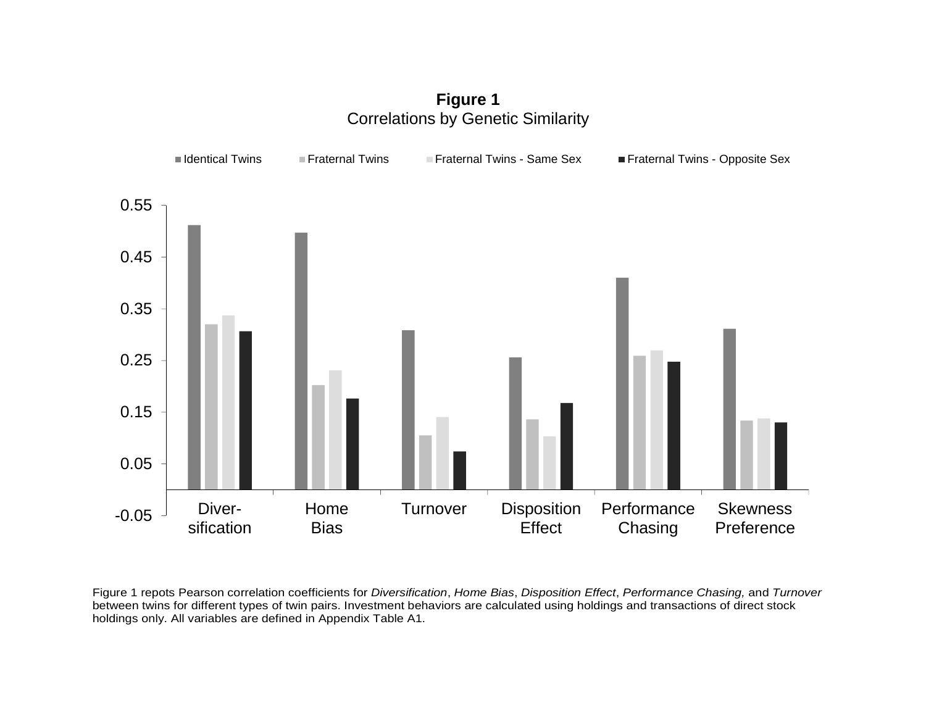# **Figure 1** Correlations by Genetic Similarity



Figure 1 repots Pearson correlation coefficients for *Diversification*, *Home Bias*, *Disposition Effect*, *Performance Chasing,* and *Turnover* between twins for different types of twin pairs. Investment behaviors are calculated using holdings and transactions of direct stock holdings only. All variables are defined in Appendix Table A1.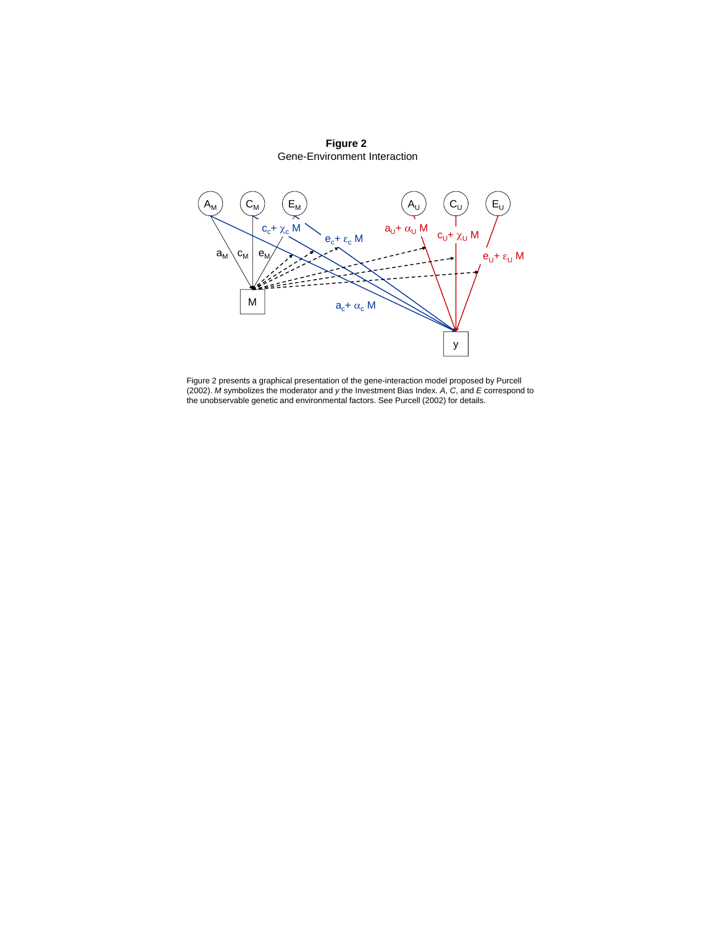



Figure 2 presents a graphical presentation of the gene-interaction model proposed by Purcell (2002). *M* symbolizes the moderator and *y* the Investment Bias Index. *A*, *C*, and *E* correspond to the unobservable genetic and environmental factors. See Purcell (2002) for details.